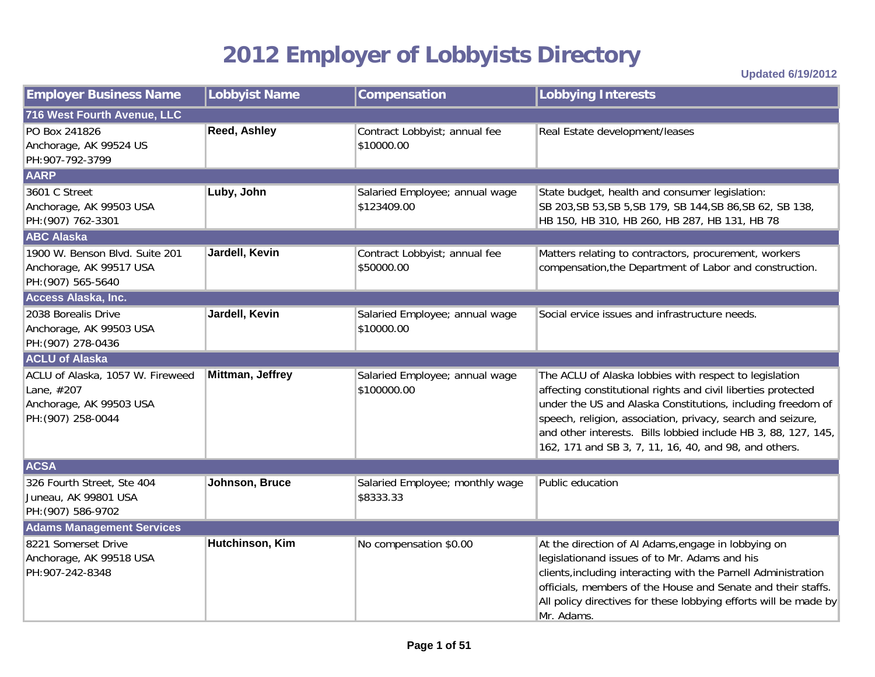## **2012 Employer of Lobbyists Directory**

**Updated 6/19/2012**

| <b>Employer Business Name</b>                                                                   | Lobbyist Name    | Compensation                                  | <b>Lobbying Interests</b>                                                                                                                                                                                                                                                                                                                                                        |
|-------------------------------------------------------------------------------------------------|------------------|-----------------------------------------------|----------------------------------------------------------------------------------------------------------------------------------------------------------------------------------------------------------------------------------------------------------------------------------------------------------------------------------------------------------------------------------|
| 716 West Fourth Avenue, LLC                                                                     |                  |                                               |                                                                                                                                                                                                                                                                                                                                                                                  |
| PO Box 241826<br>Anchorage, AK 99524 US<br>PH:907-792-3799                                      | Reed, Ashley     | Contract Lobbyist; annual fee<br>\$10000.00   | Real Estate development/leases                                                                                                                                                                                                                                                                                                                                                   |
| <b>AARP</b>                                                                                     |                  |                                               |                                                                                                                                                                                                                                                                                                                                                                                  |
| 3601 C Street<br>Anchorage, AK 99503 USA<br>PH: (907) 762-3301                                  | Luby, John       | Salaried Employee; annual wage<br>\$123409.00 | State budget, health and consumer legislation:<br>SB 203, SB 53, SB 5, SB 179, SB 144, SB 86, SB 62, SB 138,<br>HB 150, HB 310, HB 260, HB 287, HB 131, HB 78                                                                                                                                                                                                                    |
| <b>ABC Alaska</b>                                                                               |                  |                                               |                                                                                                                                                                                                                                                                                                                                                                                  |
| 1900 W. Benson Blvd. Suite 201<br>Anchorage, AK 99517 USA<br>PH: (907) 565-5640                 | Jardell, Kevin   | Contract Lobbyist; annual fee<br>\$50000.00   | Matters relating to contractors, procurement, workers<br>compensation, the Department of Labor and construction.                                                                                                                                                                                                                                                                 |
| Access Alaska, Inc.                                                                             |                  |                                               |                                                                                                                                                                                                                                                                                                                                                                                  |
| 2038 Borealis Drive<br>Anchorage, AK 99503 USA<br>PH: (907) 278-0436                            | Jardell, Kevin   | Salaried Employee; annual wage<br>\$10000.00  | Social ervice issues and infrastructure needs.                                                                                                                                                                                                                                                                                                                                   |
| <b>ACLU of Alaska</b>                                                                           |                  |                                               |                                                                                                                                                                                                                                                                                                                                                                                  |
| ACLU of Alaska, 1057 W. Fireweed<br>Lane, #207<br>Anchorage, AK 99503 USA<br>PH: (907) 258-0044 | Mittman, Jeffrey | Salaried Employee; annual wage<br>\$100000.00 | The ACLU of Alaska lobbies with respect to legislation<br>affecting constitutional rights and civil liberties protected<br>under the US and Alaska Constitutions, including freedom of<br>speech, religion, association, privacy, search and seizure,<br>and other interests. Bills lobbied include HB 3, 88, 127, 145,<br>162, 171 and SB 3, 7, 11, 16, 40, and 98, and others. |
| <b>ACSA</b>                                                                                     |                  |                                               |                                                                                                                                                                                                                                                                                                                                                                                  |
| 326 Fourth Street, Ste 404<br>Juneau, AK 99801 USA<br>PH: (907) 586-9702                        | Johnson, Bruce   | Salaried Employee; monthly wage<br>\$8333.33  | Public education                                                                                                                                                                                                                                                                                                                                                                 |
| <b>Adams Management Services</b>                                                                |                  |                                               |                                                                                                                                                                                                                                                                                                                                                                                  |
| 8221 Somerset Drive<br>Anchorage, AK 99518 USA<br>PH: 907-242-8348                              | Hutchinson, Kim  | No compensation \$0.00                        | At the direction of Al Adams, engage in lobbying on<br>legislationand issues of to Mr. Adams and his<br>clients, including interacting with the Parnell Administration<br>officials, members of the House and Senate and their staffs.<br>All policy directives for these lobbying efforts will be made by<br>Mr. Adams.                                                         |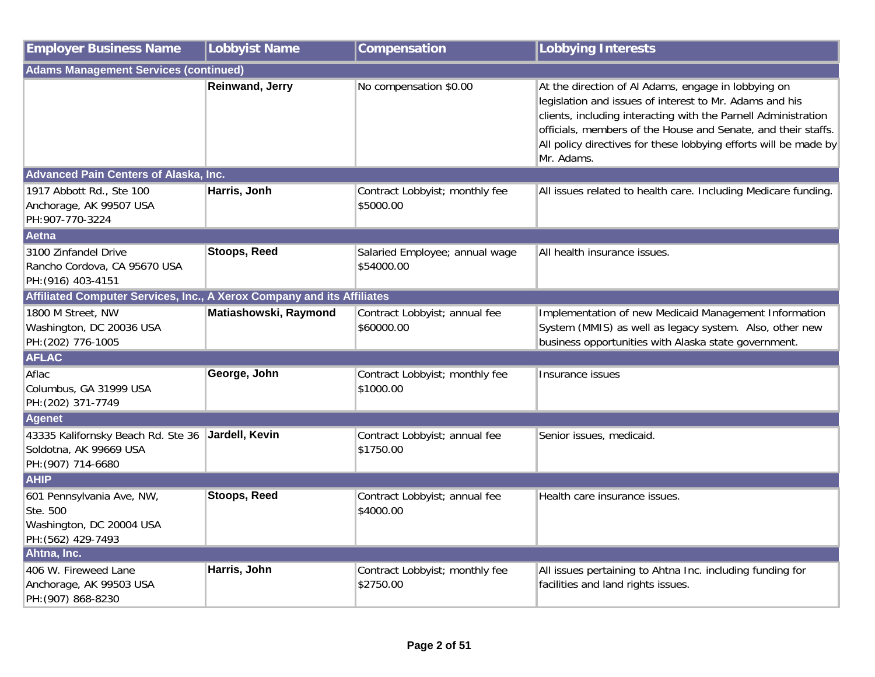| <b>Employer Business Name</b>                                                           | <b>Lobbyist Name</b>   | Compensation                                 | <b>Lobbying Interests</b>                                                                                                                                                                                                                                                                                                           |
|-----------------------------------------------------------------------------------------|------------------------|----------------------------------------------|-------------------------------------------------------------------------------------------------------------------------------------------------------------------------------------------------------------------------------------------------------------------------------------------------------------------------------------|
| <b>Adams Management Services (continued)</b>                                            |                        |                                              |                                                                                                                                                                                                                                                                                                                                     |
|                                                                                         | <b>Reinwand, Jerry</b> | No compensation \$0.00                       | At the direction of Al Adams, engage in lobbying on<br>legislation and issues of interest to Mr. Adams and his<br>clients, including interacting with the Parnell Administration<br>officials, members of the House and Senate, and their staffs.<br>All policy directives for these lobbying efforts will be made by<br>Mr. Adams. |
| <b>Advanced Pain Centers of Alaska, Inc.</b>                                            |                        |                                              |                                                                                                                                                                                                                                                                                                                                     |
| 1917 Abbott Rd., Ste 100<br>Anchorage, AK 99507 USA<br>PH:907-770-3224                  | Harris, Jonh           | Contract Lobbyist; monthly fee<br>\$5000.00  | All issues related to health care. Including Medicare funding.                                                                                                                                                                                                                                                                      |
| Aetna                                                                                   |                        |                                              |                                                                                                                                                                                                                                                                                                                                     |
| 3100 Zinfandel Drive<br>Rancho Cordova, CA 95670 USA<br>PH: (916) 403-4151              | <b>Stoops, Reed</b>    | Salaried Employee; annual wage<br>\$54000.00 | All health insurance issues.                                                                                                                                                                                                                                                                                                        |
| Affiliated Computer Services, Inc., A Xerox Company and its Affiliates                  |                        |                                              |                                                                                                                                                                                                                                                                                                                                     |
| 1800 M Street, NW<br>Washington, DC 20036 USA<br>PH: (202) 776-1005                     | Matiashowski, Raymond  | Contract Lobbyist; annual fee<br>\$60000.00  | Implementation of new Medicaid Management Information<br>System (MMIS) as well as legacy system. Also, other new<br>business opportunities with Alaska state government.                                                                                                                                                            |
| <b>AFLAC</b>                                                                            |                        |                                              |                                                                                                                                                                                                                                                                                                                                     |
| Aflac<br>Columbus, GA 31999 USA<br>PH: (202) 371-7749                                   | George, John           | Contract Lobbyist; monthly fee<br>\$1000.00  | Insurance issues                                                                                                                                                                                                                                                                                                                    |
| <b>Agenet</b>                                                                           |                        |                                              |                                                                                                                                                                                                                                                                                                                                     |
| 43335 Kalifornsky Beach Rd. Ste 36<br>Soldotna, AK 99669 USA<br>PH: (907) 714-6680      | Jardell, Kevin         | Contract Lobbyist; annual fee<br>\$1750.00   | Senior issues, medicaid.                                                                                                                                                                                                                                                                                                            |
| <b>AHIP</b>                                                                             |                        |                                              |                                                                                                                                                                                                                                                                                                                                     |
| 601 Pennsylvania Ave, NW,<br>Ste. 500<br>Washington, DC 20004 USA<br>PH: (562) 429-7493 | <b>Stoops, Reed</b>    | Contract Lobbyist; annual fee<br>\$4000.00   | Health care insurance issues.                                                                                                                                                                                                                                                                                                       |
| Ahtna, Inc.                                                                             |                        |                                              |                                                                                                                                                                                                                                                                                                                                     |
| 406 W. Fireweed Lane<br>Anchorage, AK 99503 USA<br>PH: (907) 868-8230                   | Harris, John           | Contract Lobbyist; monthly fee<br>\$2750.00  | All issues pertaining to Ahtna Inc. including funding for<br>facilities and land rights issues.                                                                                                                                                                                                                                     |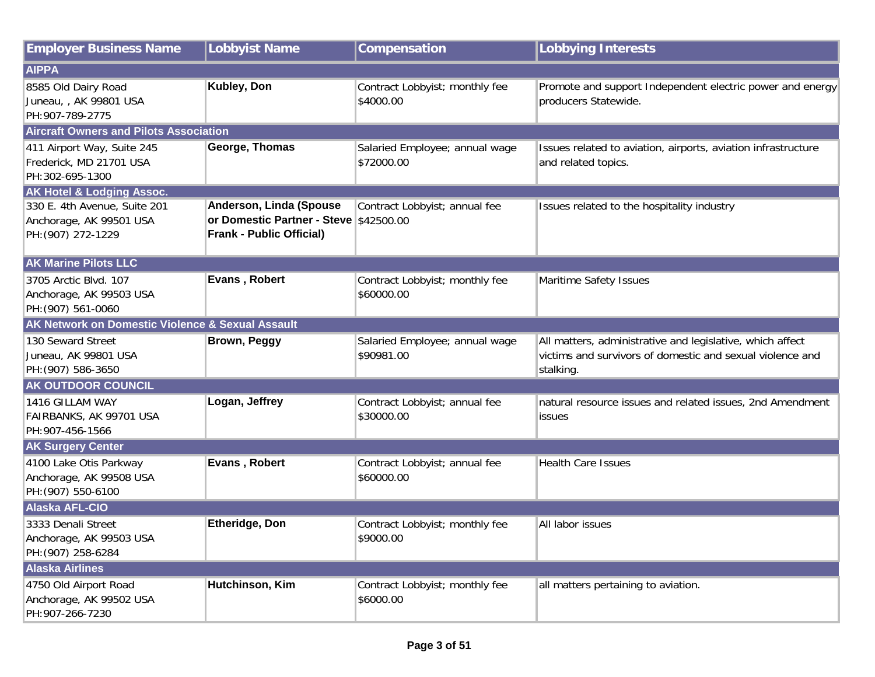| <b>Employer Business Name</b>                    | <b>Lobbyist Name</b>                   | Compensation                   | <b>Lobbying Interests</b>                                     |
|--------------------------------------------------|----------------------------------------|--------------------------------|---------------------------------------------------------------|
| <b>AIPPA</b>                                     |                                        |                                |                                                               |
| 8585 Old Dairy Road                              | Kubley, Don                            | Contract Lobbyist; monthly fee | Promote and support Independent electric power and energy     |
| Juneau, , AK 99801 USA                           |                                        | \$4000.00                      | producers Statewide.                                          |
| PH:907-789-2775                                  |                                        |                                |                                                               |
| <b>Aircraft Owners and Pilots Association</b>    |                                        |                                |                                                               |
| 411 Airport Way, Suite 245                       | George, Thomas                         | Salaried Employee; annual wage | Issues related to aviation, airports, aviation infrastructure |
| Frederick, MD 21701 USA                          |                                        | \$72000.00                     | and related topics.                                           |
| PH:302-695-1300                                  |                                        |                                |                                                               |
| <b>AK Hotel &amp; Lodging Assoc.</b>             |                                        |                                |                                                               |
| 330 E. 4th Avenue, Suite 201                     | Anderson, Linda (Spouse                | Contract Lobbyist; annual fee  | Issues related to the hospitality industry                    |
| Anchorage, AK 99501 USA                          | or Domestic Partner - Steve \$42500.00 |                                |                                                               |
| PH: (907) 272-1229                               | <b>Frank - Public Official)</b>        |                                |                                                               |
| <b>AK Marine Pilots LLC</b>                      |                                        |                                |                                                               |
| 3705 Arctic Blvd. 107                            | Evans, Robert                          | Contract Lobbyist; monthly fee | Maritime Safety Issues                                        |
| Anchorage, AK 99503 USA                          |                                        | \$60000.00                     |                                                               |
| PH: (907) 561-0060                               |                                        |                                |                                                               |
| AK Network on Domestic Violence & Sexual Assault |                                        |                                |                                                               |
| 130 Seward Street                                | <b>Brown, Peggy</b>                    | Salaried Employee; annual wage | All matters, administrative and legislative, which affect     |
| Juneau, AK 99801 USA                             |                                        | \$90981.00                     | victims and survivors of domestic and sexual violence and     |
| PH: (907) 586-3650                               |                                        |                                | stalking.                                                     |
| <b>AK OUTDOOR COUNCIL</b>                        |                                        |                                |                                                               |
| 1416 GILLAM WAY                                  | Logan, Jeffrey                         | Contract Lobbyist; annual fee  | natural resource issues and related issues, 2nd Amendment     |
| FAIRBANKS, AK 99701 USA                          |                                        | \$30000.00                     | <b>issues</b>                                                 |
| PH:907-456-1566                                  |                                        |                                |                                                               |
| <b>AK Surgery Center</b>                         |                                        |                                |                                                               |
| 4100 Lake Otis Parkway                           | Evans, Robert                          | Contract Lobbyist; annual fee  | <b>Health Care Issues</b>                                     |
| Anchorage, AK 99508 USA                          |                                        | \$60000.00                     |                                                               |
| PH: (907) 550-6100                               |                                        |                                |                                                               |
| <b>Alaska AFL-CIO</b>                            |                                        |                                |                                                               |
| 3333 Denali Street                               | <b>Etheridge, Don</b>                  | Contract Lobbyist; monthly fee | All labor issues                                              |
| Anchorage, AK 99503 USA                          |                                        | \$9000.00                      |                                                               |
| PH: (907) 258-6284                               |                                        |                                |                                                               |
| <b>Alaska Airlines</b>                           |                                        |                                |                                                               |
| 4750 Old Airport Road                            | Hutchinson, Kim                        | Contract Lobbyist; monthly fee | all matters pertaining to aviation.                           |
| Anchorage, AK 99502 USA                          |                                        | \$6000.00                      |                                                               |
| PH:907-266-7230                                  |                                        |                                |                                                               |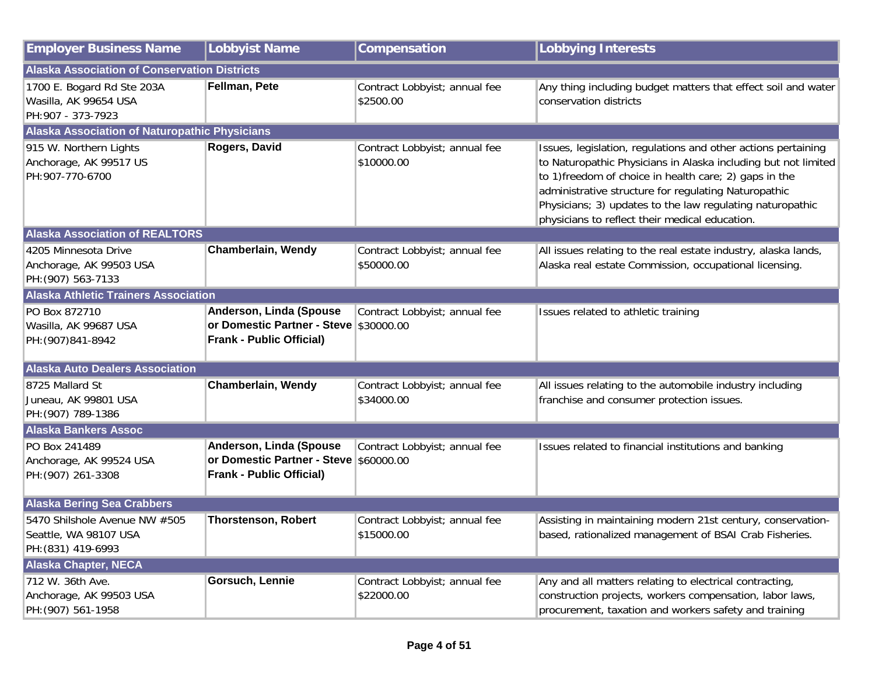| <b>Employer Business Name</b>                                                | <b>Lobbyist Name</b>                                                                                 | Compensation                                | <b>Lobbying Interests</b>                                                                                                                                                                                                                                                                                                                                        |  |
|------------------------------------------------------------------------------|------------------------------------------------------------------------------------------------------|---------------------------------------------|------------------------------------------------------------------------------------------------------------------------------------------------------------------------------------------------------------------------------------------------------------------------------------------------------------------------------------------------------------------|--|
| <b>Alaska Association of Conservation Districts</b>                          |                                                                                                      |                                             |                                                                                                                                                                                                                                                                                                                                                                  |  |
| 1700 E. Bogard Rd Ste 203A<br>Wasilla, AK 99654 USA<br>PH:907 - 373-7923     | Fellman, Pete                                                                                        | Contract Lobbyist; annual fee<br>\$2500.00  | Any thing including budget matters that effect soil and water<br>conservation districts                                                                                                                                                                                                                                                                          |  |
| Alaska Association of Naturopathic Physicians                                |                                                                                                      |                                             |                                                                                                                                                                                                                                                                                                                                                                  |  |
| 915 W. Northern Lights<br>Anchorage, AK 99517 US<br>PH:907-770-6700          | Rogers, David                                                                                        | Contract Lobbyist; annual fee<br>\$10000.00 | Issues, legislation, regulations and other actions pertaining<br>to Naturopathic Physicians in Alaska including but not limited<br>to 1) freedom of choice in health care; 2) gaps in the<br>administrative structure for regulating Naturopathic<br>Physicians; 3) updates to the law regulating naturopathic<br>physicians to reflect their medical education. |  |
| <b>Alaska Association of REALTORS</b>                                        |                                                                                                      |                                             |                                                                                                                                                                                                                                                                                                                                                                  |  |
| 4205 Minnesota Drive<br>Anchorage, AK 99503 USA<br>PH: (907) 563-7133        | Chamberlain, Wendy                                                                                   | Contract Lobbyist; annual fee<br>\$50000.00 | All issues relating to the real estate industry, alaska lands,<br>Alaska real estate Commission, occupational licensing.                                                                                                                                                                                                                                         |  |
| <b>Alaska Athletic Trainers Association</b>                                  |                                                                                                      |                                             |                                                                                                                                                                                                                                                                                                                                                                  |  |
| PO Box 872710<br>Wasilla, AK 99687 USA<br>PH: (907) 841-8942                 | Anderson, Linda (Spouse<br>or Domestic Partner - Steve \$30000.00<br><b>Frank - Public Official)</b> | Contract Lobbyist; annual fee               | Issues related to athletic training                                                                                                                                                                                                                                                                                                                              |  |
| <b>Alaska Auto Dealers Association</b>                                       |                                                                                                      |                                             |                                                                                                                                                                                                                                                                                                                                                                  |  |
| 8725 Mallard St<br>Juneau, AK 99801 USA<br>PH: (907) 789-1386                | <b>Chamberlain, Wendy</b>                                                                            | Contract Lobbyist; annual fee<br>\$34000.00 | All issues relating to the automobile industry including<br>franchise and consumer protection issues.                                                                                                                                                                                                                                                            |  |
| <b>Alaska Bankers Assoc</b>                                                  |                                                                                                      |                                             |                                                                                                                                                                                                                                                                                                                                                                  |  |
| PO Box 241489<br>Anchorage, AK 99524 USA<br>PH: (907) 261-3308               | Anderson, Linda (Spouse<br>or Domestic Partner - Steve \$60000.00<br><b>Frank - Public Official)</b> | Contract Lobbyist; annual fee               | Issues related to financial institutions and banking                                                                                                                                                                                                                                                                                                             |  |
| <b>Alaska Bering Sea Crabbers</b>                                            |                                                                                                      |                                             |                                                                                                                                                                                                                                                                                                                                                                  |  |
| 5470 Shilshole Avenue NW #505<br>Seattle, WA 98107 USA<br>PH: (831) 419-6993 | <b>Thorstenson, Robert</b>                                                                           | Contract Lobbyist; annual fee<br>\$15000.00 | Assisting in maintaining modern 21st century, conservation-<br>based, rationalized management of BSAI Crab Fisheries.                                                                                                                                                                                                                                            |  |
| <b>Alaska Chapter, NECA</b>                                                  |                                                                                                      |                                             |                                                                                                                                                                                                                                                                                                                                                                  |  |
| 712 W. 36th Ave.<br>Anchorage, AK 99503 USA<br>PH: (907) 561-1958            | <b>Gorsuch, Lennie</b>                                                                               | Contract Lobbyist; annual fee<br>\$22000.00 | Any and all matters relating to electrical contracting,<br>construction projects, workers compensation, labor laws,<br>procurement, taxation and workers safety and training                                                                                                                                                                                     |  |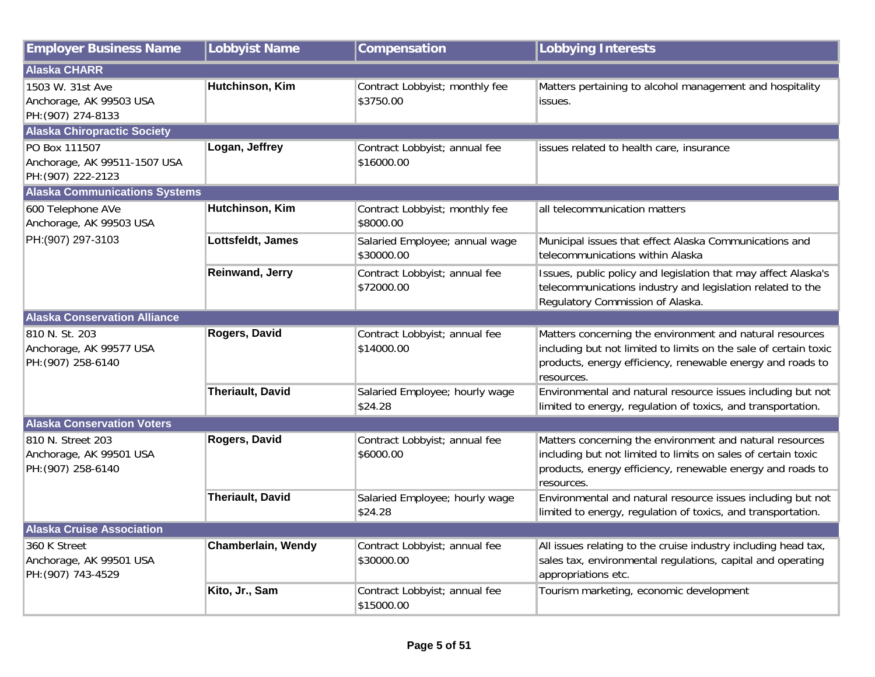| <b>Employer Business Name</b>                                       | Lobbyist Name             | Compensation                                 | <b>Lobbying Interests</b>                                                                                                                                                                                |
|---------------------------------------------------------------------|---------------------------|----------------------------------------------|----------------------------------------------------------------------------------------------------------------------------------------------------------------------------------------------------------|
| <b>Alaska CHARR</b>                                                 |                           |                                              |                                                                                                                                                                                                          |
| 1503 W. 31st Ave<br>Anchorage, AK 99503 USA<br>PH: (907) 274-8133   | Hutchinson, Kim           | Contract Lobbyist; monthly fee<br>\$3750.00  | Matters pertaining to alcohol management and hospitality<br>issues.                                                                                                                                      |
| <b>Alaska Chiropractic Society</b>                                  |                           |                                              |                                                                                                                                                                                                          |
| PO Box 111507<br>Anchorage, AK 99511-1507 USA<br>PH: (907) 222-2123 | Logan, Jeffrey            | Contract Lobbyist; annual fee<br>\$16000.00  | issues related to health care, insurance                                                                                                                                                                 |
| <b>Alaska Communications Systems</b>                                |                           |                                              |                                                                                                                                                                                                          |
| 600 Telephone AVe<br>Anchorage, AK 99503 USA                        | Hutchinson, Kim           | Contract Lobbyist; monthly fee<br>\$8000.00  | all telecommunication matters                                                                                                                                                                            |
| PH:(907) 297-3103                                                   | Lottsfeldt, James         | Salaried Employee; annual wage<br>\$30000.00 | Municipal issues that effect Alaska Communications and<br>telecommunications within Alaska                                                                                                               |
|                                                                     | Reinwand, Jerry           | Contract Lobbyist; annual fee<br>\$72000.00  | Issues, public policy and legislation that may affect Alaska's<br>telecommunications industry and legislation related to the<br>Regulatory Commission of Alaska.                                         |
| <b>Alaska Conservation Alliance</b>                                 |                           |                                              |                                                                                                                                                                                                          |
| 810 N. St. 203<br>Anchorage, AK 99577 USA<br>PH: (907) 258-6140     | Rogers, David             | Contract Lobbyist; annual fee<br>\$14000.00  | Matters concerning the environment and natural resources<br>including but not limited to limits on the sale of certain toxic<br>products, energy efficiency, renewable energy and roads to<br>resources. |
|                                                                     | <b>Theriault, David</b>   | Salaried Employee; hourly wage<br>\$24.28    | Environmental and natural resource issues including but not<br>limited to energy, regulation of toxics, and transportation.                                                                              |
| <b>Alaska Conservation Voters</b>                                   |                           |                                              |                                                                                                                                                                                                          |
| 810 N. Street 203<br>Anchorage, AK 99501 USA<br>PH: (907) 258-6140  | Rogers, David             | Contract Lobbyist; annual fee<br>\$6000.00   | Matters concerning the environment and natural resources<br>including but not limited to limits on sales of certain toxic<br>products, energy efficiency, renewable energy and roads to<br>resources.    |
|                                                                     | <b>Theriault, David</b>   | Salaried Employee; hourly wage<br>\$24.28    | Environmental and natural resource issues including but not<br>limited to energy, regulation of toxics, and transportation.                                                                              |
| <b>Alaska Cruise Association</b>                                    |                           |                                              |                                                                                                                                                                                                          |
| 360 K Street<br>Anchorage, AK 99501 USA<br>PH: (907) 743-4529       | <b>Chamberlain, Wendy</b> | Contract Lobbyist; annual fee<br>\$30000.00  | All issues relating to the cruise industry including head tax,<br>sales tax, environmental regulations, capital and operating<br>appropriations etc.                                                     |
|                                                                     | Kito, Jr., Sam            | Contract Lobbyist; annual fee<br>\$15000.00  | Tourism marketing, economic development                                                                                                                                                                  |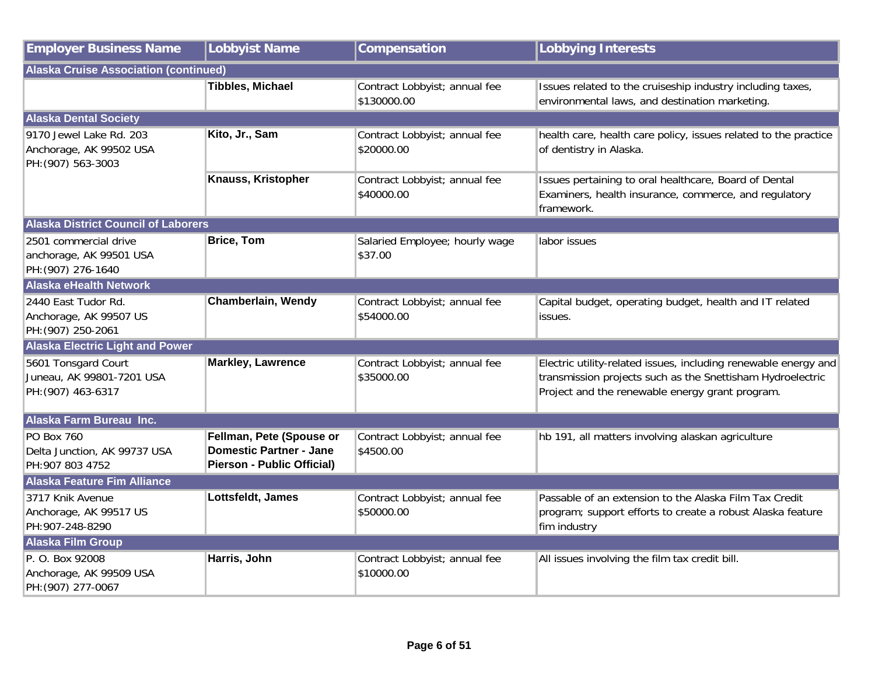| <b>Employer Business Name</b>                                            | <b>Lobbyist Name</b>                                                                     | Compensation                                 | <b>Lobbying Interests</b>                                                                                                                                                        |  |
|--------------------------------------------------------------------------|------------------------------------------------------------------------------------------|----------------------------------------------|----------------------------------------------------------------------------------------------------------------------------------------------------------------------------------|--|
| <b>Alaska Cruise Association (continued)</b>                             |                                                                                          |                                              |                                                                                                                                                                                  |  |
|                                                                          | <b>Tibbles, Michael</b>                                                                  | Contract Lobbyist; annual fee<br>\$130000.00 | Issues related to the cruiseship industry including taxes,<br>environmental laws, and destination marketing.                                                                     |  |
| <b>Alaska Dental Society</b>                                             |                                                                                          |                                              |                                                                                                                                                                                  |  |
| 9170 Jewel Lake Rd. 203<br>Anchorage, AK 99502 USA<br>PH: (907) 563-3003 | Kito, Jr., Sam                                                                           | Contract Lobbyist; annual fee<br>\$20000.00  | health care, health care policy, issues related to the practice<br>of dentistry in Alaska.                                                                                       |  |
|                                                                          | Knauss, Kristopher                                                                       | Contract Lobbyist; annual fee<br>\$40000.00  | Issues pertaining to oral healthcare, Board of Dental<br>Examiners, health insurance, commerce, and regulatory<br>framework.                                                     |  |
| <b>Alaska District Council of Laborers</b>                               |                                                                                          |                                              |                                                                                                                                                                                  |  |
| 2501 commercial drive<br>anchorage, AK 99501 USA<br>PH: (907) 276-1640   | <b>Brice, Tom</b>                                                                        | Salaried Employee; hourly wage<br>\$37.00    | labor issues                                                                                                                                                                     |  |
| <b>Alaska eHealth Network</b>                                            |                                                                                          |                                              |                                                                                                                                                                                  |  |
| 2440 East Tudor Rd.<br>Anchorage, AK 99507 US<br>PH: (907) 250-2061      | Chamberlain, Wendy                                                                       | Contract Lobbyist; annual fee<br>\$54000.00  | Capital budget, operating budget, health and IT related<br>issues.                                                                                                               |  |
| <b>Alaska Electric Light and Power</b>                                   |                                                                                          |                                              |                                                                                                                                                                                  |  |
| 5601 Tonsgard Court<br>Juneau, AK 99801-7201 USA<br>PH: (907) 463-6317   | <b>Markley, Lawrence</b>                                                                 | Contract Lobbyist; annual fee<br>\$35000.00  | Electric utility-related issues, including renewable energy and<br>transmission projects such as the Snettisham Hydroelectric<br>Project and the renewable energy grant program. |  |
| Alaska Farm Bureau Inc.                                                  |                                                                                          |                                              |                                                                                                                                                                                  |  |
| PO Box 760<br>Delta Junction, AK 99737 USA<br>PH: 907 803 4752           | Fellman, Pete (Spouse or<br><b>Domestic Partner - Jane</b><br>Pierson - Public Official) | Contract Lobbyist; annual fee<br>\$4500.00   | hb 191, all matters involving alaskan agriculture                                                                                                                                |  |
| <b>Alaska Feature Fim Alliance</b>                                       |                                                                                          |                                              |                                                                                                                                                                                  |  |
| 3717 Knik Avenue<br>Anchorage, AK 99517 US<br>PH:907-248-8290            | Lottsfeldt, James                                                                        | Contract Lobbyist; annual fee<br>\$50000.00  | Passable of an extension to the Alaska Film Tax Credit<br>program; support efforts to create a robust Alaska feature<br>fim industry                                             |  |
| <b>Alaska Film Group</b>                                                 |                                                                                          |                                              |                                                                                                                                                                                  |  |
| P. O. Box 92008<br>Anchorage, AK 99509 USA<br>PH: (907) 277-0067         | Harris, John                                                                             | Contract Lobbyist; annual fee<br>\$10000.00  | All issues involving the film tax credit bill.                                                                                                                                   |  |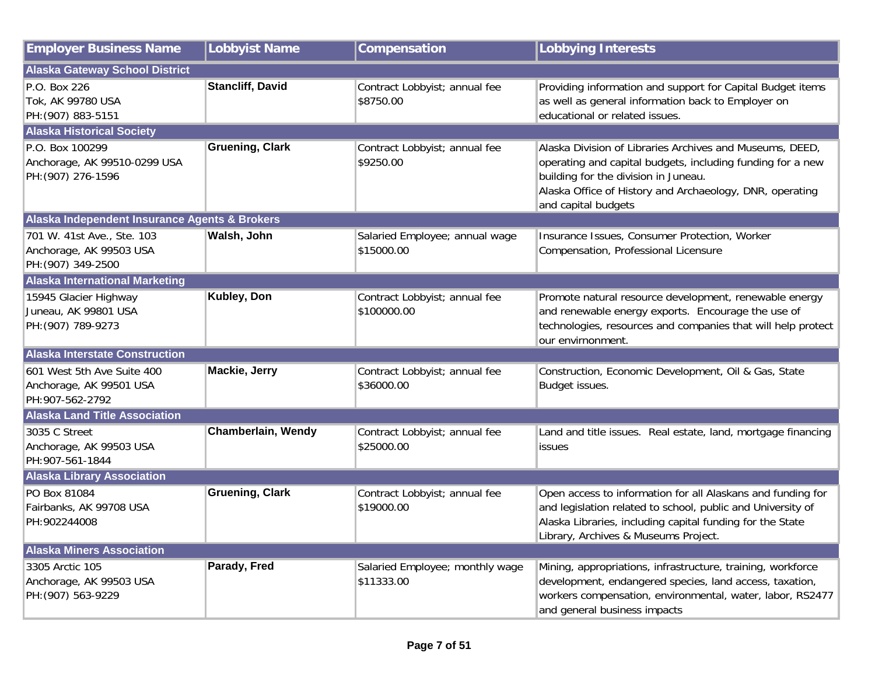| <b>Employer Business Name</b>                                               | <b>Lobbyist Name</b>    | Compensation                                  | <b>Lobbying Interests</b>                                                                                                                                                                                                                         |
|-----------------------------------------------------------------------------|-------------------------|-----------------------------------------------|---------------------------------------------------------------------------------------------------------------------------------------------------------------------------------------------------------------------------------------------------|
| <b>Alaska Gateway School District</b>                                       |                         |                                               |                                                                                                                                                                                                                                                   |
| P.O. Box 226<br>Tok, AK 99780 USA<br>PH: (907) 883-5151                     | <b>Stancliff, David</b> | Contract Lobbyist; annual fee<br>\$8750.00    | Providing information and support for Capital Budget items<br>as well as general information back to Employer on<br>educational or related issues.                                                                                                |
| <b>Alaska Historical Society</b>                                            |                         |                                               |                                                                                                                                                                                                                                                   |
| P.O. Box 100299<br>Anchorage, AK 99510-0299 USA<br>PH: (907) 276-1596       | <b>Gruening, Clark</b>  | Contract Lobbyist; annual fee<br>\$9250.00    | Alaska Division of Libraries Archives and Museums, DEED,<br>operating and capital budgets, including funding for a new<br>building for the division in Juneau.<br>Alaska Office of History and Archaeology, DNR, operating<br>and capital budgets |
| Alaska Independent Insurance Agents & Brokers                               |                         |                                               |                                                                                                                                                                                                                                                   |
| 701 W. 41st Ave., Ste. 103<br>Anchorage, AK 99503 USA<br>PH: (907) 349-2500 | Walsh, John             | Salaried Employee; annual wage<br>\$15000.00  | Insurance Issues, Consumer Protection, Worker<br>Compensation, Professional Licensure                                                                                                                                                             |
| <b>Alaska International Marketing</b>                                       |                         |                                               |                                                                                                                                                                                                                                                   |
| 15945 Glacier Highway<br>Juneau, AK 99801 USA<br>PH: (907) 789-9273         | Kubley, Don             | Contract Lobbyist; annual fee<br>\$100000.00  | Promote natural resource development, renewable energy<br>and renewable energy exports. Encourage the use of<br>technologies, resources and companies that will help protect<br>our envirnonment.                                                 |
| <b>Alaska Interstate Construction</b>                                       |                         |                                               |                                                                                                                                                                                                                                                   |
| 601 West 5th Ave Suite 400<br>Anchorage, AK 99501 USA<br>PH:907-562-2792    | Mackie, Jerry           | Contract Lobbyist; annual fee<br>\$36000.00   | Construction, Economic Development, Oil & Gas, State<br>Budget issues.                                                                                                                                                                            |
| <b>Alaska Land Title Association</b>                                        |                         |                                               |                                                                                                                                                                                                                                                   |
| 3035 C Street<br>Anchorage, AK 99503 USA<br>PH:907-561-1844                 | Chamberlain, Wendy      | Contract Lobbyist; annual fee<br>\$25000.00   | Land and title issues. Real estate, land, mortgage financing<br>lissues                                                                                                                                                                           |
| <b>Alaska Library Association</b>                                           |                         |                                               |                                                                                                                                                                                                                                                   |
| PO Box 81084<br>Fairbanks, AK 99708 USA<br>PH:902244008                     | <b>Gruening, Clark</b>  | Contract Lobbyist; annual fee<br>\$19000.00   | Open access to information for all Alaskans and funding for<br>and legislation related to school, public and University of<br>Alaska Libraries, including capital funding for the State<br>Library, Archives & Museums Project.                   |
| <b>Alaska Miners Association</b>                                            |                         |                                               |                                                                                                                                                                                                                                                   |
| 3305 Arctic 105<br>Anchorage, AK 99503 USA<br>PH: (907) 563-9229            | Parady, Fred            | Salaried Employee; monthly wage<br>\$11333.00 | Mining, appropriations, infrastructure, training, workforce<br>development, endangered species, land access, taxation,<br>workers compensation, environmental, water, labor, RS2477<br>and general business impacts                               |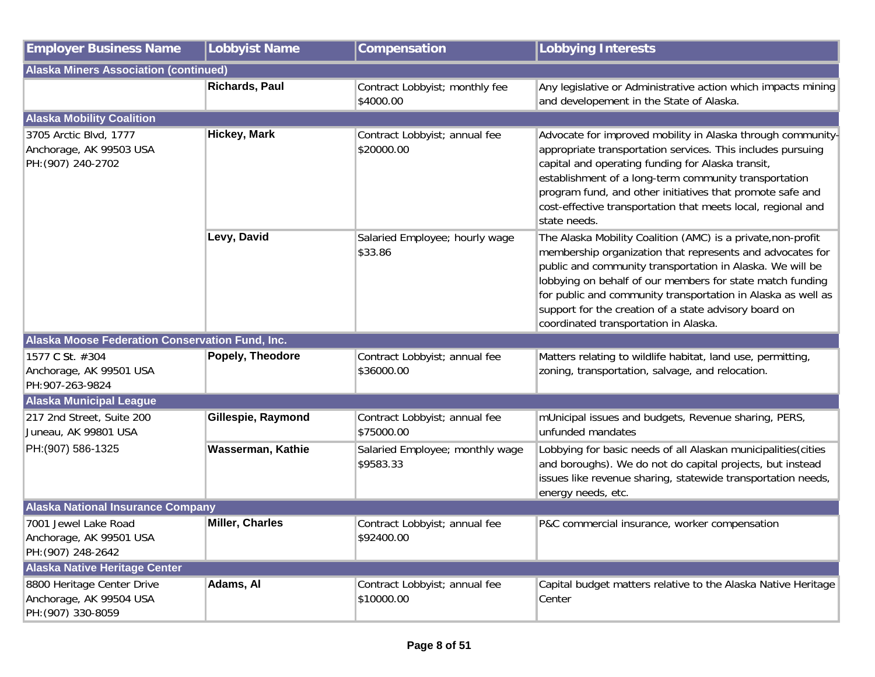| <b>Employer Business Name</b>                                               | Lobbyist Name         | <b>Compensation</b>                          | <b>Lobbying Interests</b>                                                                                                                                                                                                                                                                                                                                                                                             |
|-----------------------------------------------------------------------------|-----------------------|----------------------------------------------|-----------------------------------------------------------------------------------------------------------------------------------------------------------------------------------------------------------------------------------------------------------------------------------------------------------------------------------------------------------------------------------------------------------------------|
| <b>Alaska Miners Association (continued)</b>                                |                       |                                              |                                                                                                                                                                                                                                                                                                                                                                                                                       |
|                                                                             | <b>Richards, Paul</b> | Contract Lobbyist; monthly fee<br>\$4000.00  | Any legislative or Administrative action which impacts mining<br>and developement in the State of Alaska.                                                                                                                                                                                                                                                                                                             |
| <b>Alaska Mobility Coalition</b>                                            |                       |                                              |                                                                                                                                                                                                                                                                                                                                                                                                                       |
| 3705 Arctic Blvd, 1777<br>Anchorage, AK 99503 USA<br>PH: (907) 240-2702     | <b>Hickey, Mark</b>   | Contract Lobbyist; annual fee<br>\$20000.00  | Advocate for improved mobility in Alaska through community-<br>appropriate transportation services. This includes pursuing<br>capital and operating funding for Alaska transit,<br>establishment of a long-term community transportation<br>program fund, and other initiatives that promote safe and<br>cost-effective transportation that meets local, regional and<br>state needs.                                 |
|                                                                             | Levy, David           | Salaried Employee; hourly wage<br>\$33.86    | The Alaska Mobility Coalition (AMC) is a private, non-profit<br>membership organization that represents and advocates for<br>public and community transportation in Alaska. We will be<br>lobbying on behalf of our members for state match funding<br>for public and community transportation in Alaska as well as<br>support for the creation of a state advisory board on<br>coordinated transportation in Alaska. |
| Alaska Moose Federation Conservation Fund, Inc.                             |                       |                                              |                                                                                                                                                                                                                                                                                                                                                                                                                       |
| 1577 C St. #304<br>Anchorage, AK 99501 USA<br>PH:907-263-9824               | Popely, Theodore      | Contract Lobbyist; annual fee<br>\$36000.00  | Matters relating to wildlife habitat, land use, permitting,<br>zoning, transportation, salvage, and relocation.                                                                                                                                                                                                                                                                                                       |
| <b>Alaska Municipal League</b>                                              |                       |                                              |                                                                                                                                                                                                                                                                                                                                                                                                                       |
| 217 2nd Street, Suite 200<br>Juneau, AK 99801 USA                           | Gillespie, Raymond    | Contract Lobbyist; annual fee<br>\$75000.00  | mUnicipal issues and budgets, Revenue sharing, PERS,<br>unfunded mandates                                                                                                                                                                                                                                                                                                                                             |
| PH: (907) 586-1325                                                          | Wasserman, Kathie     | Salaried Employee; monthly wage<br>\$9583.33 | Lobbying for basic needs of all Alaskan municipalities (cities<br>and boroughs). We do not do capital projects, but instead<br>issues like revenue sharing, statewide transportation needs,<br>energy needs, etc.                                                                                                                                                                                                     |
| <b>Alaska National Insurance Company</b>                                    |                       |                                              |                                                                                                                                                                                                                                                                                                                                                                                                                       |
| 7001 Jewel Lake Road<br>Anchorage, AK 99501 USA<br>PH: (907) 248-2642       | Miller, Charles       | Contract Lobbyist; annual fee<br>\$92400.00  | P&C commercial insurance, worker compensation                                                                                                                                                                                                                                                                                                                                                                         |
| <b>Alaska Native Heritage Center</b>                                        |                       |                                              |                                                                                                                                                                                                                                                                                                                                                                                                                       |
| 8800 Heritage Center Drive<br>Anchorage, AK 99504 USA<br>PH: (907) 330-8059 | Adams, Al             | Contract Lobbyist; annual fee<br>\$10000.00  | Capital budget matters relative to the Alaska Native Heritage<br>Center                                                                                                                                                                                                                                                                                                                                               |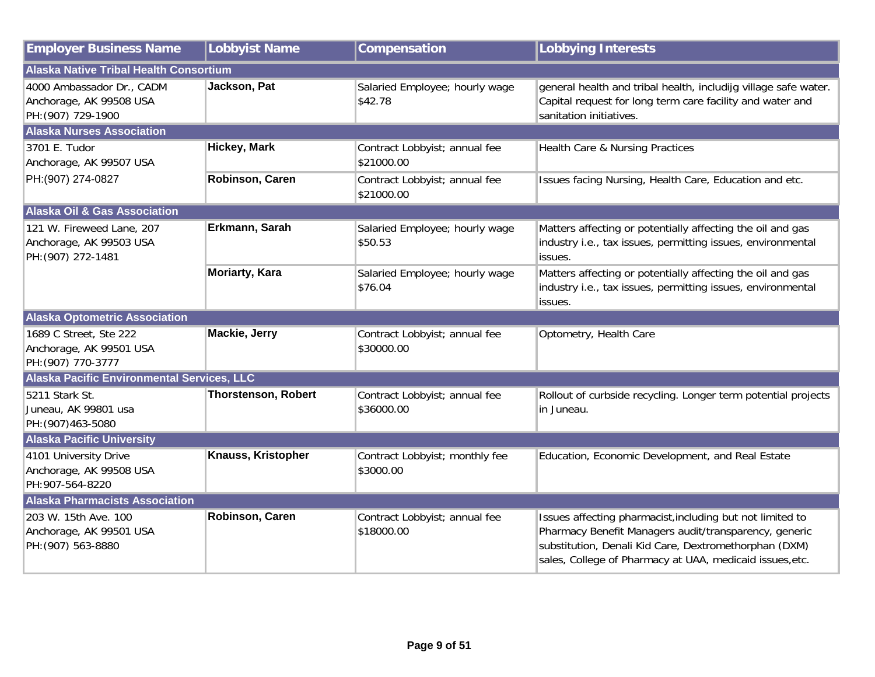| <b>Employer Business Name</b>                                              | Lobbyist Name              | Compensation                                | <b>Lobbying Interests</b>                                                                                                                                                                                                               |
|----------------------------------------------------------------------------|----------------------------|---------------------------------------------|-----------------------------------------------------------------------------------------------------------------------------------------------------------------------------------------------------------------------------------------|
| <b>Alaska Native Tribal Health Consortium</b>                              |                            |                                             |                                                                                                                                                                                                                                         |
| 4000 Ambassador Dr., CADM<br>Anchorage, AK 99508 USA<br>PH: (907) 729-1900 | Jackson, Pat               | Salaried Employee; hourly wage<br>\$42.78   | general health and tribal health, includijg village safe water.<br>Capital request for long term care facility and water and<br>sanitation initiatives.                                                                                 |
| <b>Alaska Nurses Association</b>                                           |                            |                                             |                                                                                                                                                                                                                                         |
| 3701 E. Tudor<br>Anchorage, AK 99507 USA                                   | <b>Hickey, Mark</b>        | Contract Lobbyist; annual fee<br>\$21000.00 | Health Care & Nursing Practices                                                                                                                                                                                                         |
| PH: (907) 274-0827                                                         | Robinson, Caren            | Contract Lobbyist; annual fee<br>\$21000.00 | Issues facing Nursing, Health Care, Education and etc.                                                                                                                                                                                  |
| <b>Alaska Oil &amp; Gas Association</b>                                    |                            |                                             |                                                                                                                                                                                                                                         |
| 121 W. Fireweed Lane, 207<br>Anchorage, AK 99503 USA<br>PH: (907) 272-1481 | Erkmann, Sarah             | Salaried Employee; hourly wage<br>\$50.53   | Matters affecting or potentially affecting the oil and gas<br>industry i.e., tax issues, permitting issues, environmental<br>issues.                                                                                                    |
|                                                                            | <b>Moriarty, Kara</b>      | Salaried Employee; hourly wage<br>\$76.04   | Matters affecting or potentially affecting the oil and gas<br>industry i.e., tax issues, permitting issues, environmental<br>issues.                                                                                                    |
| <b>Alaska Optometric Association</b>                                       |                            |                                             |                                                                                                                                                                                                                                         |
| 1689 C Street, Ste 222<br>Anchorage, AK 99501 USA<br>PH: (907) 770-3777    | <b>Mackie, Jerry</b>       | Contract Lobbyist; annual fee<br>\$30000.00 | Optometry, Health Care                                                                                                                                                                                                                  |
| <b>Alaska Pacific Environmental Services, LLC</b>                          |                            |                                             |                                                                                                                                                                                                                                         |
| 5211 Stark St.<br>Juneau, AK 99801 usa<br>PH: (907) 463-5080               | <b>Thorstenson, Robert</b> | Contract Lobbyist; annual fee<br>\$36000.00 | Rollout of curbside recycling. Longer term potential projects<br>in Juneau.                                                                                                                                                             |
| <b>Alaska Pacific University</b>                                           |                            |                                             |                                                                                                                                                                                                                                         |
| 4101 University Drive<br>Anchorage, AK 99508 USA<br>PH:907-564-8220        | Knauss, Kristopher         | Contract Lobbyist; monthly fee<br>\$3000.00 | Education, Economic Development, and Real Estate                                                                                                                                                                                        |
| <b>Alaska Pharmacists Association</b>                                      |                            |                                             |                                                                                                                                                                                                                                         |
| 203 W. 15th Ave. 100<br>Anchorage, AK 99501 USA<br>PH: (907) 563-8880      | Robinson, Caren            | Contract Lobbyist; annual fee<br>\$18000.00 | Issues affecting pharmacist, including but not limited to<br>Pharmacy Benefit Managers audit/transparency, generic<br>substitution, Denali Kid Care, Dextromethorphan (DXM)<br>sales, College of Pharmacy at UAA, medicaid issues, etc. |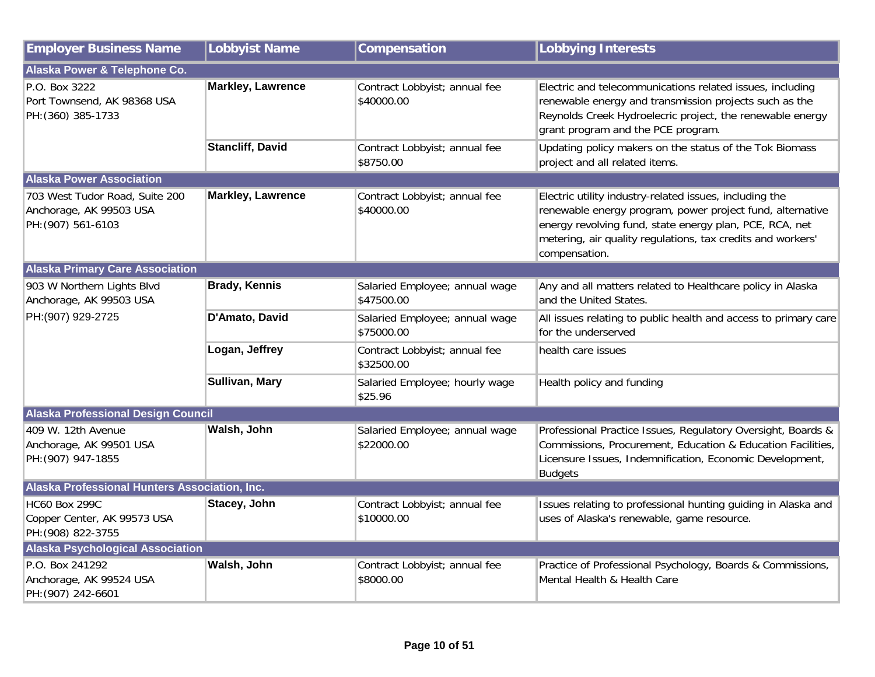| <b>Employer Business Name</b>                                                   | <b>Lobbyist Name</b>     | Compensation                                 | <b>Lobbying Interests</b>                                                                                                                                                                                                                                       |
|---------------------------------------------------------------------------------|--------------------------|----------------------------------------------|-----------------------------------------------------------------------------------------------------------------------------------------------------------------------------------------------------------------------------------------------------------------|
| Alaska Power & Telephone Co.                                                    |                          |                                              |                                                                                                                                                                                                                                                                 |
| P.O. Box 3222<br>Port Townsend, AK 98368 USA<br>PH: (360) 385-1733              | <b>Markley, Lawrence</b> | Contract Lobbyist; annual fee<br>\$40000.00  | Electric and telecommunications related issues, including<br>renewable energy and transmission projects such as the<br>Reynolds Creek Hydroelecric project, the renewable energy<br>grant program and the PCE program.                                          |
|                                                                                 | <b>Stancliff, David</b>  | Contract Lobbyist; annual fee<br>\$8750.00   | Updating policy makers on the status of the Tok Biomass<br>project and all related items.                                                                                                                                                                       |
| <b>Alaska Power Association</b>                                                 |                          |                                              |                                                                                                                                                                                                                                                                 |
| 703 West Tudor Road, Suite 200<br>Anchorage, AK 99503 USA<br>PH: (907) 561-6103 | <b>Markley, Lawrence</b> | Contract Lobbyist; annual fee<br>\$40000.00  | Electric utility industry-related issues, including the<br>renewable energy program, power project fund, alternative<br>energy revolving fund, state energy plan, PCE, RCA, net<br>metering, air quality regulations, tax credits and workers'<br>compensation. |
| <b>Alaska Primary Care Association</b>                                          |                          |                                              |                                                                                                                                                                                                                                                                 |
| 903 W Northern Lights Blvd<br>Anchorage, AK 99503 USA                           | <b>Brady, Kennis</b>     | Salaried Employee; annual wage<br>\$47500.00 | Any and all matters related to Healthcare policy in Alaska<br>and the United States.                                                                                                                                                                            |
| PH: (907) 929-2725                                                              | D'Amato, David           | Salaried Employee; annual wage<br>\$75000.00 | All issues relating to public health and access to primary care<br>for the underserved                                                                                                                                                                          |
|                                                                                 | Logan, Jeffrey           | Contract Lobbyist; annual fee<br>\$32500.00  | health care issues                                                                                                                                                                                                                                              |
|                                                                                 | Sullivan, Mary           | Salaried Employee; hourly wage<br>\$25.96    | Health policy and funding                                                                                                                                                                                                                                       |
| <b>Alaska Professional Design Council</b>                                       |                          |                                              |                                                                                                                                                                                                                                                                 |
| 409 W. 12th Avenue<br>Anchorage, AK 99501 USA<br>PH: (907) 947-1855             | Walsh, John              | Salaried Employee; annual wage<br>\$22000.00 | Professional Practice Issues, Regulatory Oversight, Boards &<br>Commissions, Procurement, Education & Education Facilities,<br>Licensure Issues, Indemnification, Economic Development,<br><b>Budgets</b>                                                       |
| Alaska Professional Hunters Association, Inc.                                   |                          |                                              |                                                                                                                                                                                                                                                                 |
| <b>HC60 Box 299C</b><br>Copper Center, AK 99573 USA<br>PH: (908) 822-3755       | Stacey, John             | Contract Lobbyist; annual fee<br>\$10000.00  | Issues relating to professional hunting guiding in Alaska and<br>uses of Alaska's renewable, game resource.                                                                                                                                                     |
| <b>Alaska Psychological Association</b>                                         |                          |                                              |                                                                                                                                                                                                                                                                 |
| P.O. Box 241292<br>Anchorage, AK 99524 USA<br>PH: (907) 242-6601                | Walsh, John              | Contract Lobbyist; annual fee<br>\$8000.00   | Practice of Professional Psychology, Boards & Commissions,<br>Mental Health & Health Care                                                                                                                                                                       |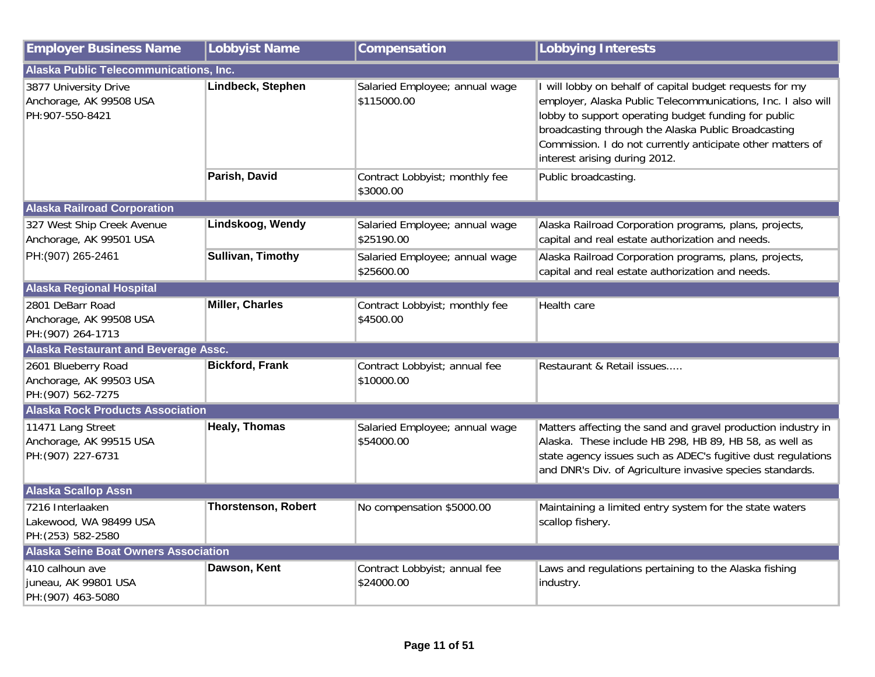| <b>Employer Business Name</b>                                        | <b>Lobbyist Name</b>       | Compensation                                  | <b>Lobbying Interests</b>                                                                                                                                                                                                                                                                                                              |  |
|----------------------------------------------------------------------|----------------------------|-----------------------------------------------|----------------------------------------------------------------------------------------------------------------------------------------------------------------------------------------------------------------------------------------------------------------------------------------------------------------------------------------|--|
| Alaska Public Telecommunications, Inc.                               |                            |                                               |                                                                                                                                                                                                                                                                                                                                        |  |
| 3877 University Drive<br>Anchorage, AK 99508 USA<br>PH:907-550-8421  | Lindbeck, Stephen          | Salaried Employee; annual wage<br>\$115000.00 | I will lobby on behalf of capital budget requests for my<br>employer, Alaska Public Telecommunications, Inc. I also will<br>lobby to support operating budget funding for public<br>broadcasting through the Alaska Public Broadcasting<br>Commission. I do not currently anticipate other matters of<br>interest arising during 2012. |  |
|                                                                      | Parish, David              | Contract Lobbyist; monthly fee<br>\$3000.00   | Public broadcasting.                                                                                                                                                                                                                                                                                                                   |  |
| <b>Alaska Railroad Corporation</b>                                   |                            |                                               |                                                                                                                                                                                                                                                                                                                                        |  |
| 327 West Ship Creek Avenue<br>Anchorage, AK 99501 USA                | Lindskoog, Wendy           | Salaried Employee; annual wage<br>\$25190.00  | Alaska Railroad Corporation programs, plans, projects,<br>capital and real estate authorization and needs.                                                                                                                                                                                                                             |  |
| PH:(907) 265-2461                                                    | Sullivan, Timothy          | Salaried Employee; annual wage<br>\$25600.00  | Alaska Railroad Corporation programs, plans, projects,<br>capital and real estate authorization and needs.                                                                                                                                                                                                                             |  |
| <b>Alaska Regional Hospital</b>                                      |                            |                                               |                                                                                                                                                                                                                                                                                                                                        |  |
| 2801 DeBarr Road<br>Anchorage, AK 99508 USA<br>PH: (907) 264-1713    | <b>Miller, Charles</b>     | Contract Lobbyist; monthly fee<br>\$4500.00   | Health care                                                                                                                                                                                                                                                                                                                            |  |
| <b>Alaska Restaurant and Beverage Assc.</b>                          |                            |                                               |                                                                                                                                                                                                                                                                                                                                        |  |
| 2601 Blueberry Road<br>Anchorage, AK 99503 USA<br>PH: (907) 562-7275 | <b>Bickford, Frank</b>     | Contract Lobbyist; annual fee<br>\$10000.00   | Restaurant & Retail issues                                                                                                                                                                                                                                                                                                             |  |
| <b>Alaska Rock Products Association</b>                              |                            |                                               |                                                                                                                                                                                                                                                                                                                                        |  |
| 11471 Lang Street<br>Anchorage, AK 99515 USA<br>PH: (907) 227-6731   | <b>Healy, Thomas</b>       | Salaried Employee; annual wage<br>\$54000.00  | Matters affecting the sand and gravel production industry in<br>Alaska. These include HB 298, HB 89, HB 58, as well as<br>state agency issues such as ADEC's fugitive dust regulations<br>and DNR's Div. of Agriculture invasive species standards.                                                                                    |  |
| <b>Alaska Scallop Assn</b>                                           |                            |                                               |                                                                                                                                                                                                                                                                                                                                        |  |
| 7216 Interlaaken<br>Lakewood, WA 98499 USA<br>PH: (253) 582-2580     | <b>Thorstenson, Robert</b> | No compensation \$5000.00                     | Maintaining a limited entry system for the state waters<br>scallop fishery.                                                                                                                                                                                                                                                            |  |
| <b>Alaska Seine Boat Owners Association</b>                          |                            |                                               |                                                                                                                                                                                                                                                                                                                                        |  |
| 410 calhoun ave<br>juneau, AK 99801 USA<br>PH: (907) 463-5080        | Dawson, Kent               | Contract Lobbyist; annual fee<br>\$24000.00   | Laws and regulations pertaining to the Alaska fishing<br>industry.                                                                                                                                                                                                                                                                     |  |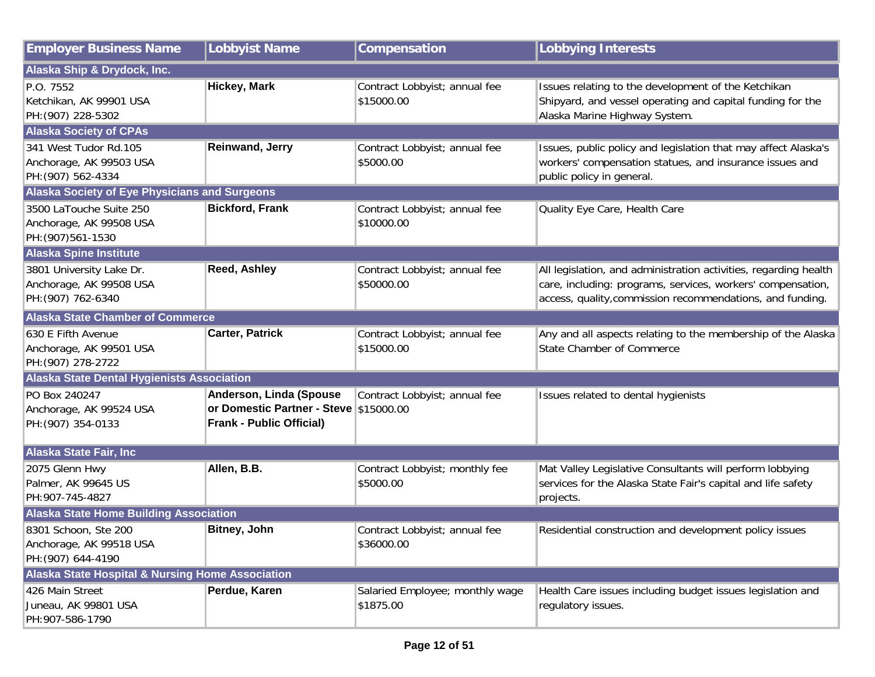| <b>Employer Business Name</b>                                             | <b>Lobbyist Name</b>                                                                                 | Compensation                                 | <b>Lobbying Interests</b>                                                                                                                                                                    |  |
|---------------------------------------------------------------------------|------------------------------------------------------------------------------------------------------|----------------------------------------------|----------------------------------------------------------------------------------------------------------------------------------------------------------------------------------------------|--|
| Alaska Ship & Drydock, Inc.                                               |                                                                                                      |                                              |                                                                                                                                                                                              |  |
| P.O. 7552<br>Ketchikan, AK 99901 USA<br>PH: (907) 228-5302                | <b>Hickey, Mark</b>                                                                                  | Contract Lobbyist; annual fee<br>\$15000.00  | Issues relating to the development of the Ketchikan<br>Shipyard, and vessel operating and capital funding for the<br>Alaska Marine Highway System.                                           |  |
| <b>Alaska Society of CPAs</b>                                             |                                                                                                      |                                              |                                                                                                                                                                                              |  |
| 341 West Tudor Rd.105<br>Anchorage, AK 99503 USA<br>PH: (907) 562-4334    | <b>Reinwand, Jerry</b>                                                                               | Contract Lobbyist; annual fee<br>\$5000.00   | Issues, public policy and legislation that may affect Alaska's<br>workers' compensation statues, and insurance issues and<br>public policy in general.                                       |  |
| <b>Alaska Society of Eye Physicians and Surgeons</b>                      |                                                                                                      |                                              |                                                                                                                                                                                              |  |
| 3500 LaTouche Suite 250<br>Anchorage, AK 99508 USA<br>PH: (907) 561-1530  | <b>Bickford, Frank</b>                                                                               | Contract Lobbyist; annual fee<br>\$10000.00  | Quality Eye Care, Health Care                                                                                                                                                                |  |
| <b>Alaska Spine Institute</b>                                             |                                                                                                      |                                              |                                                                                                                                                                                              |  |
| 3801 University Lake Dr.<br>Anchorage, AK 99508 USA<br>PH: (907) 762-6340 | Reed, Ashley                                                                                         | Contract Lobbyist; annual fee<br>\$50000.00  | All legislation, and administration activities, regarding health<br>care, including: programs, services, workers' compensation,<br>access, quality, commission recommendations, and funding. |  |
| <b>Alaska State Chamber of Commerce</b>                                   |                                                                                                      |                                              |                                                                                                                                                                                              |  |
| 630 E Fifth Avenue<br>Anchorage, AK 99501 USA<br>PH: (907) 278-2722       | <b>Carter, Patrick</b>                                                                               | Contract Lobbyist; annual fee<br>\$15000.00  | Any and all aspects relating to the membership of the Alaska<br>State Chamber of Commerce                                                                                                    |  |
| <b>Alaska State Dental Hygienists Association</b>                         |                                                                                                      |                                              |                                                                                                                                                                                              |  |
| PO Box 240247<br>Anchorage, AK 99524 USA<br>PH: (907) 354-0133            | Anderson, Linda (Spouse<br>or Domestic Partner - Steve \$15000.00<br><b>Frank - Public Official)</b> | Contract Lobbyist; annual fee                | Issues related to dental hygienists                                                                                                                                                          |  |
| <b>Alaska State Fair, Inc</b>                                             |                                                                                                      |                                              |                                                                                                                                                                                              |  |
| 2075 Glenn Hwy<br>Palmer, AK 99645 US<br>PH:907-745-4827                  | Allen, B.B.                                                                                          | Contract Lobbyist; monthly fee<br>\$5000.00  | Mat Valley Legislative Consultants will perform lobbying<br>services for the Alaska State Fair's capital and life safety<br>projects.                                                        |  |
| <b>Alaska State Home Building Association</b>                             |                                                                                                      |                                              |                                                                                                                                                                                              |  |
| 8301 Schoon, Ste 200<br>Anchorage, AK 99518 USA<br>PH: (907) 644-4190     | <b>Bitney, John</b>                                                                                  | Contract Lobbyist; annual fee<br>\$36000.00  | Residential construction and development policy issues                                                                                                                                       |  |
| <b>Alaska State Hospital &amp; Nursing Home Association</b>               |                                                                                                      |                                              |                                                                                                                                                                                              |  |
| 426 Main Street<br>Juneau, AK 99801 USA<br>PH:907-586-1790                | Perdue, Karen                                                                                        | Salaried Employee; monthly wage<br>\$1875.00 | Health Care issues including budget issues legislation and<br>regulatory issues.                                                                                                             |  |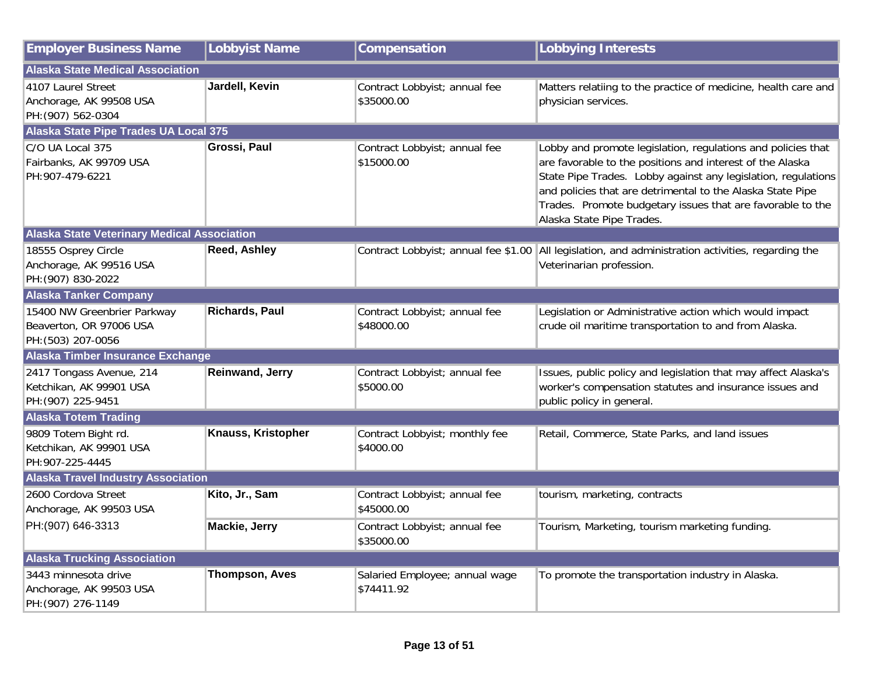| <b>Employer Business Name</b>                                                | <b>Lobbyist Name</b>  | Compensation                                 | <b>Lobbying Interests</b>                                                                                                                                                                                                                                                                                                                           |
|------------------------------------------------------------------------------|-----------------------|----------------------------------------------|-----------------------------------------------------------------------------------------------------------------------------------------------------------------------------------------------------------------------------------------------------------------------------------------------------------------------------------------------------|
| <b>Alaska State Medical Association</b>                                      |                       |                                              |                                                                                                                                                                                                                                                                                                                                                     |
| 4107 Laurel Street<br>Anchorage, AK 99508 USA<br>PH: (907) 562-0304          | Jardell, Kevin        | Contract Lobbyist; annual fee<br>\$35000.00  | Matters relatiing to the practice of medicine, health care and<br>physician services.                                                                                                                                                                                                                                                               |
| <b>Alaska State Pipe Trades UA Local 375</b>                                 |                       |                                              |                                                                                                                                                                                                                                                                                                                                                     |
| C/O UA Local 375<br>Fairbanks, AK 99709 USA<br>PH:907-479-6221               | Grossi, Paul          | Contract Lobbyist; annual fee<br>\$15000.00  | Lobby and promote legislation, regulations and policies that<br>are favorable to the positions and interest of the Alaska<br>State Pipe Trades. Lobby against any legislation, regulations<br>and policies that are detrimental to the Alaska State Pipe<br>Trades. Promote budgetary issues that are favorable to the<br>Alaska State Pipe Trades. |
| <b>Alaska State Veterinary Medical Association</b>                           |                       |                                              |                                                                                                                                                                                                                                                                                                                                                     |
| 18555 Osprey Circle<br>Anchorage, AK 99516 USA<br>PH: (907) 830-2022         | <b>Reed, Ashley</b>   |                                              | Contract Lobbyist; annual fee \$1.00   All legislation, and administration activities, regarding the<br>Veterinarian profession.                                                                                                                                                                                                                    |
| <b>Alaska Tanker Company</b>                                                 |                       |                                              |                                                                                                                                                                                                                                                                                                                                                     |
| 15400 NW Greenbrier Parkway<br>Beaverton, OR 97006 USA<br>PH: (503) 207-0056 | <b>Richards, Paul</b> | Contract Lobbyist; annual fee<br>\$48000.00  | Legislation or Administrative action which would impact<br>crude oil maritime transportation to and from Alaska.                                                                                                                                                                                                                                    |
| Alaska Timber Insurance Exchange                                             |                       |                                              |                                                                                                                                                                                                                                                                                                                                                     |
| 2417 Tongass Avenue, 214<br>Ketchikan, AK 99901 USA<br>PH: (907) 225-9451    | Reinwand, Jerry       | Contract Lobbyist; annual fee<br>\$5000.00   | Issues, public policy and legislation that may affect Alaska's<br>worker's compensation statutes and insurance issues and<br>public policy in general.                                                                                                                                                                                              |
| <b>Alaska Totem Trading</b>                                                  |                       |                                              |                                                                                                                                                                                                                                                                                                                                                     |
| 9809 Totem Bight rd.<br>Ketchikan, AK 99901 USA<br>PH:907-225-4445           | Knauss, Kristopher    | Contract Lobbyist; monthly fee<br>\$4000.00  | Retail, Commerce, State Parks, and land issues                                                                                                                                                                                                                                                                                                      |
| <b>Alaska Travel Industry Association</b>                                    |                       |                                              |                                                                                                                                                                                                                                                                                                                                                     |
| 2600 Cordova Street<br>Anchorage, AK 99503 USA                               | Kito, Jr., Sam        | Contract Lobbyist; annual fee<br>\$45000.00  | tourism, marketing, contracts                                                                                                                                                                                                                                                                                                                       |
| PH:(907) 646-3313                                                            | Mackie, Jerry         | Contract Lobbyist; annual fee<br>\$35000.00  | Tourism, Marketing, tourism marketing funding.                                                                                                                                                                                                                                                                                                      |
| <b>Alaska Trucking Association</b>                                           |                       |                                              |                                                                                                                                                                                                                                                                                                                                                     |
| 3443 minnesota drive<br>Anchorage, AK 99503 USA<br>PH: (907) 276-1149        | <b>Thompson, Aves</b> | Salaried Employee; annual wage<br>\$74411.92 | To promote the transportation industry in Alaska.                                                                                                                                                                                                                                                                                                   |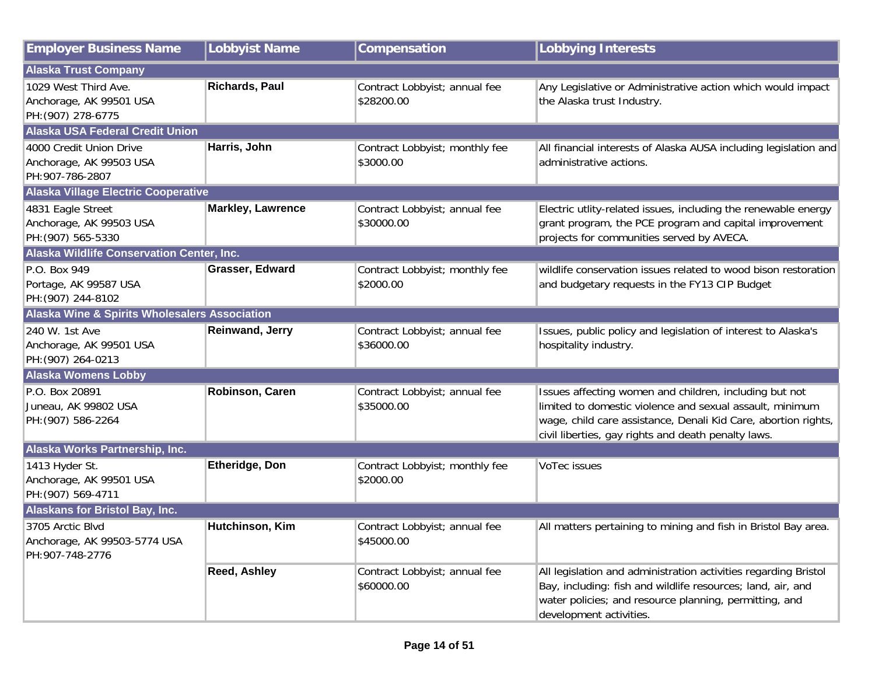| <b>Employer Business Name</b>                                         | <b>Lobbyist Name</b>   | Compensation                                | <b>Lobbying Interests</b>                                                                                                                                                                                                                   |
|-----------------------------------------------------------------------|------------------------|---------------------------------------------|---------------------------------------------------------------------------------------------------------------------------------------------------------------------------------------------------------------------------------------------|
| <b>Alaska Trust Company</b>                                           |                        |                                             |                                                                                                                                                                                                                                             |
| 1029 West Third Ave.<br>Anchorage, AK 99501 USA<br>PH: (907) 278-6775 | Richards, Paul         | Contract Lobbyist; annual fee<br>\$28200.00 | Any Legislative or Administrative action which would impact<br>the Alaska trust Industry.                                                                                                                                                   |
| <b>Alaska USA Federal Credit Union</b>                                |                        |                                             |                                                                                                                                                                                                                                             |
| 4000 Credit Union Drive<br>Anchorage, AK 99503 USA<br>PH:907-786-2807 | Harris, John           | Contract Lobbyist; monthly fee<br>\$3000.00 | All financial interests of Alaska AUSA including legislation and<br>administrative actions.                                                                                                                                                 |
| <b>Alaska Village Electric Cooperative</b>                            |                        |                                             |                                                                                                                                                                                                                                             |
| 4831 Eagle Street<br>Anchorage, AK 99503 USA<br>PH: (907) 565-5330    | Markley, Lawrence      | Contract Lobbyist; annual fee<br>\$30000.00 | Electric utlity-related issues, including the renewable energy<br>grant program, the PCE program and capital improvement<br>projects for communities served by AVECA.                                                                       |
| Alaska Wildlife Conservation Center, Inc.                             |                        |                                             |                                                                                                                                                                                                                                             |
| P.O. Box 949<br>Portage, AK 99587 USA<br>PH: (907) 244-8102           | Grasser, Edward        | Contract Lobbyist; monthly fee<br>\$2000.00 | wildlife conservation issues related to wood bison restoration<br>and budgetary requests in the FY13 CIP Budget                                                                                                                             |
| <b>Alaska Wine &amp; Spirits Wholesalers Association</b>              |                        |                                             |                                                                                                                                                                                                                                             |
| 240 W. 1st Ave<br>Anchorage, AK 99501 USA<br>PH: (907) 264-0213       | <b>Reinwand, Jerry</b> | Contract Lobbyist; annual fee<br>\$36000.00 | Issues, public policy and legislation of interest to Alaska's<br>hospitality industry.                                                                                                                                                      |
| <b>Alaska Womens Lobby</b>                                            |                        |                                             |                                                                                                                                                                                                                                             |
| P.O. Box 20891<br>Juneau, AK 99802 USA<br>PH: (907) 586-2264          | Robinson, Caren        | Contract Lobbyist; annual fee<br>\$35000.00 | Issues affecting women and children, including but not<br>limited to domestic violence and sexual assault, minimum<br>wage, child care assistance, Denali Kid Care, abortion rights,<br>civil liberties, gay rights and death penalty laws. |
| Alaska Works Partnership, Inc.                                        |                        |                                             |                                                                                                                                                                                                                                             |
| 1413 Hyder St.<br>Anchorage, AK 99501 USA<br>PH: (907) 569-4711       | <b>Etheridge, Don</b>  | Contract Lobbyist; monthly fee<br>\$2000.00 | VoTec issues                                                                                                                                                                                                                                |
| <b>Alaskans for Bristol Bay, Inc.</b>                                 |                        |                                             |                                                                                                                                                                                                                                             |
| 3705 Arctic Blvd<br>Anchorage, AK 99503-5774 USA<br>PH:907-748-2776   | Hutchinson, Kim        | Contract Lobbyist; annual fee<br>\$45000.00 | All matters pertaining to mining and fish in Bristol Bay area.                                                                                                                                                                              |
|                                                                       | <b>Reed, Ashley</b>    | Contract Lobbyist; annual fee<br>\$60000.00 | All legislation and administration activities regarding Bristol<br>Bay, including: fish and wildlife resources; land, air, and<br>water policies; and resource planning, permitting, and<br>development activities.                         |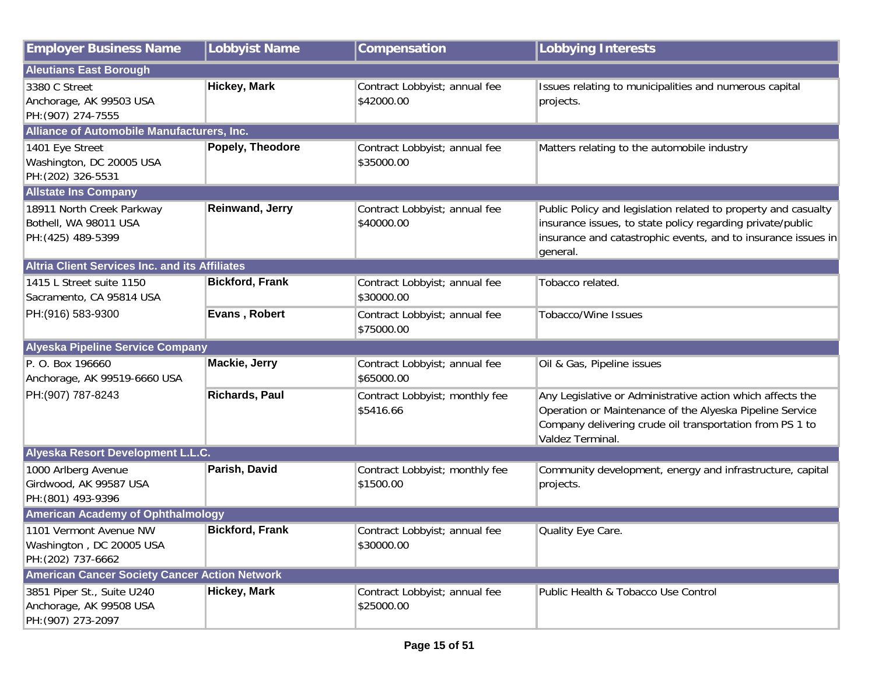| <b>Employer Business Name</b>                                               | <b>Lobbyist Name</b>   | Compensation                                | <b>Lobbying Interests</b>                                                                                                                                                                                 |  |
|-----------------------------------------------------------------------------|------------------------|---------------------------------------------|-----------------------------------------------------------------------------------------------------------------------------------------------------------------------------------------------------------|--|
| <b>Aleutians East Borough</b>                                               |                        |                                             |                                                                                                                                                                                                           |  |
| 3380 C Street<br>Anchorage, AK 99503 USA<br>PH: (907) 274-7555              | <b>Hickey, Mark</b>    | Contract Lobbyist; annual fee<br>\$42000.00 | Issues relating to municipalities and numerous capital<br>projects.                                                                                                                                       |  |
| <b>Alliance of Automobile Manufacturers, Inc.</b>                           |                        |                                             |                                                                                                                                                                                                           |  |
| 1401 Eye Street<br>Washington, DC 20005 USA<br>PH: (202) 326-5531           | Popely, Theodore       | Contract Lobbyist; annual fee<br>\$35000.00 | Matters relating to the automobile industry                                                                                                                                                               |  |
| <b>Allstate Ins Company</b>                                                 |                        |                                             |                                                                                                                                                                                                           |  |
| 18911 North Creek Parkway<br>Bothell, WA 98011 USA<br>PH: (425) 489-5399    | Reinwand, Jerry        | Contract Lobbyist; annual fee<br>\$40000.00 | Public Policy and legislation related to property and casualty<br>insurance issues, to state policy regarding private/public<br>insurance and catastrophic events, and to insurance issues in<br>general. |  |
| <b>Altria Client Services Inc. and its Affiliates</b>                       |                        |                                             |                                                                                                                                                                                                           |  |
| 1415 L Street suite 1150<br>Sacramento, CA 95814 USA                        | <b>Bickford, Frank</b> | Contract Lobbyist; annual fee<br>\$30000.00 | Tobacco related.                                                                                                                                                                                          |  |
| PH: (916) 583-9300                                                          | Evans, Robert          | Contract Lobbyist; annual fee<br>\$75000.00 | <b>Tobacco/Wine Issues</b>                                                                                                                                                                                |  |
| <b>Alyeska Pipeline Service Company</b>                                     |                        |                                             |                                                                                                                                                                                                           |  |
| P. O. Box 196660<br>Anchorage, AK 99519-6660 USA                            | <b>Mackie, Jerry</b>   | Contract Lobbyist; annual fee<br>\$65000.00 | Oil & Gas, Pipeline issues                                                                                                                                                                                |  |
| PH: (907) 787-8243                                                          | <b>Richards, Paul</b>  | Contract Lobbyist; monthly fee<br>\$5416.66 | Any Legislative or Administrative action which affects the<br>Operation or Maintenance of the Alyeska Pipeline Service<br>Company delivering crude oil transportation from PS 1 to<br>Valdez Terminal.    |  |
| Alyeska Resort Development L.L.C.                                           |                        |                                             |                                                                                                                                                                                                           |  |
| 1000 Arlberg Avenue<br>Girdwood, AK 99587 USA<br>PH: (801) 493-9396         | Parish, David          | Contract Lobbyist; monthly fee<br>\$1500.00 | Community development, energy and infrastructure, capital<br>projects.                                                                                                                                    |  |
| <b>American Academy of Ophthalmology</b>                                    |                        |                                             |                                                                                                                                                                                                           |  |
| 1101 Vermont Avenue NW<br>Washington, DC 20005 USA<br>PH: (202) 737-6662    | <b>Bickford, Frank</b> | Contract Lobbyist; annual fee<br>\$30000.00 | Quality Eye Care.                                                                                                                                                                                         |  |
| <b>American Cancer Society Cancer Action Network</b>                        |                        |                                             |                                                                                                                                                                                                           |  |
| 3851 Piper St., Suite U240<br>Anchorage, AK 99508 USA<br>PH: (907) 273-2097 | <b>Hickey, Mark</b>    | Contract Lobbyist; annual fee<br>\$25000.00 | Public Health & Tobacco Use Control                                                                                                                                                                       |  |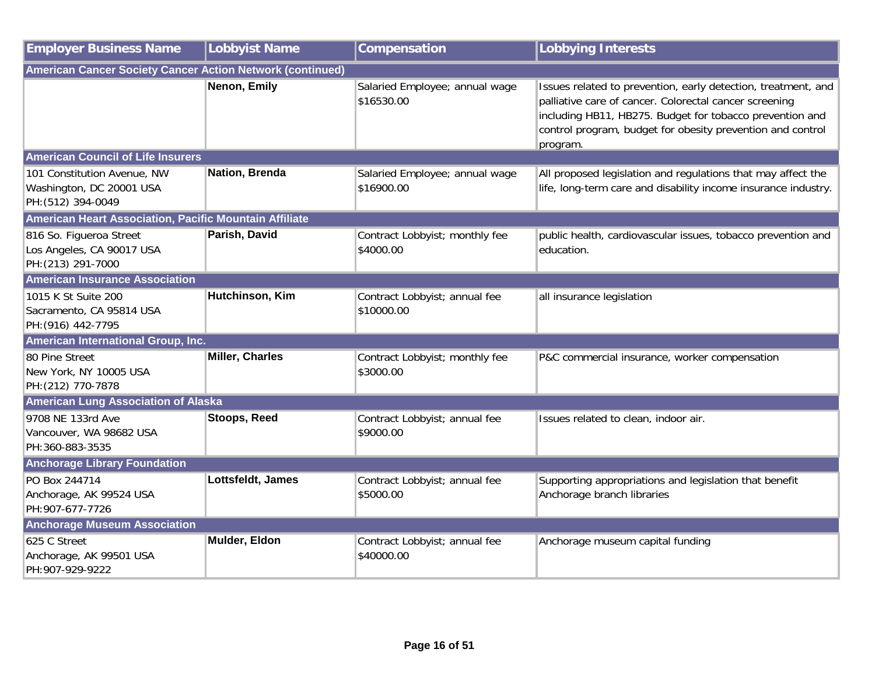| <b>Employer Business Name</b>                                                 | <b>Lobbyist Name</b>   | Compensation                                 | <b>Lobbying Interests</b>                                                                                                                                                                                                                                     |  |
|-------------------------------------------------------------------------------|------------------------|----------------------------------------------|---------------------------------------------------------------------------------------------------------------------------------------------------------------------------------------------------------------------------------------------------------------|--|
| American Cancer Society Cancer Action Network (continued)                     |                        |                                              |                                                                                                                                                                                                                                                               |  |
|                                                                               | Nenon, Emily           | Salaried Employee; annual wage<br>\$16530.00 | Issues related to prevention, early detection, treatment, and<br>palliative care of cancer. Colorectal cancer screening<br>including HB11, HB275. Budget for tobacco prevention and<br>control program, budget for obesity prevention and control<br>program. |  |
| <b>American Council of Life Insurers</b>                                      |                        |                                              |                                                                                                                                                                                                                                                               |  |
| 101 Constitution Avenue, NW<br>Washington, DC 20001 USA<br>PH: (512) 394-0049 | Nation, Brenda         | Salaried Employee; annual wage<br>\$16900.00 | All proposed legislation and regulations that may affect the<br>life, long-term care and disability income insurance industry.                                                                                                                                |  |
| American Heart Association, Pacific Mountain Affiliate                        |                        |                                              |                                                                                                                                                                                                                                                               |  |
| 816 So. Figueroa Street<br>Los Angeles, CA 90017 USA<br>PH: (213) 291-7000    | Parish, David          | Contract Lobbyist; monthly fee<br>\$4000.00  | public health, cardiovascular issues, tobacco prevention and<br>education.                                                                                                                                                                                    |  |
| <b>American Insurance Association</b>                                         |                        |                                              |                                                                                                                                                                                                                                                               |  |
| 1015 K St Suite 200<br>Sacramento, CA 95814 USA<br>PH: (916) 442-7795         | Hutchinson, Kim        | Contract Lobbyist; annual fee<br>\$10000.00  | all insurance legislation                                                                                                                                                                                                                                     |  |
| American International Group, Inc.                                            |                        |                                              |                                                                                                                                                                                                                                                               |  |
| 80 Pine Street<br>New York, NY 10005 USA<br>PH: (212) 770-7878                | <b>Miller, Charles</b> | Contract Lobbyist; monthly fee<br>\$3000.00  | P&C commercial insurance, worker compensation                                                                                                                                                                                                                 |  |
| <b>American Lung Association of Alaska</b>                                    |                        |                                              |                                                                                                                                                                                                                                                               |  |
| 9708 NE 133rd Ave<br>Vancouver, WA 98682 USA<br>PH:360-883-3535               | <b>Stoops, Reed</b>    | Contract Lobbyist; annual fee<br>\$9000.00   | Issues related to clean, indoor air.                                                                                                                                                                                                                          |  |
| <b>Anchorage Library Foundation</b>                                           |                        |                                              |                                                                                                                                                                                                                                                               |  |
| PO Box 244714<br>Anchorage, AK 99524 USA<br>PH: 907-677-7726                  | Lottsfeldt, James      | Contract Lobbyist; annual fee<br>\$5000.00   | Supporting appropriations and legislation that benefit<br>Anchorage branch libraries                                                                                                                                                                          |  |
| <b>Anchorage Museum Association</b>                                           |                        |                                              |                                                                                                                                                                                                                                                               |  |
| 625 C Street<br>Anchorage, AK 99501 USA<br>PH: 907-929-9222                   | Mulder, Eldon          | Contract Lobbyist; annual fee<br>\$40000.00  | Anchorage museum capital funding                                                                                                                                                                                                                              |  |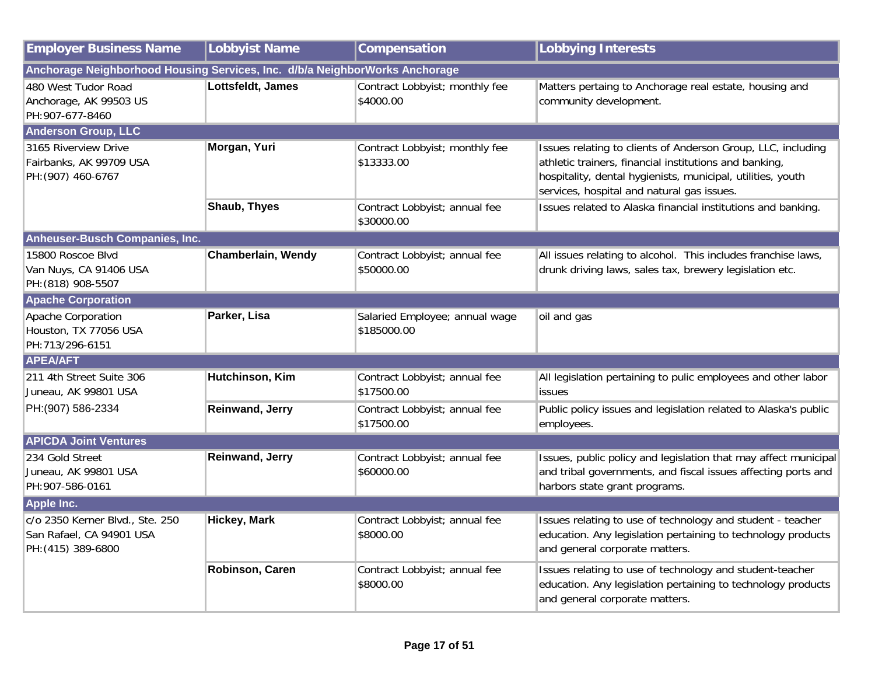| <b>Employer Business Name</b>                                                     | Lobbyist Name          | Compensation                                  | <b>Lobbying Interests</b>                                                                                                                                                                                                           |
|-----------------------------------------------------------------------------------|------------------------|-----------------------------------------------|-------------------------------------------------------------------------------------------------------------------------------------------------------------------------------------------------------------------------------------|
| Anchorage Neighborhood Housing Services, Inc. d/b/a NeighborWorks Anchorage       |                        |                                               |                                                                                                                                                                                                                                     |
| 480 West Tudor Road<br>Anchorage, AK 99503 US<br>PH:907-677-8460                  | Lottsfeldt, James      | Contract Lobbyist; monthly fee<br>\$4000.00   | Matters pertaing to Anchorage real estate, housing and<br>community development.                                                                                                                                                    |
| <b>Anderson Group, LLC</b>                                                        |                        |                                               |                                                                                                                                                                                                                                     |
| 3165 Riverview Drive<br>Fairbanks, AK 99709 USA<br>PH: (907) 460-6767             | Morgan, Yuri           | Contract Lobbyist; monthly fee<br>\$13333.00  | Issues relating to clients of Anderson Group, LLC, including<br>athletic trainers, financial institutions and banking,<br>hospitality, dental hygienists, municipal, utilities, youth<br>services, hospital and natural gas issues. |
|                                                                                   | <b>Shaub, Thyes</b>    | Contract Lobbyist; annual fee<br>\$30000.00   | Issues related to Alaska financial institutions and banking.                                                                                                                                                                        |
| Anheuser-Busch Companies, Inc.                                                    |                        |                                               |                                                                                                                                                                                                                                     |
| 15800 Roscoe Blvd<br>Van Nuys, CA 91406 USA<br>PH: (818) 908-5507                 | Chamberlain, Wendy     | Contract Lobbyist; annual fee<br>\$50000.00   | All issues relating to alcohol. This includes franchise laws,<br>drunk driving laws, sales tax, brewery legislation etc.                                                                                                            |
| <b>Apache Corporation</b>                                                         |                        |                                               |                                                                                                                                                                                                                                     |
| Apache Corporation<br>Houston, TX 77056 USA<br>PH:713/296-6151                    | Parker, Lisa           | Salaried Employee; annual wage<br>\$185000.00 | oil and gas                                                                                                                                                                                                                         |
| <b>APEA/AFT</b>                                                                   |                        |                                               |                                                                                                                                                                                                                                     |
| 211 4th Street Suite 306<br>Juneau, AK 99801 USA                                  | Hutchinson, Kim        | Contract Lobbyist; annual fee<br>\$17500.00   | All legislation pertaining to pulic employees and other labor<br><b>issues</b>                                                                                                                                                      |
| PH:(907) 586-2334                                                                 | <b>Reinwand, Jerry</b> | Contract Lobbyist; annual fee<br>\$17500.00   | Public policy issues and legislation related to Alaska's public<br>employees.                                                                                                                                                       |
| <b>APICDA Joint Ventures</b>                                                      |                        |                                               |                                                                                                                                                                                                                                     |
| 234 Gold Street<br>Juneau, AK 99801 USA<br>PH: 907-586-0161                       | <b>Reinwand, Jerry</b> | Contract Lobbyist; annual fee<br>\$60000.00   | Issues, public policy and legislation that may affect municipal<br>and tribal governments, and fiscal issues affecting ports and<br>harbors state grant programs.                                                                   |
| <b>Apple Inc.</b>                                                                 |                        |                                               |                                                                                                                                                                                                                                     |
| c/o 2350 Kerner Blvd., Ste. 250<br>San Rafael, CA 94901 USA<br>PH: (415) 389-6800 | <b>Hickey, Mark</b>    | Contract Lobbyist; annual fee<br>\$8000.00    | Issues relating to use of technology and student - teacher<br>education. Any legislation pertaining to technology products<br>and general corporate matters.                                                                        |
|                                                                                   | Robinson, Caren        | Contract Lobbyist; annual fee<br>\$8000.00    | Issues relating to use of technology and student-teacher<br>education. Any legislation pertaining to technology products<br>and general corporate matters.                                                                          |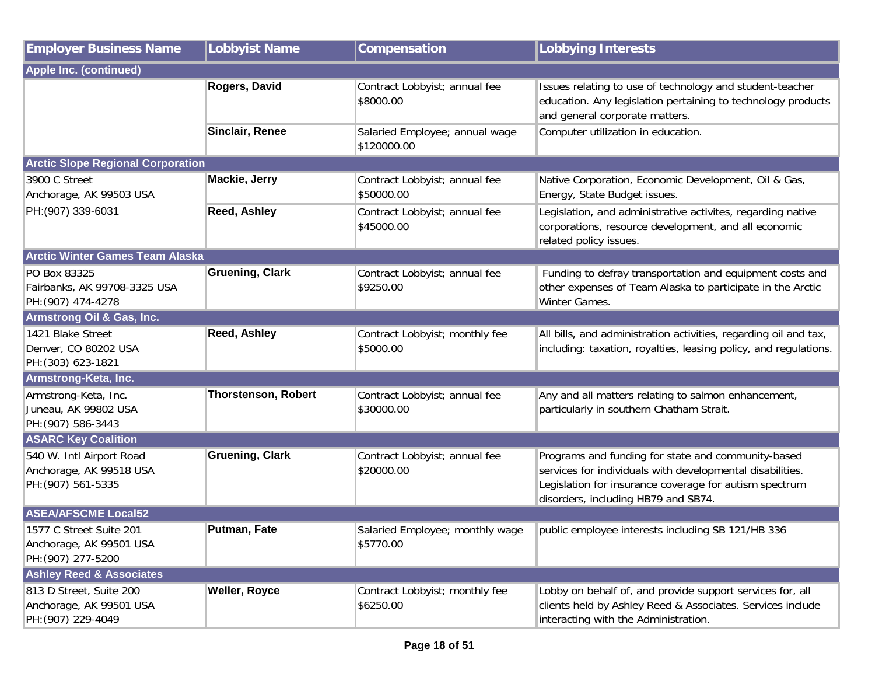| <b>Employer Business Name</b>                                             | <b>Lobbyist Name</b>       | Compensation                                  | <b>Lobbying Interests</b>                                                                                                                                                                                        |  |
|---------------------------------------------------------------------------|----------------------------|-----------------------------------------------|------------------------------------------------------------------------------------------------------------------------------------------------------------------------------------------------------------------|--|
| <b>Apple Inc. (continued)</b>                                             |                            |                                               |                                                                                                                                                                                                                  |  |
|                                                                           | Rogers, David              | Contract Lobbyist; annual fee<br>\$8000.00    | Issues relating to use of technology and student-teacher<br>education. Any legislation pertaining to technology products<br>and general corporate matters.                                                       |  |
|                                                                           | Sinclair, Renee            | Salaried Employee; annual wage<br>\$120000.00 | Computer utilization in education.                                                                                                                                                                               |  |
| <b>Arctic Slope Regional Corporation</b>                                  |                            |                                               |                                                                                                                                                                                                                  |  |
| 3900 C Street<br>Anchorage, AK 99503 USA                                  | Mackie, Jerry              | Contract Lobbyist; annual fee<br>\$50000.00   | Native Corporation, Economic Development, Oil & Gas,<br>Energy, State Budget issues.                                                                                                                             |  |
| PH: (907) 339-6031                                                        | <b>Reed, Ashley</b>        | Contract Lobbyist; annual fee<br>\$45000.00   | Legislation, and administrative activites, regarding native<br>corporations, resource development, and all economic<br>related policy issues.                                                                    |  |
| <b>Arctic Winter Games Team Alaska</b>                                    |                            |                                               |                                                                                                                                                                                                                  |  |
| PO Box 83325<br>Fairbanks, AK 99708-3325 USA<br>PH: (907) 474-4278        | <b>Gruening, Clark</b>     | Contract Lobbyist; annual fee<br>\$9250.00    | Funding to defray transportation and equipment costs and<br>other expenses of Team Alaska to participate in the Arctic<br>Winter Games.                                                                          |  |
| Armstrong Oil & Gas, Inc.                                                 |                            |                                               |                                                                                                                                                                                                                  |  |
| 1421 Blake Street<br>Denver, CO 80202 USA<br>PH: (303) 623-1821           | <b>Reed, Ashley</b>        | Contract Lobbyist; monthly fee<br>\$5000.00   | All bills, and administration activities, regarding oil and tax,<br>including: taxation, royalties, leasing policy, and regulations.                                                                             |  |
| Armstrong-Keta, Inc.                                                      |                            |                                               |                                                                                                                                                                                                                  |  |
| Armstrong-Keta, Inc.<br>Juneau, AK 99802 USA<br>PH: (907) 586-3443        | <b>Thorstenson, Robert</b> | Contract Lobbyist; annual fee<br>\$30000.00   | Any and all matters relating to salmon enhancement,<br>particularly in southern Chatham Strait.                                                                                                                  |  |
| <b>ASARC Key Coalition</b>                                                |                            |                                               |                                                                                                                                                                                                                  |  |
| 540 W. Intl Airport Road<br>Anchorage, AK 99518 USA<br>PH: (907) 561-5335 | <b>Gruening, Clark</b>     | Contract Lobbyist; annual fee<br>\$20000.00   | Programs and funding for state and community-based<br>services for individuals with developmental disabilities.<br>Legislation for insurance coverage for autism spectrum<br>disorders, including HB79 and SB74. |  |
| <b>ASEA/AFSCME Local52</b>                                                |                            |                                               |                                                                                                                                                                                                                  |  |
| 1577 C Street Suite 201<br>Anchorage, AK 99501 USA<br>PH: (907) 277-5200  | <b>Putman, Fate</b>        | Salaried Employee; monthly wage<br>\$5770.00  | public employee interests including SB 121/HB 336                                                                                                                                                                |  |
| <b>Ashley Reed &amp; Associates</b>                                       |                            |                                               |                                                                                                                                                                                                                  |  |
| 813 D Street, Suite 200<br>Anchorage, AK 99501 USA<br>PH: (907) 229-4049  | <b>Weller, Royce</b>       | Contract Lobbyist; monthly fee<br>\$6250.00   | Lobby on behalf of, and provide support services for, all<br>clients held by Ashley Reed & Associates. Services include<br>interacting with the Administration.                                                  |  |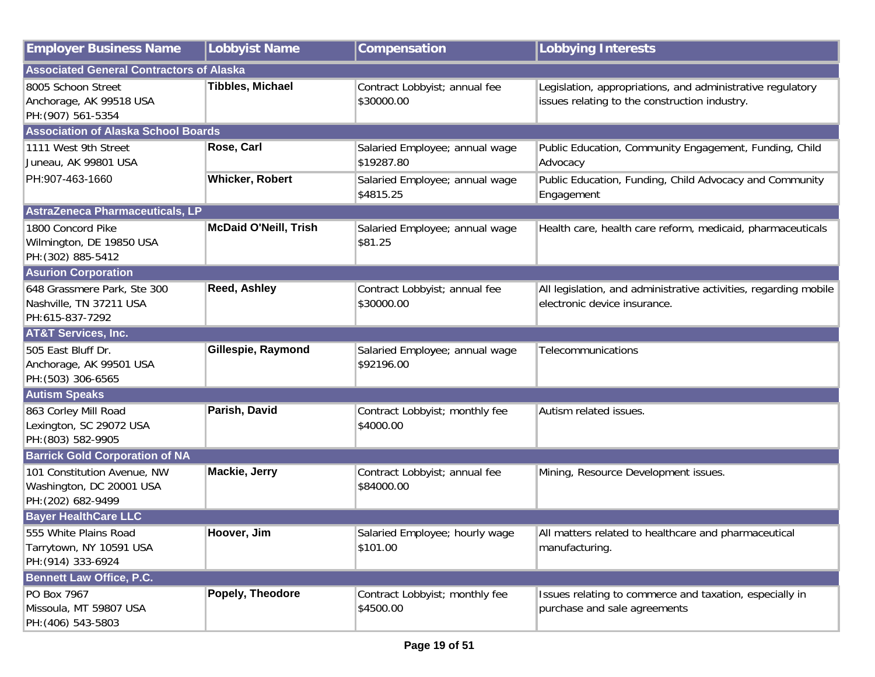| <b>Employer Business Name</b>                                                 | <b>Lobbyist Name</b>         | Compensation                                 | <b>Lobbying Interests</b>                                                                                   |
|-------------------------------------------------------------------------------|------------------------------|----------------------------------------------|-------------------------------------------------------------------------------------------------------------|
| <b>Associated General Contractors of Alaska</b>                               |                              |                                              |                                                                                                             |
| 8005 Schoon Street<br>Anchorage, AK 99518 USA<br>PH: (907) 561-5354           | <b>Tibbles, Michael</b>      | Contract Lobbyist; annual fee<br>\$30000.00  | Legislation, appropriations, and administrative regulatory<br>issues relating to the construction industry. |
| <b>Association of Alaska School Boards</b>                                    |                              |                                              |                                                                                                             |
| 1111 West 9th Street<br>Juneau, AK 99801 USA                                  | Rose, Carl                   | Salaried Employee; annual wage<br>\$19287.80 | Public Education, Community Engagement, Funding, Child<br>Advocacy                                          |
| PH:907-463-1660                                                               | <b>Whicker, Robert</b>       | Salaried Employee; annual wage<br>\$4815.25  | Public Education, Funding, Child Advocacy and Community<br>Engagement                                       |
| AstraZeneca Pharmaceuticals, LP                                               |                              |                                              |                                                                                                             |
| 1800 Concord Pike<br>Wilmington, DE 19850 USA<br>PH: (302) 885-5412           | <b>McDaid O'Neill, Trish</b> | Salaried Employee; annual wage<br>\$81.25    | Health care, health care reform, medicaid, pharmaceuticals                                                  |
| <b>Asurion Corporation</b>                                                    |                              |                                              |                                                                                                             |
| 648 Grassmere Park, Ste 300<br>Nashville, TN 37211 USA<br>PH:615-837-7292     | <b>Reed, Ashley</b>          | Contract Lobbyist; annual fee<br>\$30000.00  | All legislation, and administrative activities, regarding mobile<br>electronic device insurance.            |
| <b>AT&amp;T Services, Inc.</b>                                                |                              |                                              |                                                                                                             |
| 505 East Bluff Dr.<br>Anchorage, AK 99501 USA<br>PH: (503) 306-6565           | Gillespie, Raymond           | Salaried Employee; annual wage<br>\$92196.00 | Telecommunications                                                                                          |
| <b>Autism Speaks</b>                                                          |                              |                                              |                                                                                                             |
| 863 Corley Mill Road<br>Lexington, SC 29072 USA<br>PH: (803) 582-9905         | Parish, David                | Contract Lobbyist; monthly fee<br>\$4000.00  | Autism related issues.                                                                                      |
| <b>Barrick Gold Corporation of NA</b>                                         |                              |                                              |                                                                                                             |
| 101 Constitution Avenue, NW<br>Washington, DC 20001 USA<br>PH: (202) 682-9499 | Mackie, Jerry                | Contract Lobbyist; annual fee<br>\$84000.00  | Mining, Resource Development issues.                                                                        |
| <b>Bayer HealthCare LLC</b>                                                   |                              |                                              |                                                                                                             |
| 555 White Plains Road<br>Tarrytown, NY 10591 USA<br>PH: (914) 333-6924        | Hoover, Jim                  | Salaried Employee; hourly wage<br>\$101.00   | All matters related to healthcare and pharmaceutical<br>manufacturing.                                      |
| <b>Bennett Law Office, P.C.</b>                                               |                              |                                              |                                                                                                             |
| PO Box 7967<br>Missoula, MT 59807 USA<br>PH: (406) 543-5803                   | Popely, Theodore             | Contract Lobbyist; monthly fee<br>\$4500.00  | Issues relating to commerce and taxation, especially in<br>purchase and sale agreements                     |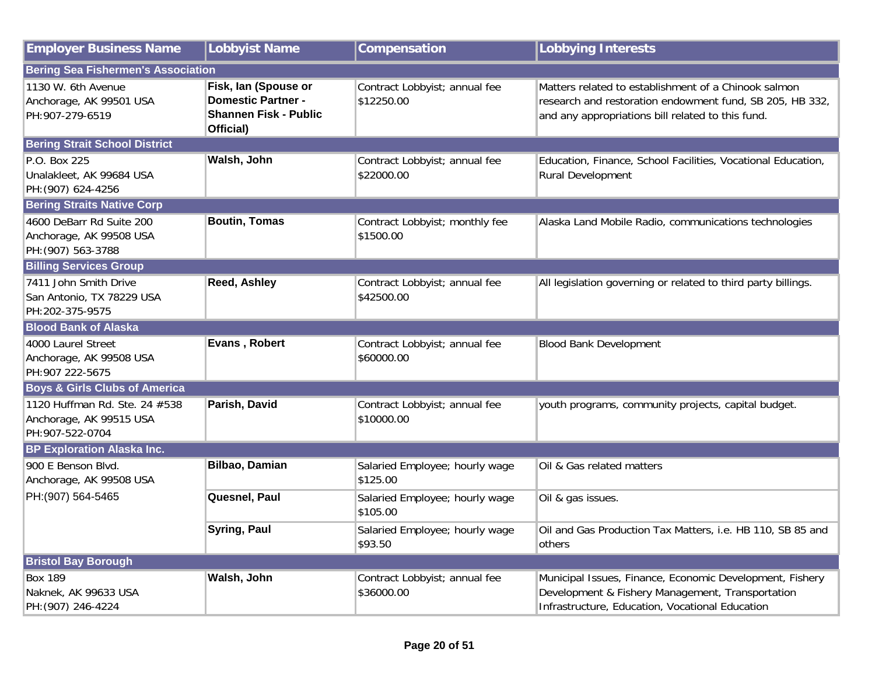| <b>Employer Business Name</b>                                               | <b>Lobbyist Name</b>                                                                           | Compensation                                | <b>Lobbying Interests</b>                                                                                                                                             |
|-----------------------------------------------------------------------------|------------------------------------------------------------------------------------------------|---------------------------------------------|-----------------------------------------------------------------------------------------------------------------------------------------------------------------------|
| <b>Bering Sea Fishermen's Association</b>                                   |                                                                                                |                                             |                                                                                                                                                                       |
| 1130 W. 6th Avenue<br>Anchorage, AK 99501 USA<br>PH:907-279-6519            | Fisk, Ian (Spouse or<br><b>Domestic Partner -</b><br><b>Shannen Fisk - Public</b><br>Official) | Contract Lobbyist; annual fee<br>\$12250.00 | Matters related to establishment of a Chinook salmon<br>research and restoration endowment fund, SB 205, HB 332,<br>and any appropriations bill related to this fund. |
| <b>Bering Strait School District</b>                                        |                                                                                                |                                             |                                                                                                                                                                       |
| P.O. Box 225<br>Unalakleet, AK 99684 USA<br>PH: (907) 624-4256              | Walsh, John                                                                                    | Contract Lobbyist; annual fee<br>\$22000.00 | Education, Finance, School Facilities, Vocational Education,<br>Rural Development                                                                                     |
| <b>Bering Straits Native Corp</b>                                           |                                                                                                |                                             |                                                                                                                                                                       |
| 4600 DeBarr Rd Suite 200<br>Anchorage, AK 99508 USA<br>PH: (907) 563-3788   | <b>Boutin, Tomas</b>                                                                           | Contract Lobbyist; monthly fee<br>\$1500.00 | Alaska Land Mobile Radio, communications technologies                                                                                                                 |
| <b>Billing Services Group</b>                                               |                                                                                                |                                             |                                                                                                                                                                       |
| 7411 John Smith Drive<br>San Antonio, TX 78229 USA<br>PH:202-375-9575       | Reed, Ashley                                                                                   | Contract Lobbyist; annual fee<br>\$42500.00 | All legislation governing or related to third party billings.                                                                                                         |
| <b>Blood Bank of Alaska</b>                                                 |                                                                                                |                                             |                                                                                                                                                                       |
| 4000 Laurel Street<br>Anchorage, AK 99508 USA<br>PH:907 222-5675            | Evans, Robert                                                                                  | Contract Lobbyist; annual fee<br>\$60000.00 | <b>Blood Bank Development</b>                                                                                                                                         |
| <b>Boys &amp; Girls Clubs of America</b>                                    |                                                                                                |                                             |                                                                                                                                                                       |
| 1120 Huffman Rd. Ste. 24 #538<br>Anchorage, AK 99515 USA<br>PH:907-522-0704 | Parish, David                                                                                  | Contract Lobbyist; annual fee<br>\$10000.00 | youth programs, community projects, capital budget.                                                                                                                   |
| <b>BP Exploration Alaska Inc.</b>                                           |                                                                                                |                                             |                                                                                                                                                                       |
| 900 E Benson Blvd.<br>Anchorage, AK 99508 USA                               | Bilbao, Damian                                                                                 | Salaried Employee; hourly wage<br>\$125.00  | Oil & Gas related matters                                                                                                                                             |
| PH:(907) 564-5465                                                           | Quesnel, Paul                                                                                  | Salaried Employee; hourly wage<br>\$105.00  | Oil & gas issues.                                                                                                                                                     |
|                                                                             | <b>Syring, Paul</b>                                                                            | Salaried Employee; hourly wage<br>\$93.50   | Oil and Gas Production Tax Matters, i.e. HB 110, SB 85 and<br>others                                                                                                  |
| <b>Bristol Bay Borough</b>                                                  |                                                                                                |                                             |                                                                                                                                                                       |
| <b>Box 189</b><br>Naknek, AK 99633 USA<br>PH: (907) 246-4224                | Walsh, John                                                                                    | Contract Lobbyist; annual fee<br>\$36000.00 | Municipal Issues, Finance, Economic Development, Fishery<br>Development & Fishery Management, Transportation<br>Infrastructure, Education, Vocational Education       |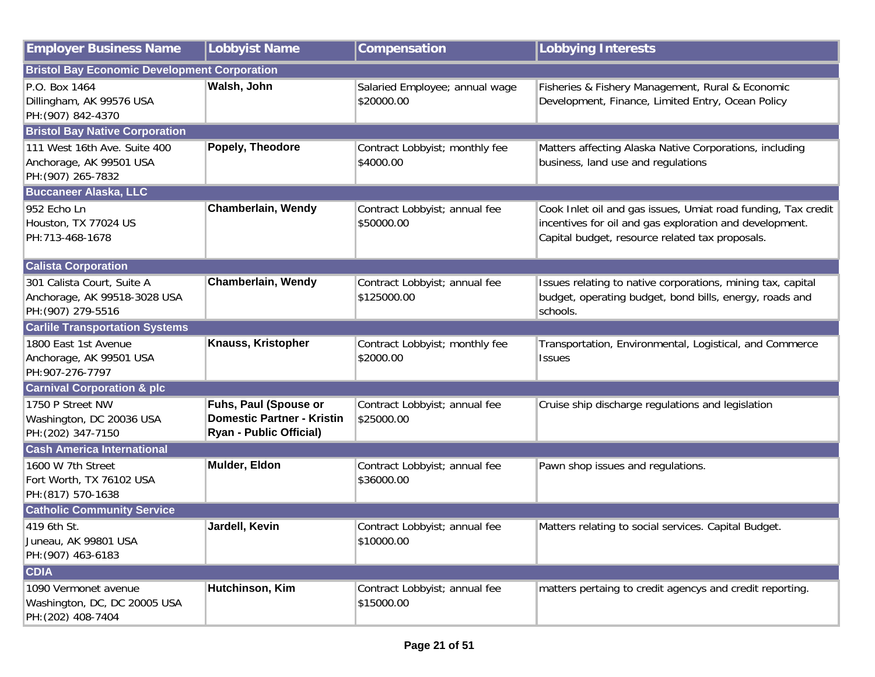| <b>Employer Business Name</b>                                                    | <b>Lobbyist Name</b>                                                                         | Compensation                                 | <b>Lobbying Interests</b>                                                                                                                                                   |
|----------------------------------------------------------------------------------|----------------------------------------------------------------------------------------------|----------------------------------------------|-----------------------------------------------------------------------------------------------------------------------------------------------------------------------------|
| <b>Bristol Bay Economic Development Corporation</b>                              |                                                                                              |                                              |                                                                                                                                                                             |
| P.O. Box 1464<br>Dillingham, AK 99576 USA<br>PH: (907) 842-4370                  | Walsh, John                                                                                  | Salaried Employee; annual wage<br>\$20000.00 | Fisheries & Fishery Management, Rural & Economic<br>Development, Finance, Limited Entry, Ocean Policy                                                                       |
| <b>Bristol Bay Native Corporation</b>                                            |                                                                                              |                                              |                                                                                                                                                                             |
| 111 West 16th Ave. Suite 400<br>Anchorage, AK 99501 USA<br>PH: (907) 265-7832    | Popely, Theodore                                                                             | Contract Lobbyist; monthly fee<br>\$4000.00  | Matters affecting Alaska Native Corporations, including<br>business, land use and regulations                                                                               |
| <b>Buccaneer Alaska, LLC</b>                                                     |                                                                                              |                                              |                                                                                                                                                                             |
| 952 Echo Ln<br>Houston, TX 77024 US<br>PH:713-468-1678                           | Chamberlain, Wendy                                                                           | Contract Lobbyist; annual fee<br>\$50000.00  | Cook Inlet oil and gas issues, Umiat road funding, Tax credit<br>incentives for oil and gas exploration and development.<br>Capital budget, resource related tax proposals. |
| <b>Calista Corporation</b>                                                       |                                                                                              |                                              |                                                                                                                                                                             |
| 301 Calista Court, Suite A<br>Anchorage, AK 99518-3028 USA<br>PH: (907) 279-5516 | Chamberlain, Wendy                                                                           | Contract Lobbyist; annual fee<br>\$125000.00 | Issues relating to native corporations, mining tax, capital<br>budget, operating budget, bond bills, energy, roads and<br>schools.                                          |
| <b>Carlile Transportation Systems</b>                                            |                                                                                              |                                              |                                                                                                                                                                             |
| 1800 East 1st Avenue<br>Anchorage, AK 99501 USA<br>PH:907-276-7797               | Knauss, Kristopher                                                                           | Contract Lobbyist; monthly fee<br>\$2000.00  | Transportation, Environmental, Logistical, and Commerce<br><b>Issues</b>                                                                                                    |
| <b>Carnival Corporation &amp; plc</b>                                            |                                                                                              |                                              |                                                                                                                                                                             |
| 1750 P Street NW<br>Washington, DC 20036 USA<br>PH: (202) 347-7150               | Fuhs, Paul (Spouse or<br><b>Domestic Partner - Kristin</b><br><b>Ryan - Public Official)</b> | Contract Lobbyist; annual fee<br>\$25000.00  | Cruise ship discharge regulations and legislation                                                                                                                           |
| <b>Cash America International</b>                                                |                                                                                              |                                              |                                                                                                                                                                             |
| 1600 W 7th Street<br>Fort Worth, TX 76102 USA<br>PH: (817) 570-1638              | Mulder, Eldon                                                                                | Contract Lobbyist; annual fee<br>\$36000.00  | Pawn shop issues and regulations.                                                                                                                                           |
| <b>Catholic Community Service</b>                                                |                                                                                              |                                              |                                                                                                                                                                             |
| 419 6th St.<br>Juneau, AK 99801 USA<br>PH: (907) 463-6183                        | Jardell, Kevin                                                                               | Contract Lobbyist; annual fee<br>\$10000.00  | Matters relating to social services. Capital Budget.                                                                                                                        |
| <b>CDIA</b>                                                                      |                                                                                              |                                              |                                                                                                                                                                             |
| 1090 Vermonet avenue<br>Washington, DC, DC 20005 USA<br>PH: (202) 408-7404       | Hutchinson, Kim                                                                              | Contract Lobbyist; annual fee<br>\$15000.00  | matters pertaing to credit agencys and credit reporting.                                                                                                                    |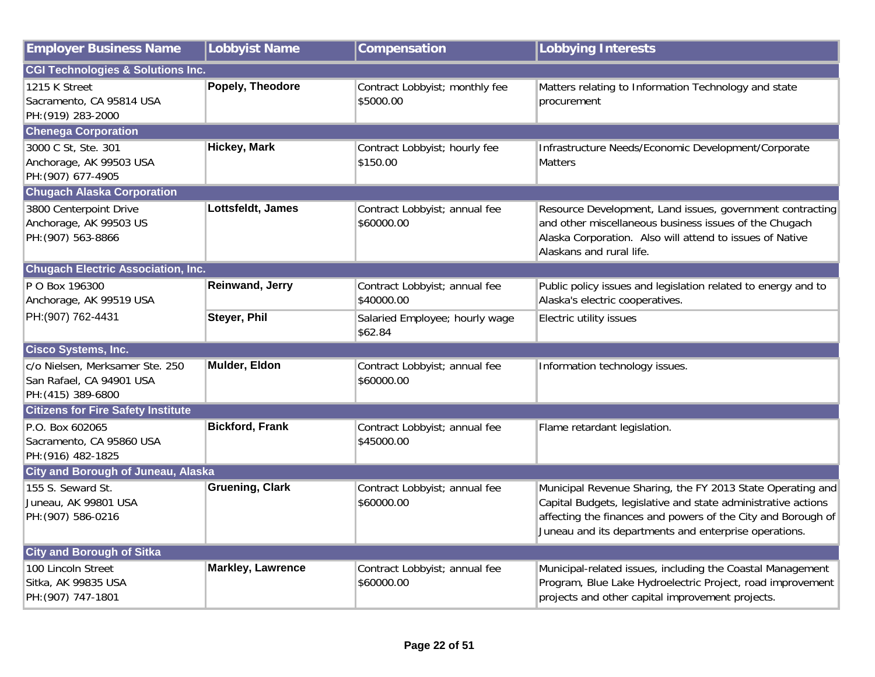| <b>Employer Business Name</b>                                                     | <b>Lobbyist Name</b>     | Compensation                                | <b>Lobbying Interests</b>                                                                                                                                                                                                                            |
|-----------------------------------------------------------------------------------|--------------------------|---------------------------------------------|------------------------------------------------------------------------------------------------------------------------------------------------------------------------------------------------------------------------------------------------------|
| <b>CGI Technologies &amp; Solutions Inc.</b>                                      |                          |                                             |                                                                                                                                                                                                                                                      |
| 1215 K Street<br>Sacramento, CA 95814 USA<br>PH: (919) 283-2000                   | Popely, Theodore         | Contract Lobbyist; monthly fee<br>\$5000.00 | Matters relating to Information Technology and state<br>procurement                                                                                                                                                                                  |
| <b>Chenega Corporation</b>                                                        |                          |                                             |                                                                                                                                                                                                                                                      |
| 3000 C St, Ste. 301<br>Anchorage, AK 99503 USA<br>PH: (907) 677-4905              | <b>Hickey, Mark</b>      | Contract Lobbyist; hourly fee<br>\$150.00   | Infrastructure Needs/Economic Development/Corporate<br><b>Matters</b>                                                                                                                                                                                |
| <b>Chugach Alaska Corporation</b>                                                 |                          |                                             |                                                                                                                                                                                                                                                      |
| 3800 Centerpoint Drive<br>Anchorage, AK 99503 US<br>PH: (907) 563-8866            | Lottsfeldt, James        | Contract Lobbyist; annual fee<br>\$60000.00 | Resource Development, Land issues, government contracting<br>and other miscellaneous business issues of the Chugach<br>Alaska Corporation. Also will attend to issues of Native<br>Alaskans and rural life.                                          |
| <b>Chugach Electric Association, Inc.</b>                                         |                          |                                             |                                                                                                                                                                                                                                                      |
| P O Box 196300<br>Anchorage, AK 99519 USA                                         | <b>Reinwand, Jerry</b>   | Contract Lobbyist; annual fee<br>\$40000.00 | Public policy issues and legislation related to energy and to<br>Alaska's electric cooperatives.                                                                                                                                                     |
| PH: (907) 762-4431                                                                | <b>Steyer, Phil</b>      | Salaried Employee; hourly wage<br>\$62.84   | Electric utility issues                                                                                                                                                                                                                              |
| Cisco Systems, Inc.                                                               |                          |                                             |                                                                                                                                                                                                                                                      |
| c/o Nielsen, Merksamer Ste. 250<br>San Rafael, CA 94901 USA<br>PH: (415) 389-6800 | Mulder, Eldon            | Contract Lobbyist; annual fee<br>\$60000.00 | Information technology issues.                                                                                                                                                                                                                       |
| <b>Citizens for Fire Safety Institute</b>                                         |                          |                                             |                                                                                                                                                                                                                                                      |
| P.O. Box 602065<br>Sacramento, CA 95860 USA<br>PH: (916) 482-1825                 | <b>Bickford, Frank</b>   | Contract Lobbyist; annual fee<br>\$45000.00 | Flame retardant legislation.                                                                                                                                                                                                                         |
| <b>City and Borough of Juneau, Alaska</b>                                         |                          |                                             |                                                                                                                                                                                                                                                      |
| 155 S. Seward St.<br>Juneau, AK 99801 USA<br>PH: (907) 586-0216                   | <b>Gruening, Clark</b>   | Contract Lobbyist; annual fee<br>\$60000.00 | Municipal Revenue Sharing, the FY 2013 State Operating and<br>Capital Budgets, legislative and state administrative actions<br>affecting the finances and powers of the City and Borough of<br>Juneau and its departments and enterprise operations. |
| <b>City and Borough of Sitka</b>                                                  |                          |                                             |                                                                                                                                                                                                                                                      |
| 100 Lincoln Street<br>Sitka, AK 99835 USA<br>PH: (907) 747-1801                   | <b>Markley, Lawrence</b> | Contract Lobbyist; annual fee<br>\$60000.00 | Municipal-related issues, including the Coastal Management<br>Program, Blue Lake Hydroelectric Project, road improvement<br>projects and other capital improvement projects.                                                                         |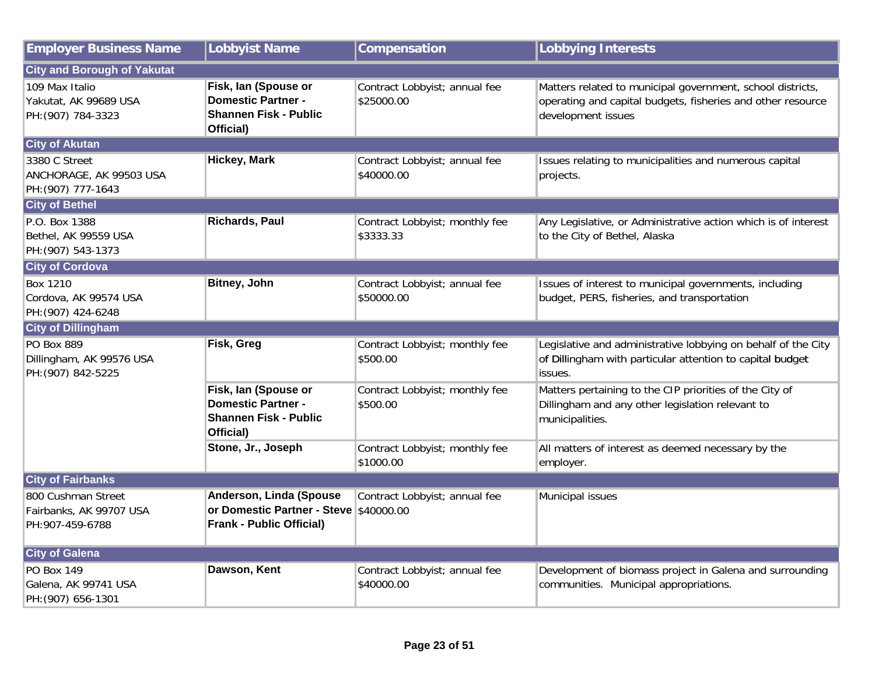| <b>Employer Business Name</b>                                    | <b>Lobbyist Name</b>                                                                                 | Compensation                                | <b>Lobbying Interests</b>                                                                                                                       |
|------------------------------------------------------------------|------------------------------------------------------------------------------------------------------|---------------------------------------------|-------------------------------------------------------------------------------------------------------------------------------------------------|
| <b>City and Borough of Yakutat</b>                               |                                                                                                      |                                             |                                                                                                                                                 |
| 109 Max Italio<br>Yakutat, AK 99689 USA<br>PH: (907) 784-3323    | Fisk, lan (Spouse or<br><b>Domestic Partner -</b><br><b>Shannen Fisk - Public</b><br>Official)       | Contract Lobbyist; annual fee<br>\$25000.00 | Matters related to municipal government, school districts,<br>operating and capital budgets, fisheries and other resource<br>development issues |
| <b>City of Akutan</b>                                            |                                                                                                      |                                             |                                                                                                                                                 |
| 3380 C Street<br>ANCHORAGE, AK 99503 USA<br>PH: (907) 777-1643   | <b>Hickey, Mark</b>                                                                                  | Contract Lobbyist; annual fee<br>\$40000.00 | Issues relating to municipalities and numerous capital<br>projects.                                                                             |
| <b>City of Bethel</b>                                            |                                                                                                      |                                             |                                                                                                                                                 |
| P.O. Box 1388<br>Bethel, AK 99559 USA<br>PH: (907) 543-1373      | <b>Richards, Paul</b>                                                                                | Contract Lobbyist; monthly fee<br>\$3333.33 | Any Legislative, or Administrative action which is of interest<br>to the City of Bethel, Alaska                                                 |
| <b>City of Cordova</b>                                           |                                                                                                      |                                             |                                                                                                                                                 |
| <b>Box 1210</b><br>Cordova, AK 99574 USA<br>PH: (907) 424-6248   | <b>Bitney, John</b>                                                                                  | Contract Lobbyist; annual fee<br>\$50000.00 | Issues of interest to municipal governments, including<br>budget, PERS, fisheries, and transportation                                           |
| <b>City of Dillingham</b>                                        |                                                                                                      |                                             |                                                                                                                                                 |
| PO Box 889<br>Dillingham, AK 99576 USA<br>PH: (907) 842-5225     | Fisk, Greg                                                                                           | Contract Lobbyist; monthly fee<br>\$500.00  | Legislative and administrative lobbying on behalf of the City<br>of Dillingham with particular attention to capital budget<br>issues.           |
|                                                                  | Fisk, Ian (Spouse or<br><b>Domestic Partner -</b><br><b>Shannen Fisk - Public</b><br>Official)       | Contract Lobbyist; monthly fee<br>\$500.00  | Matters pertaining to the CIP priorities of the City of<br>Dillingham and any other legislation relevant to<br>municipalities.                  |
|                                                                  | Stone, Jr., Joseph                                                                                   | Contract Lobbyist; monthly fee<br>\$1000.00 | All matters of interest as deemed necessary by the<br>employer.                                                                                 |
| <b>City of Fairbanks</b>                                         |                                                                                                      |                                             |                                                                                                                                                 |
| 800 Cushman Street<br>Fairbanks, AK 99707 USA<br>PH:907-459-6788 | Anderson, Linda (Spouse<br>or Domestic Partner - Steve \$40000.00<br><b>Frank - Public Official)</b> | Contract Lobbyist; annual fee               | Municipal issues                                                                                                                                |
| <b>City of Galena</b>                                            |                                                                                                      |                                             |                                                                                                                                                 |
| <b>PO Box 149</b><br>Galena, AK 99741 USA<br>PH: (907) 656-1301  | Dawson, Kent                                                                                         | Contract Lobbyist; annual fee<br>\$40000.00 | Development of biomass project in Galena and surrounding<br>communities. Municipal appropriations.                                              |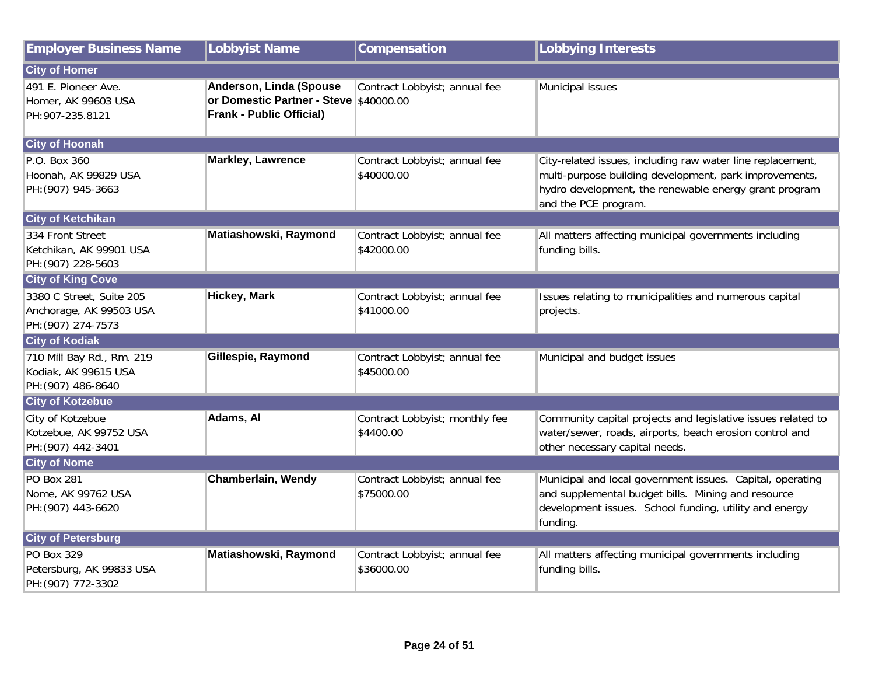| <b>Employer Business Name</b>                                             | <b>Lobbyist Name</b>                                                                                 | Compensation                                | <b>Lobbying Interests</b>                                                                                                                                                                             |
|---------------------------------------------------------------------------|------------------------------------------------------------------------------------------------------|---------------------------------------------|-------------------------------------------------------------------------------------------------------------------------------------------------------------------------------------------------------|
| <b>City of Homer</b>                                                      |                                                                                                      |                                             |                                                                                                                                                                                                       |
| 491 E. Pioneer Ave.<br>Homer, AK 99603 USA<br>PH:907-235.8121             | Anderson, Linda (Spouse<br>or Domestic Partner - Steve \$40000.00<br><b>Frank - Public Official)</b> | Contract Lobbyist; annual fee               | Municipal issues                                                                                                                                                                                      |
| <b>City of Hoonah</b>                                                     |                                                                                                      |                                             |                                                                                                                                                                                                       |
| P.O. Box 360<br>Hoonah, AK 99829 USA<br>PH: (907) 945-3663                | <b>Markley, Lawrence</b>                                                                             | Contract Lobbyist; annual fee<br>\$40000.00 | City-related issues, including raw water line replacement,<br>multi-purpose building development, park improvements,<br>hydro development, the renewable energy grant program<br>and the PCE program. |
| <b>City of Ketchikan</b>                                                  |                                                                                                      |                                             |                                                                                                                                                                                                       |
| 334 Front Street<br>Ketchikan, AK 99901 USA<br>PH: (907) 228-5603         | Matiashowski, Raymond                                                                                | Contract Lobbyist; annual fee<br>\$42000.00 | All matters affecting municipal governments including<br>funding bills.                                                                                                                               |
| <b>City of King Cove</b>                                                  |                                                                                                      |                                             |                                                                                                                                                                                                       |
| 3380 C Street, Suite 205<br>Anchorage, AK 99503 USA<br>PH: (907) 274-7573 | <b>Hickey, Mark</b>                                                                                  | Contract Lobbyist; annual fee<br>\$41000.00 | Issues relating to municipalities and numerous capital<br>projects.                                                                                                                                   |
| <b>City of Kodiak</b>                                                     |                                                                                                      |                                             |                                                                                                                                                                                                       |
| 710 Mill Bay Rd., Rm. 219<br>Kodiak, AK 99615 USA<br>PH: (907) 486-8640   | Gillespie, Raymond                                                                                   | Contract Lobbyist; annual fee<br>\$45000.00 | Municipal and budget issues                                                                                                                                                                           |
| <b>City of Kotzebue</b>                                                   |                                                                                                      |                                             |                                                                                                                                                                                                       |
| City of Kotzebue<br>Kotzebue, AK 99752 USA<br>PH: (907) 442-3401          | Adams, Al                                                                                            | Contract Lobbyist; monthly fee<br>\$4400.00 | Community capital projects and legislative issues related to<br>water/sewer, roads, airports, beach erosion control and<br>other necessary capital needs.                                             |
| <b>City of Nome</b>                                                       |                                                                                                      |                                             |                                                                                                                                                                                                       |
| <b>PO Box 281</b><br>Nome, AK 99762 USA<br>PH: (907) 443-6620             | Chamberlain, Wendy                                                                                   | Contract Lobbyist; annual fee<br>\$75000.00 | Municipal and local government issues. Capital, operating<br>and supplemental budget bills. Mining and resource<br>development issues. School funding, utility and energy<br>funding.                 |
| <b>City of Petersburg</b>                                                 |                                                                                                      |                                             |                                                                                                                                                                                                       |
| <b>PO Box 329</b><br>Petersburg, AK 99833 USA<br>PH: (907) 772-3302       | Matiashowski, Raymond                                                                                | Contract Lobbyist; annual fee<br>\$36000.00 | All matters affecting municipal governments including<br>funding bills.                                                                                                                               |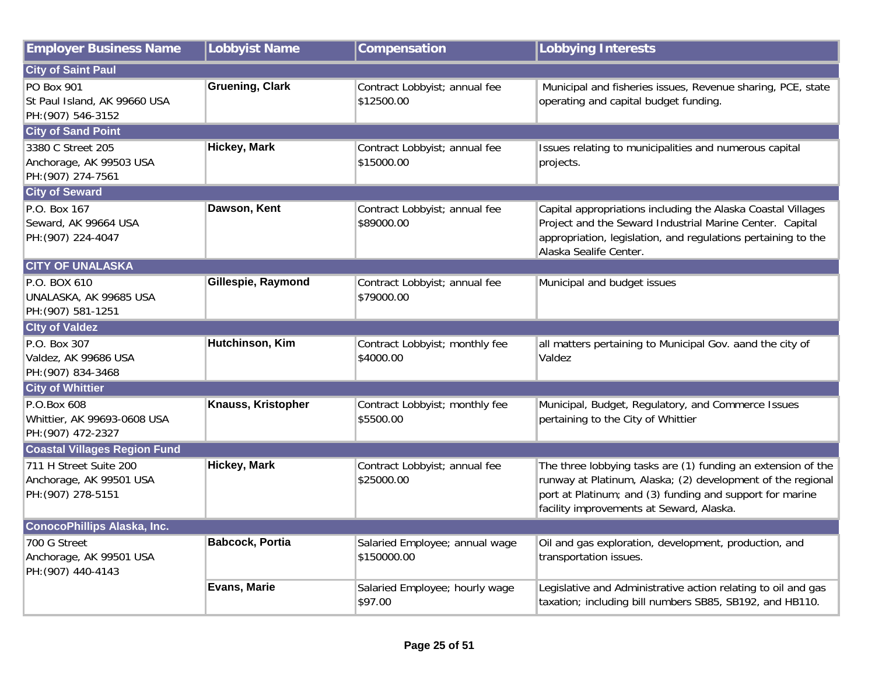| <b>Employer Business Name</b>                                           | <b>Lobbyist Name</b>   | Compensation                                  | <b>Lobbying Interests</b>                                                                                                                                                                                                           |
|-------------------------------------------------------------------------|------------------------|-----------------------------------------------|-------------------------------------------------------------------------------------------------------------------------------------------------------------------------------------------------------------------------------------|
| <b>City of Saint Paul</b>                                               |                        |                                               |                                                                                                                                                                                                                                     |
| PO Box 901<br>St Paul Island, AK 99660 USA<br>PH: (907) 546-3152        | <b>Gruening, Clark</b> | Contract Lobbyist; annual fee<br>\$12500.00   | Municipal and fisheries issues, Revenue sharing, PCE, state<br>operating and capital budget funding.                                                                                                                                |
| <b>City of Sand Point</b>                                               |                        |                                               |                                                                                                                                                                                                                                     |
| 3380 C Street 205<br>Anchorage, AK 99503 USA<br>PH: (907) 274-7561      | <b>Hickey, Mark</b>    | Contract Lobbyist; annual fee<br>\$15000.00   | Issues relating to municipalities and numerous capital<br>projects.                                                                                                                                                                 |
| <b>City of Seward</b>                                                   |                        |                                               |                                                                                                                                                                                                                                     |
| P.O. Box 167<br>Seward, AK 99664 USA<br>PH: (907) 224-4047              | Dawson, Kent           | Contract Lobbyist; annual fee<br>\$89000.00   | Capital appropriations including the Alaska Coastal Villages<br>Project and the Seward Industrial Marine Center. Capital<br>appropriation, legislation, and regulations pertaining to the<br>Alaska Sealife Center.                 |
| <b>CITY OF UNALASKA</b>                                                 |                        |                                               |                                                                                                                                                                                                                                     |
| P.O. BOX 610<br>UNALASKA, AK 99685 USA<br>PH: (907) 581-1251            | Gillespie, Raymond     | Contract Lobbyist; annual fee<br>\$79000.00   | Municipal and budget issues                                                                                                                                                                                                         |
| <b>City of Valdez</b>                                                   |                        |                                               |                                                                                                                                                                                                                                     |
| P.O. Box 307<br>Valdez, AK 99686 USA<br>PH: (907) 834-3468              | Hutchinson, Kim        | Contract Lobbyist; monthly fee<br>\$4000.00   | all matters pertaining to Municipal Gov. aand the city of<br>Valdez                                                                                                                                                                 |
| <b>City of Whittier</b>                                                 |                        |                                               |                                                                                                                                                                                                                                     |
| P.O.Box 608<br>Whittier, AK 99693-0608 USA<br>PH: (907) 472-2327        | Knauss, Kristopher     | Contract Lobbyist; monthly fee<br>\$5500.00   | Municipal, Budget, Regulatory, and Commerce Issues<br>pertaining to the City of Whittier                                                                                                                                            |
| <b>Coastal Villages Region Fund</b>                                     |                        |                                               |                                                                                                                                                                                                                                     |
| 711 H Street Suite 200<br>Anchorage, AK 99501 USA<br>PH: (907) 278-5151 | <b>Hickey, Mark</b>    | Contract Lobbyist; annual fee<br>\$25000.00   | The three lobbying tasks are (1) funding an extension of the<br>runway at Platinum, Alaska; (2) development of the regional<br>port at Platinum; and (3) funding and support for marine<br>facility improvements at Seward, Alaska. |
| <b>ConocoPhillips Alaska, Inc.</b>                                      |                        |                                               |                                                                                                                                                                                                                                     |
| 700 G Street<br>Anchorage, AK 99501 USA<br>PH: (907) 440-4143           | <b>Babcock, Portia</b> | Salaried Employee; annual wage<br>\$150000.00 | Oil and gas exploration, development, production, and<br>transportation issues.                                                                                                                                                     |
|                                                                         | <b>Evans, Marie</b>    | Salaried Employee; hourly wage<br>\$97.00     | Legislative and Administrative action relating to oil and gas<br>taxation; including bill numbers SB85, SB192, and HB110.                                                                                                           |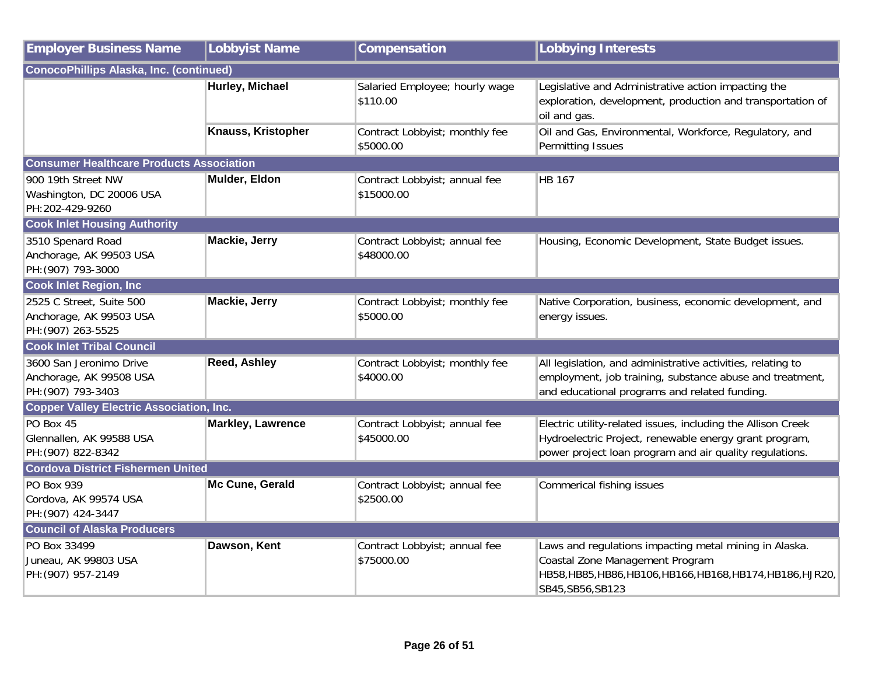| <b>Employer Business Name</b>                                             | <b>Lobbyist Name</b>     | Compensation                                | <b>Lobbying Interests</b>                                                                                                                                                         |
|---------------------------------------------------------------------------|--------------------------|---------------------------------------------|-----------------------------------------------------------------------------------------------------------------------------------------------------------------------------------|
| <b>ConocoPhillips Alaska, Inc. (continued)</b>                            |                          |                                             |                                                                                                                                                                                   |
|                                                                           | Hurley, Michael          | Salaried Employee; hourly wage<br>\$110.00  | Legislative and Administrative action impacting the<br>exploration, development, production and transportation of<br>oil and gas.                                                 |
|                                                                           | Knauss, Kristopher       | Contract Lobbyist; monthly fee<br>\$5000.00 | Oil and Gas, Environmental, Workforce, Regulatory, and<br>Permitting Issues                                                                                                       |
| <b>Consumer Healthcare Products Association</b>                           |                          |                                             |                                                                                                                                                                                   |
| 900 19th Street NW<br>Washington, DC 20006 USA<br>PH:202-429-9260         | Mulder, Eldon            | Contract Lobbyist; annual fee<br>\$15000.00 | <b>HB 167</b>                                                                                                                                                                     |
| <b>Cook Inlet Housing Authority</b>                                       |                          |                                             |                                                                                                                                                                                   |
| 3510 Spenard Road<br>Anchorage, AK 99503 USA<br>PH: (907) 793-3000        | Mackie, Jerry            | Contract Lobbyist; annual fee<br>\$48000.00 | Housing, Economic Development, State Budget issues.                                                                                                                               |
| <b>Cook Inlet Region, Inc.</b>                                            |                          |                                             |                                                                                                                                                                                   |
| 2525 C Street, Suite 500<br>Anchorage, AK 99503 USA<br>PH: (907) 263-5525 | Mackie, Jerry            | Contract Lobbyist; monthly fee<br>\$5000.00 | Native Corporation, business, economic development, and<br>energy issues.                                                                                                         |
| <b>Cook Inlet Tribal Council</b>                                          |                          |                                             |                                                                                                                                                                                   |
| 3600 San Jeronimo Drive<br>Anchorage, AK 99508 USA<br>PH: (907) 793-3403  | <b>Reed, Ashley</b>      | Contract Lobbyist; monthly fee<br>\$4000.00 | All legislation, and administrative activities, relating to<br>employment, job training, substance abuse and treatment,<br>and educational programs and related funding.          |
| <b>Copper Valley Electric Association, Inc.</b>                           |                          |                                             |                                                                                                                                                                                   |
| PO Box 45<br>Glennallen, AK 99588 USA<br>PH: (907) 822-8342               | <b>Markley, Lawrence</b> | Contract Lobbyist; annual fee<br>\$45000.00 | Electric utility-related issues, including the Allison Creek<br>Hydroelectric Project, renewable energy grant program,<br>power project loan program and air quality regulations. |
| <b>Cordova District Fishermen United</b>                                  |                          |                                             |                                                                                                                                                                                   |
| PO Box 939<br>Cordova, AK 99574 USA<br>PH: (907) 424-3447                 | Mc Cune, Gerald          | Contract Lobbyist; annual fee<br>\$2500.00  | Commerical fishing issues                                                                                                                                                         |
| <b>Council of Alaska Producers</b>                                        |                          |                                             |                                                                                                                                                                                   |
| PO Box 33499<br>Juneau, AK 99803 USA<br>PH: (907) 957-2149                | Dawson, Kent             | Contract Lobbyist; annual fee<br>\$75000.00 | Laws and regulations impacting metal mining in Alaska.<br>Coastal Zone Management Program<br>HB58, HB85, HB86, HB106, HB166, HB168, HB174, HB186, HJR20,<br>SB45, SB56, SB123     |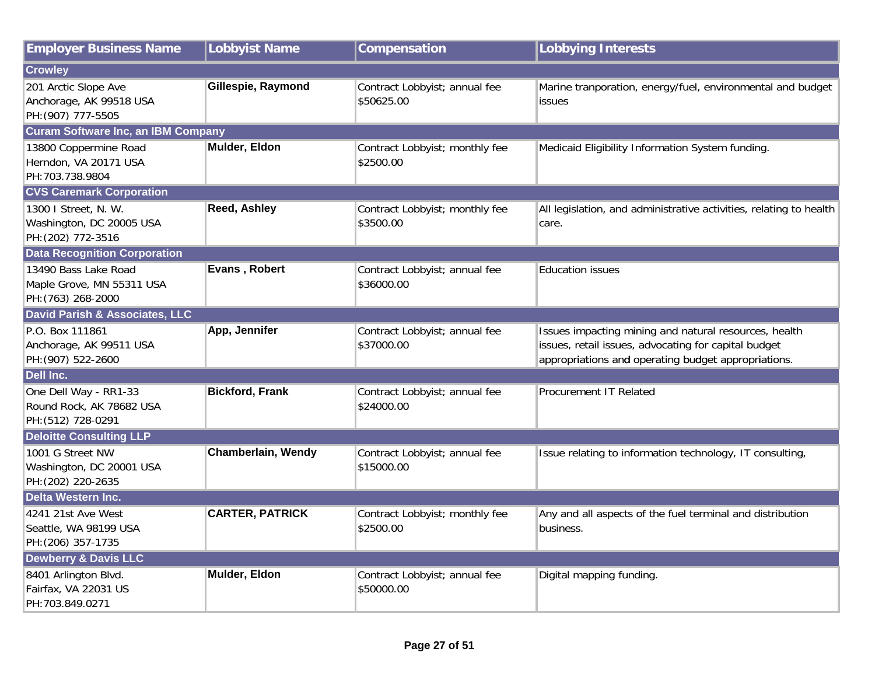| <b>Employer Business Name</b>                                           | <b>Lobbyist Name</b>      | Compensation                                | <b>Lobbying Interests</b>                                                                                                                                            |
|-------------------------------------------------------------------------|---------------------------|---------------------------------------------|----------------------------------------------------------------------------------------------------------------------------------------------------------------------|
| <b>Crowley</b>                                                          |                           |                                             |                                                                                                                                                                      |
| 201 Arctic Slope Ave<br>Anchorage, AK 99518 USA<br>PH: (907) 777-5505   | Gillespie, Raymond        | Contract Lobbyist; annual fee<br>\$50625.00 | Marine tranporation, energy/fuel, environmental and budget<br>issues                                                                                                 |
| <b>Curam Software Inc, an IBM Company</b>                               |                           |                                             |                                                                                                                                                                      |
| 13800 Coppermine Road<br>Herndon, VA 20171 USA<br>PH: 703.738.9804      | Mulder, Eldon             | Contract Lobbyist; monthly fee<br>\$2500.00 | Medicaid Eligibility Information System funding.                                                                                                                     |
| <b>CVS Caremark Corporation</b>                                         |                           |                                             |                                                                                                                                                                      |
| 1300 I Street, N. W.<br>Washington, DC 20005 USA<br>PH: (202) 772-3516  | <b>Reed, Ashley</b>       | Contract Lobbyist; monthly fee<br>\$3500.00 | All legislation, and administrative activities, relating to health<br>care.                                                                                          |
| <b>Data Recognition Corporation</b>                                     |                           |                                             |                                                                                                                                                                      |
| 13490 Bass Lake Road<br>Maple Grove, MN 55311 USA<br>PH: (763) 268-2000 | Evans, Robert             | Contract Lobbyist; annual fee<br>\$36000.00 | <b>Education issues</b>                                                                                                                                              |
| <b>David Parish &amp; Associates, LLC</b>                               |                           |                                             |                                                                                                                                                                      |
| P.O. Box 111861<br>Anchorage, AK 99511 USA<br>PH: (907) 522-2600        | App, Jennifer             | Contract Lobbyist; annual fee<br>\$37000.00 | Issues impacting mining and natural resources, health<br>issues, retail issues, advocating for capital budget<br>appropriations and operating budget appropriations. |
| Dell Inc.                                                               |                           |                                             |                                                                                                                                                                      |
| One Dell Way - RR1-33<br>Round Rock, AK 78682 USA<br>PH: (512) 728-0291 | <b>Bickford, Frank</b>    | Contract Lobbyist; annual fee<br>\$24000.00 | Procurement IT Related                                                                                                                                               |
| <b>Deloitte Consulting LLP</b>                                          |                           |                                             |                                                                                                                                                                      |
| 1001 G Street NW<br>Washington, DC 20001 USA<br>PH: (202) 220-2635      | <b>Chamberlain, Wendy</b> | Contract Lobbyist; annual fee<br>\$15000.00 | Issue relating to information technology, IT consulting,                                                                                                             |
| <b>Delta Western Inc.</b>                                               |                           |                                             |                                                                                                                                                                      |
| 4241 21st Ave West<br>Seattle, WA 98199 USA<br>PH: (206) 357-1735       | <b>CARTER, PATRICK</b>    | Contract Lobbyist; monthly fee<br>\$2500.00 | Any and all aspects of the fuel terminal and distribution<br>business.                                                                                               |
| <b>Dewberry &amp; Davis LLC</b>                                         |                           |                                             |                                                                                                                                                                      |
| 8401 Arlington Blvd.<br>Fairfax, VA 22031 US<br>PH:703.849.0271         | Mulder, Eldon             | Contract Lobbyist; annual fee<br>\$50000.00 | Digital mapping funding.                                                                                                                                             |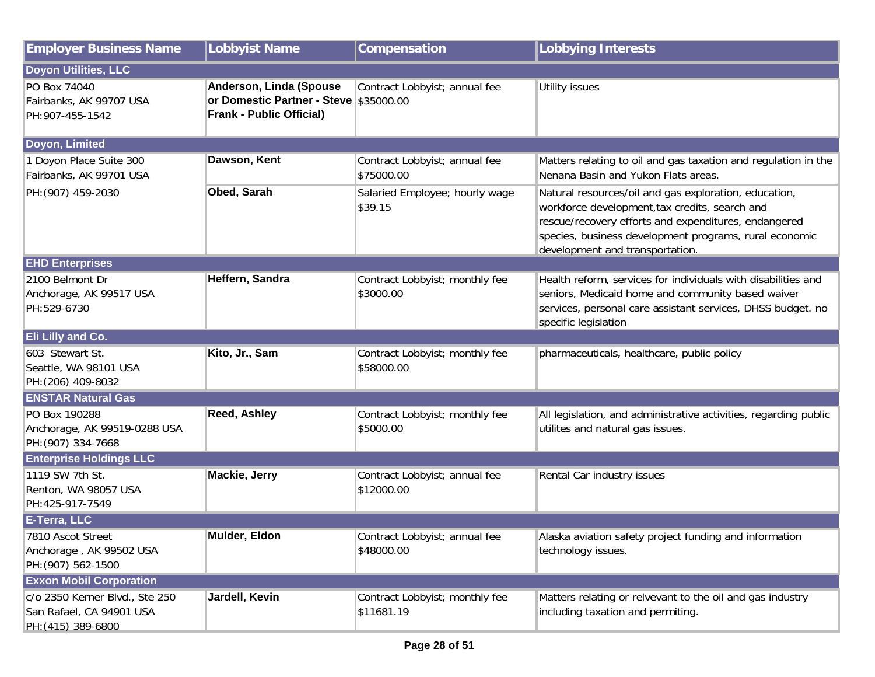| <b>Employer Business Name</b>                                                    | <b>Lobbyist Name</b>                                                                                 | Compensation                                 | <b>Lobbying Interests</b>                                                                                                                                                                                                                                    |  |
|----------------------------------------------------------------------------------|------------------------------------------------------------------------------------------------------|----------------------------------------------|--------------------------------------------------------------------------------------------------------------------------------------------------------------------------------------------------------------------------------------------------------------|--|
| Doyon Utilities, LLC                                                             |                                                                                                      |                                              |                                                                                                                                                                                                                                                              |  |
| PO Box 74040<br>Fairbanks, AK 99707 USA<br>PH: 907-455-1542                      | Anderson, Linda (Spouse<br>or Domestic Partner - Steve \$35000.00<br><b>Frank - Public Official)</b> | Contract Lobbyist; annual fee                | <b>Utility issues</b>                                                                                                                                                                                                                                        |  |
| Doyon, Limited                                                                   |                                                                                                      |                                              |                                                                                                                                                                                                                                                              |  |
| Doyon Place Suite 300<br>Fairbanks, AK 99701 USA                                 | Dawson, Kent                                                                                         | Contract Lobbyist; annual fee<br>\$75000.00  | Matters relating to oil and gas taxation and regulation in the<br>Nenana Basin and Yukon Flats areas                                                                                                                                                         |  |
| PH: (907) 459-2030                                                               | Obed, Sarah                                                                                          | Salaried Employee; hourly wage<br>\$39.15    | Natural resources/oil and gas exploration, education,<br>workforce development, tax credits, search and<br>rescue/recovery efforts and expenditures, endangered<br>species, business development programs, rural economic<br>development and transportation. |  |
| <b>EHD Enterprises</b>                                                           |                                                                                                      |                                              |                                                                                                                                                                                                                                                              |  |
| 2100 Belmont Dr<br>Anchorage, AK 99517 USA<br>PH:529-6730                        | Heffern, Sandra                                                                                      | Contract Lobbyist; monthly fee<br>\$3000.00  | Health reform, services for individuals with disabilities and<br>seniors, Medicaid home and community based waiver<br>services, personal care assistant services, DHSS budget. no<br>specific legislation                                                    |  |
| <b>Eli Lilly and Co.</b>                                                         |                                                                                                      |                                              |                                                                                                                                                                                                                                                              |  |
| 603 Stewart St.<br>Seattle, WA 98101 USA<br>PH: (206) 409-8032                   | Kito, Jr., Sam                                                                                       | Contract Lobbyist; monthly fee<br>\$58000.00 | pharmaceuticals, healthcare, public policy                                                                                                                                                                                                                   |  |
| <b>ENSTAR Natural Gas</b>                                                        |                                                                                                      |                                              |                                                                                                                                                                                                                                                              |  |
| PO Box 190288<br>Anchorage, AK 99519-0288 USA<br>PH: (907) 334-7668              | <b>Reed, Ashley</b>                                                                                  | Contract Lobbyist; monthly fee<br>\$5000.00  | All legislation, and administrative activities, regarding public<br>utilites and natural gas issues.                                                                                                                                                         |  |
| <b>Enterprise Holdings LLC</b>                                                   |                                                                                                      |                                              |                                                                                                                                                                                                                                                              |  |
| 1119 SW 7th St.<br>Renton, WA 98057 USA<br>PH:425-917-7549                       | Mackie, Jerry                                                                                        | Contract Lobbyist; annual fee<br>\$12000.00  | Rental Car industry issues                                                                                                                                                                                                                                   |  |
| E-Terra, LLC                                                                     |                                                                                                      |                                              |                                                                                                                                                                                                                                                              |  |
| 7810 Ascot Street<br>Anchorage, AK 99502 USA<br>PH: (907) 562-1500               | Mulder, Eldon                                                                                        | Contract Lobbyist; annual fee<br>\$48000.00  | Alaska aviation safety project funding and information<br>technology issues.                                                                                                                                                                                 |  |
| <b>Exxon Mobil Corporation</b>                                                   |                                                                                                      |                                              |                                                                                                                                                                                                                                                              |  |
| c/o 2350 Kerner Blvd., Ste 250<br>San Rafael, CA 94901 USA<br>PH: (415) 389-6800 | Jardell, Kevin                                                                                       | Contract Lobbyist; monthly fee<br>\$11681.19 | Matters relating or relvevant to the oil and gas industry<br>including taxation and permiting.                                                                                                                                                               |  |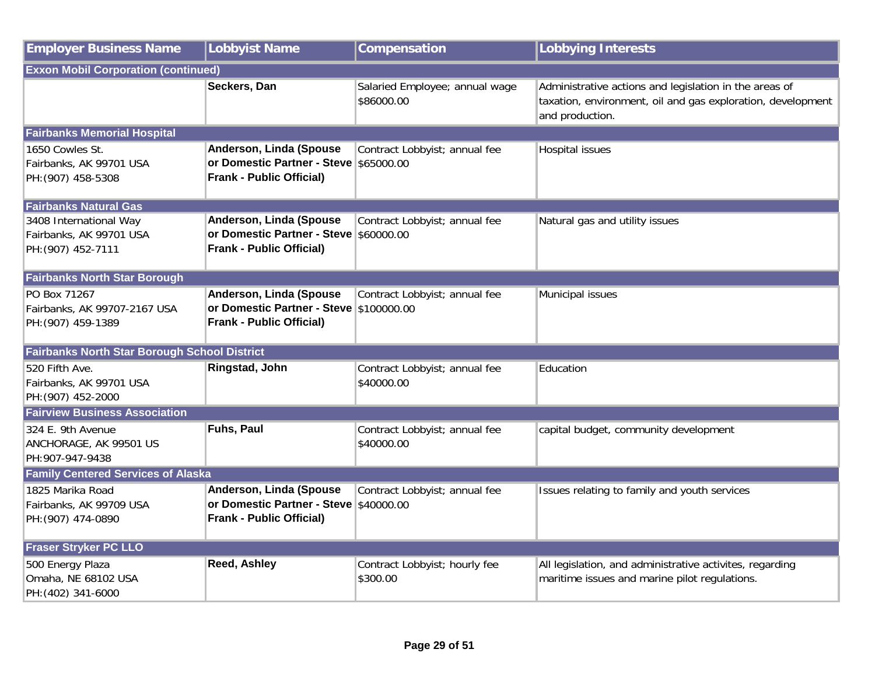| <b>Employer Business Name</b>                                           | <b>Lobbyist Name</b>                                                                                  | Compensation                                 | <b>Lobbying Interests</b>                                                                                                                |
|-------------------------------------------------------------------------|-------------------------------------------------------------------------------------------------------|----------------------------------------------|------------------------------------------------------------------------------------------------------------------------------------------|
| <b>Exxon Mobil Corporation (continued)</b>                              |                                                                                                       |                                              |                                                                                                                                          |
|                                                                         | Seckers, Dan                                                                                          | Salaried Employee; annual wage<br>\$86000.00 | Administrative actions and legislation in the areas of<br>taxation, environment, oil and gas exploration, development<br>and production. |
| <b>Fairbanks Memorial Hospital</b>                                      |                                                                                                       |                                              |                                                                                                                                          |
| 1650 Cowles St.<br>Fairbanks, AK 99701 USA<br>PH: (907) 458-5308        | Anderson, Linda (Spouse<br>or Domestic Partner - Steve \$65000.00<br><b>Frank - Public Official)</b>  | Contract Lobbyist; annual fee                | <b>Hospital issues</b>                                                                                                                   |
| <b>Fairbanks Natural Gas</b>                                            |                                                                                                       |                                              |                                                                                                                                          |
| 3408 International Way<br>Fairbanks, AK 99701 USA<br>PH: (907) 452-7111 | Anderson, Linda (Spouse<br>or Domestic Partner - Steve \$60000.00<br><b>Frank - Public Official)</b>  | Contract Lobbyist; annual fee                | Natural gas and utility issues                                                                                                           |
| <b>Fairbanks North Star Borough</b>                                     |                                                                                                       |                                              |                                                                                                                                          |
| PO Box 71267<br>Fairbanks, AK 99707-2167 USA<br>PH: (907) 459-1389      | Anderson, Linda (Spouse<br>or Domestic Partner - Steve \$100000.00<br><b>Frank - Public Official)</b> | Contract Lobbyist; annual fee                | Municipal issues                                                                                                                         |
| Fairbanks North Star Borough School District                            |                                                                                                       |                                              |                                                                                                                                          |
| 520 Fifth Ave.<br>Fairbanks, AK 99701 USA<br>PH: (907) 452-2000         | Ringstad, John                                                                                        | Contract Lobbyist; annual fee<br>\$40000.00  | Education                                                                                                                                |
| <b>Fairview Business Association</b>                                    |                                                                                                       |                                              |                                                                                                                                          |
| 324 E. 9th Avenue<br>ANCHORAGE, AK 99501 US<br>PH:907-947-9438          | Fuhs, Paul                                                                                            | Contract Lobbyist; annual fee<br>\$40000.00  | capital budget, community development                                                                                                    |
| <b>Family Centered Services of Alaska</b>                               |                                                                                                       |                                              |                                                                                                                                          |
| 1825 Marika Road<br>Fairbanks, AK 99709 USA<br>PH: (907) 474-0890       | Anderson, Linda (Spouse<br>or Domestic Partner - Steve \$40000.00<br><b>Frank - Public Official)</b>  | Contract Lobbyist; annual fee                | Issues relating to family and youth services                                                                                             |
| <b>Fraser Stryker PC LLO</b>                                            |                                                                                                       |                                              |                                                                                                                                          |
| 500 Energy Plaza<br>Omaha, NE 68102 USA<br>PH: (402) 341-6000           | Reed, Ashley                                                                                          | Contract Lobbyist; hourly fee<br>\$300.00    | All legislation, and administrative activites, regarding<br>maritime issues and marine pilot regulations.                                |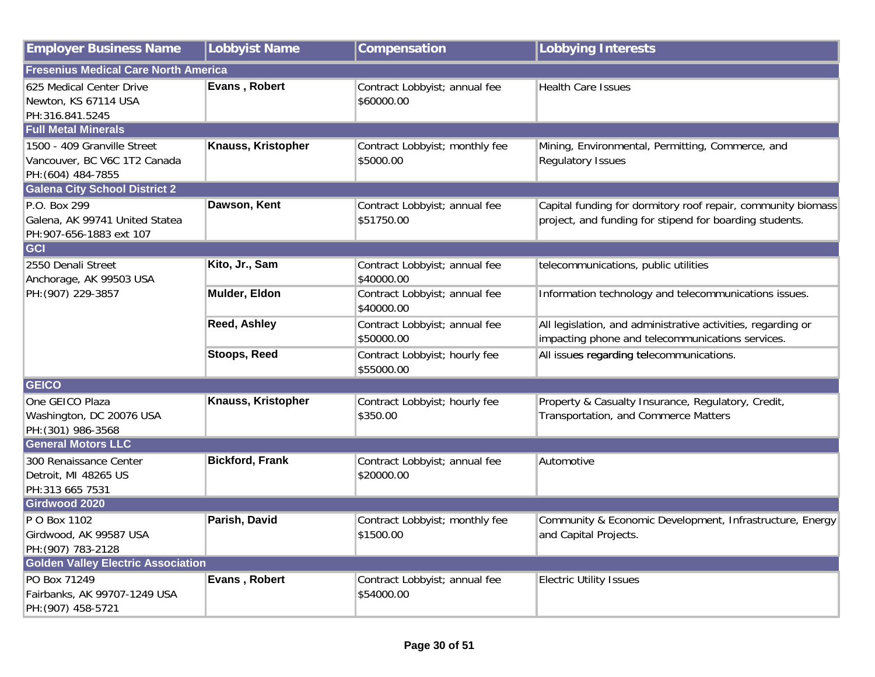| <b>Employer Business Name</b>                                                     | Lobbyist Name          | Compensation                                | <b>Lobbying Interests</b>                                                                                               |
|-----------------------------------------------------------------------------------|------------------------|---------------------------------------------|-------------------------------------------------------------------------------------------------------------------------|
| <b>Fresenius Medical Care North America</b>                                       |                        |                                             |                                                                                                                         |
| 625 Medical Center Drive<br>Newton, KS 67114 USA<br>PH:316.841.5245               | Evans, Robert          | Contract Lobbyist; annual fee<br>\$60000.00 | <b>Health Care Issues</b>                                                                                               |
| <b>Full Metal Minerals</b>                                                        |                        |                                             |                                                                                                                         |
| 1500 - 409 Granville Street<br>Vancouver, BC V6C 1T2 Canada<br>PH: (604) 484-7855 | Knauss, Kristopher     | Contract Lobbyist; monthly fee<br>\$5000.00 | Mining, Environmental, Permitting, Commerce, and<br><b>Regulatory Issues</b>                                            |
| <b>Galena City School District 2</b>                                              |                        |                                             |                                                                                                                         |
| P.O. Box 299<br>Galena, AK 99741 United Statea<br>PH:907-656-1883 ext 107         | Dawson, Kent           | Contract Lobbyist; annual fee<br>\$51750.00 | Capital funding for dormitory roof repair, community biomass<br>project, and funding for stipend for boarding students. |
| GCI                                                                               |                        |                                             |                                                                                                                         |
| 2550 Denali Street<br>Anchorage, AK 99503 USA                                     | Kito, Jr., Sam         | Contract Lobbyist; annual fee<br>\$40000.00 | telecommunications, public utilities                                                                                    |
| PH: (907) 229-3857                                                                | Mulder, Eldon          | Contract Lobbyist; annual fee<br>\$40000.00 | Information technology and telecommunications issues.                                                                   |
|                                                                                   | Reed, Ashley           | Contract Lobbyist; annual fee<br>\$50000.00 | All legislation, and administrative activities, regarding or<br>impacting phone and telecommunications services.        |
|                                                                                   | <b>Stoops, Reed</b>    | Contract Lobbyist; hourly fee<br>\$55000.00 | All issues regarding telecommunications.                                                                                |
| <b>GEICO</b>                                                                      |                        |                                             |                                                                                                                         |
| One GEICO Plaza<br>Washington, DC 20076 USA<br>PH: (301) 986-3568                 | Knauss, Kristopher     | Contract Lobbyist; hourly fee<br>\$350.00   | Property & Casualty Insurance, Regulatory, Credit,<br>Transportation, and Commerce Matters                              |
| <b>General Motors LLC</b>                                                         |                        |                                             |                                                                                                                         |
| 300 Renaissance Center<br>Detroit, MI 48265 US<br>PH:313 665 7531                 | <b>Bickford, Frank</b> | Contract Lobbyist; annual fee<br>\$20000.00 | Automotive                                                                                                              |
| Girdwood 2020                                                                     |                        |                                             |                                                                                                                         |
| P O Box 1102<br>Girdwood, AK 99587 USA<br>PH: (907) 783-2128                      | Parish, David          | Contract Lobbyist; monthly fee<br>\$1500.00 | Community & Economic Development, Infrastructure, Energy<br>and Capital Projects.                                       |
| <b>Golden Valley Electric Association</b>                                         |                        |                                             |                                                                                                                         |
| PO Box 71249<br>Fairbanks, AK 99707-1249 USA<br>PH: (907) 458-5721                | Evans, Robert          | Contract Lobbyist; annual fee<br>\$54000.00 | <b>Electric Utility Issues</b>                                                                                          |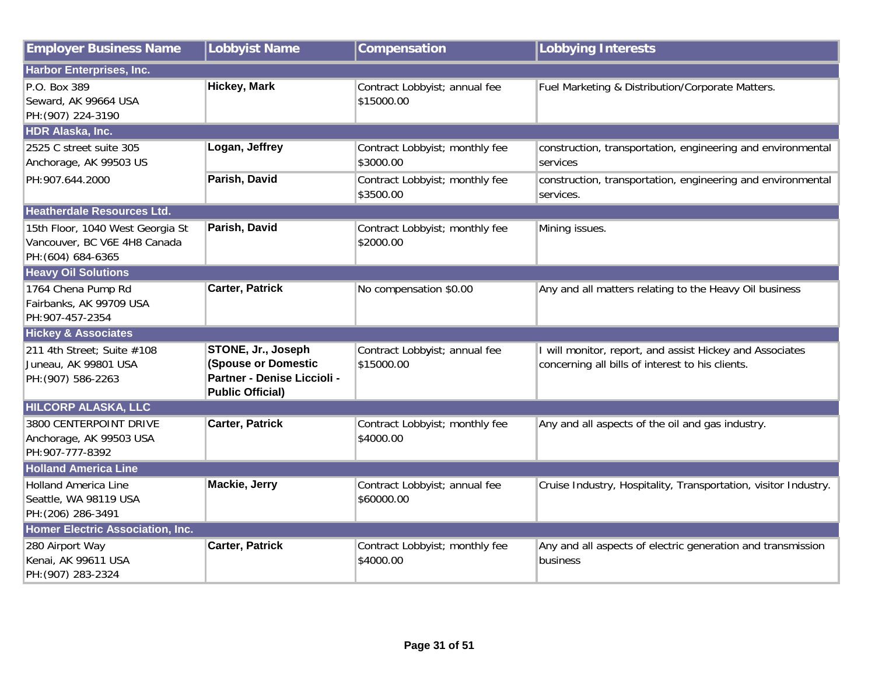| <b>Employer Business Name</b>                                                          | <b>Lobbyist Name</b>                                                                                       | Compensation                                | <b>Lobbying Interests</b>                                                                                    |
|----------------------------------------------------------------------------------------|------------------------------------------------------------------------------------------------------------|---------------------------------------------|--------------------------------------------------------------------------------------------------------------|
| Harbor Enterprises, Inc.                                                               |                                                                                                            |                                             |                                                                                                              |
| P.O. Box 389<br>Seward, AK 99664 USA<br>PH: (907) 224-3190                             | <b>Hickey, Mark</b>                                                                                        | Contract Lobbyist; annual fee<br>\$15000.00 | Fuel Marketing & Distribution/Corporate Matters.                                                             |
| <b>HDR Alaska, Inc.</b>                                                                |                                                                                                            |                                             |                                                                                                              |
| 2525 C street suite 305<br>Anchorage, AK 99503 US                                      | Logan, Jeffrey                                                                                             | Contract Lobbyist; monthly fee<br>\$3000.00 | construction, transportation, engineering and environmental<br>services                                      |
| PH:907.644.2000                                                                        | Parish, David                                                                                              | Contract Lobbyist; monthly fee<br>\$3500.00 | construction, transportation, engineering and environmental<br>services.                                     |
| <b>Heatherdale Resources Ltd.</b>                                                      |                                                                                                            |                                             |                                                                                                              |
| 15th Floor, 1040 West Georgia St<br>Vancouver, BC V6E 4H8 Canada<br>PH: (604) 684-6365 | Parish, David                                                                                              | Contract Lobbyist; monthly fee<br>\$2000.00 | Mining issues.                                                                                               |
| <b>Heavy Oil Solutions</b>                                                             |                                                                                                            |                                             |                                                                                                              |
| 1764 Chena Pump Rd<br>Fairbanks, AK 99709 USA<br>PH:907-457-2354                       | <b>Carter, Patrick</b>                                                                                     | No compensation \$0.00                      | Any and all matters relating to the Heavy Oil business                                                       |
| <b>Hickey &amp; Associates</b>                                                         |                                                                                                            |                                             |                                                                                                              |
| 211 4th Street; Suite #108<br>Juneau, AK 99801 USA<br>PH: (907) 586-2263               | STONE, Jr., Joseph<br><b>(Spouse or Domestic</b><br>Partner - Denise Liccioli -<br><b>Public Official)</b> | Contract Lobbyist; annual fee<br>\$15000.00 | I will monitor, report, and assist Hickey and Associates<br>concerning all bills of interest to his clients. |
| <b>HILCORP ALASKA, LLC</b>                                                             |                                                                                                            |                                             |                                                                                                              |
| 3800 CENTERPOINT DRIVE<br>Anchorage, AK 99503 USA<br>PH:907-777-8392                   | <b>Carter, Patrick</b>                                                                                     | Contract Lobbyist; monthly fee<br>\$4000.00 | Any and all aspects of the oil and gas industry.                                                             |
| <b>Holland America Line</b>                                                            |                                                                                                            |                                             |                                                                                                              |
| <b>Holland America Line</b><br>Seattle, WA 98119 USA<br>PH: (206) 286-3491             | <b>Mackie, Jerry</b>                                                                                       | Contract Lobbyist; annual fee<br>\$60000.00 | Cruise Industry, Hospitality, Transportation, visitor Industry.                                              |
| <b>Homer Electric Association, Inc.</b>                                                |                                                                                                            |                                             |                                                                                                              |
| 280 Airport Way<br>Kenai, AK 99611 USA<br>PH: (907) 283-2324                           | <b>Carter, Patrick</b>                                                                                     | Contract Lobbyist; monthly fee<br>\$4000.00 | Any and all aspects of electric generation and transmission<br>business                                      |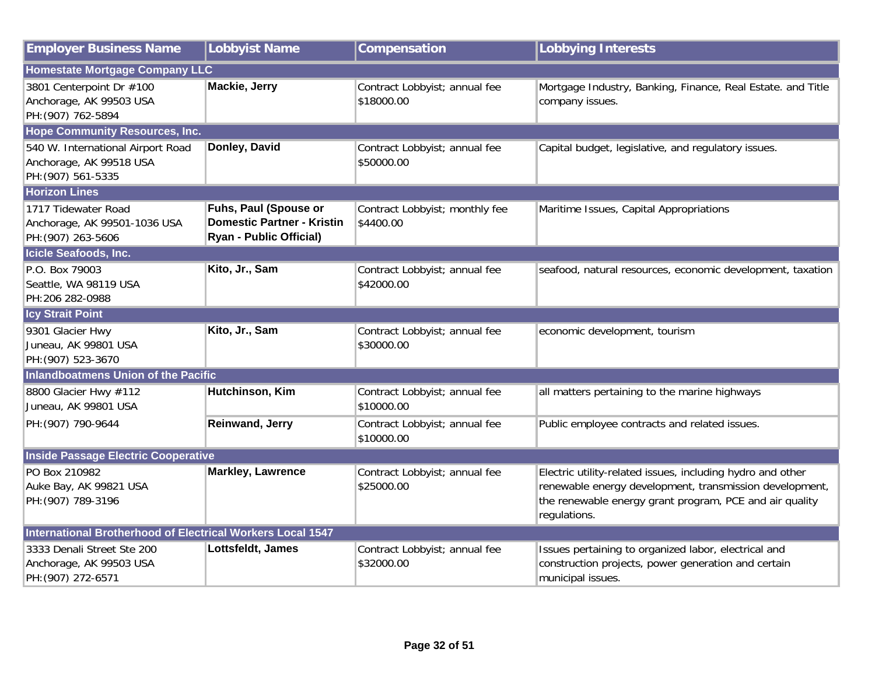| <b>Employer Business Name</b>                                                      | Lobbyist Name                                                                                | Compensation                                | <b>Lobbying Interests</b>                                                                                                                                                                        |
|------------------------------------------------------------------------------------|----------------------------------------------------------------------------------------------|---------------------------------------------|--------------------------------------------------------------------------------------------------------------------------------------------------------------------------------------------------|
| <b>Homestate Mortgage Company LLC</b>                                              |                                                                                              |                                             |                                                                                                                                                                                                  |
| 3801 Centerpoint Dr #100<br>Anchorage, AK 99503 USA<br>PH: (907) 762-5894          | <b>Mackie, Jerry</b>                                                                         | Contract Lobbyist; annual fee<br>\$18000.00 | Mortgage Industry, Banking, Finance, Real Estate. and Title<br>company issues.                                                                                                                   |
| <b>Hope Community Resources, Inc.</b>                                              |                                                                                              |                                             |                                                                                                                                                                                                  |
| 540 W. International Airport Road<br>Anchorage, AK 99518 USA<br>PH: (907) 561-5335 | Donley, David                                                                                | Contract Lobbyist; annual fee<br>\$50000.00 | Capital budget, legislative, and regulatory issues.                                                                                                                                              |
| <b>Horizon Lines</b>                                                               |                                                                                              |                                             |                                                                                                                                                                                                  |
| 1717 Tidewater Road<br>Anchorage, AK 99501-1036 USA<br>PH: (907) 263-5606          | Fuhs, Paul (Spouse or<br><b>Domestic Partner - Kristin</b><br><b>Ryan - Public Official)</b> | Contract Lobbyist; monthly fee<br>\$4400.00 | Maritime Issues, Capital Appropriations                                                                                                                                                          |
| Icicle Seafoods, Inc.                                                              |                                                                                              |                                             |                                                                                                                                                                                                  |
| P.O. Box 79003<br>Seattle, WA 98119 USA<br>PH:206 282-0988                         | Kito, Jr., Sam                                                                               | Contract Lobbyist; annual fee<br>\$42000.00 | seafood, natural resources, economic development, taxation                                                                                                                                       |
| <b>Icy Strait Point</b>                                                            |                                                                                              |                                             |                                                                                                                                                                                                  |
| 9301 Glacier Hwy<br>Juneau, AK 99801 USA<br>PH: (907) 523-3670                     | Kito, Jr., Sam                                                                               | Contract Lobbyist; annual fee<br>\$30000.00 | economic development, tourism                                                                                                                                                                    |
| <b>Inlandboatmens Union of the Pacific</b>                                         |                                                                                              |                                             |                                                                                                                                                                                                  |
| 8800 Glacier Hwy #112<br>Juneau, AK 99801 USA                                      | Hutchinson, Kim                                                                              | Contract Lobbyist; annual fee<br>\$10000.00 | all matters pertaining to the marine highways                                                                                                                                                    |
| PH: (907) 790-9644                                                                 | <b>Reinwand, Jerry</b>                                                                       | Contract Lobbyist; annual fee<br>\$10000.00 | Public employee contracts and related issues.                                                                                                                                                    |
| <b>Inside Passage Electric Cooperative</b>                                         |                                                                                              |                                             |                                                                                                                                                                                                  |
| PO Box 210982<br>Auke Bay, AK 99821 USA<br>PH: (907) 789-3196                      | <b>Markley, Lawrence</b>                                                                     | Contract Lobbyist; annual fee<br>\$25000.00 | Electric utility-related issues, including hydro and other<br>renewable energy development, transmission development,<br>the renewable energy grant program, PCE and air quality<br>regulations. |
| <b>International Brotherhood of Electrical Workers Local 1547</b>                  |                                                                                              |                                             |                                                                                                                                                                                                  |
| 3333 Denali Street Ste 200<br>Anchorage, AK 99503 USA<br>PH: (907) 272-6571        | Lottsfeldt, James                                                                            | Contract Lobbyist; annual fee<br>\$32000.00 | Issues pertaining to organized labor, electrical and<br>construction projects, power generation and certain<br>municipal issues.                                                                 |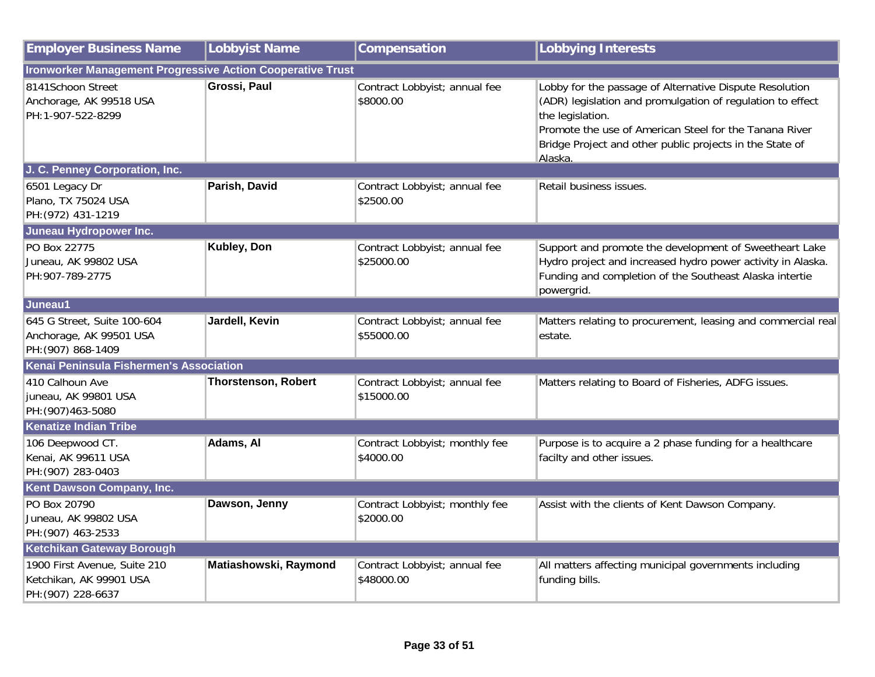| <b>Employer Business Name</b>                                                 | <b>Lobbyist Name</b>       | Compensation                                | <b>Lobbying Interests</b>                                                                                                                                                                                                                                                  |  |
|-------------------------------------------------------------------------------|----------------------------|---------------------------------------------|----------------------------------------------------------------------------------------------------------------------------------------------------------------------------------------------------------------------------------------------------------------------------|--|
| <b>Ironworker Management Progressive Action Cooperative Trust</b>             |                            |                                             |                                                                                                                                                                                                                                                                            |  |
| 8141Schoon Street<br>Anchorage, AK 99518 USA<br>PH:1-907-522-8299             | Grossi, Paul               | Contract Lobbyist; annual fee<br>\$8000.00  | Lobby for the passage of Alternative Dispute Resolution<br>(ADR) legislation and promulgation of regulation to effect<br>the legislation.<br>Promote the use of American Steel for the Tanana River<br>Bridge Project and other public projects in the State of<br>Alaska. |  |
| J. C. Penney Corporation, Inc.                                                |                            |                                             |                                                                                                                                                                                                                                                                            |  |
| 6501 Legacy Dr<br>Plano, TX 75024 USA<br>PH: (972) 431-1219                   | Parish, David              | Contract Lobbyist; annual fee<br>\$2500.00  | Retail business issues.                                                                                                                                                                                                                                                    |  |
| Juneau Hydropower Inc.                                                        |                            |                                             |                                                                                                                                                                                                                                                                            |  |
| PO Box 22775<br>Juneau, AK 99802 USA<br>PH:907-789-2775                       | Kubley, Don                | Contract Lobbyist; annual fee<br>\$25000.00 | Support and promote the development of Sweetheart Lake<br>Hydro project and increased hydro power activity in Alaska.<br>Funding and completion of the Southeast Alaska intertie<br>powergrid.                                                                             |  |
| Juneau1                                                                       |                            |                                             |                                                                                                                                                                                                                                                                            |  |
| 645 G Street, Suite 100-604<br>Anchorage, AK 99501 USA<br>PH: (907) 868-1409  | Jardell, Kevin             | Contract Lobbyist; annual fee<br>\$55000.00 | Matters relating to procurement, leasing and commercial real<br>estate.                                                                                                                                                                                                    |  |
| Kenai Peninsula Fishermen's Association                                       |                            |                                             |                                                                                                                                                                                                                                                                            |  |
| 410 Calhoun Ave<br>juneau, AK 99801 USA<br>PH: (907) 463-5080                 | <b>Thorstenson, Robert</b> | Contract Lobbyist; annual fee<br>\$15000.00 | Matters relating to Board of Fisheries, ADFG issues.                                                                                                                                                                                                                       |  |
| <b>Kenatize Indian Tribe</b>                                                  |                            |                                             |                                                                                                                                                                                                                                                                            |  |
| 106 Deepwood CT.<br>Kenai, AK 99611 USA<br>PH: (907) 283-0403                 | Adams, Al                  | Contract Lobbyist; monthly fee<br>\$4000.00 | Purpose is to acquire a 2 phase funding for a healthcare<br>facilty and other issues.                                                                                                                                                                                      |  |
| Kent Dawson Company, Inc.                                                     |                            |                                             |                                                                                                                                                                                                                                                                            |  |
| PO Box 20790<br>Juneau, AK 99802 USA<br>PH: (907) 463-2533                    | Dawson, Jenny              | Contract Lobbyist; monthly fee<br>\$2000.00 | Assist with the clients of Kent Dawson Company.                                                                                                                                                                                                                            |  |
| Ketchikan Gateway Borough                                                     |                            |                                             |                                                                                                                                                                                                                                                                            |  |
| 1900 First Avenue, Suite 210<br>Ketchikan, AK 99901 USA<br>PH: (907) 228-6637 | Matiashowski, Raymond      | Contract Lobbyist; annual fee<br>\$48000.00 | All matters affecting municipal governments including<br>funding bills.                                                                                                                                                                                                    |  |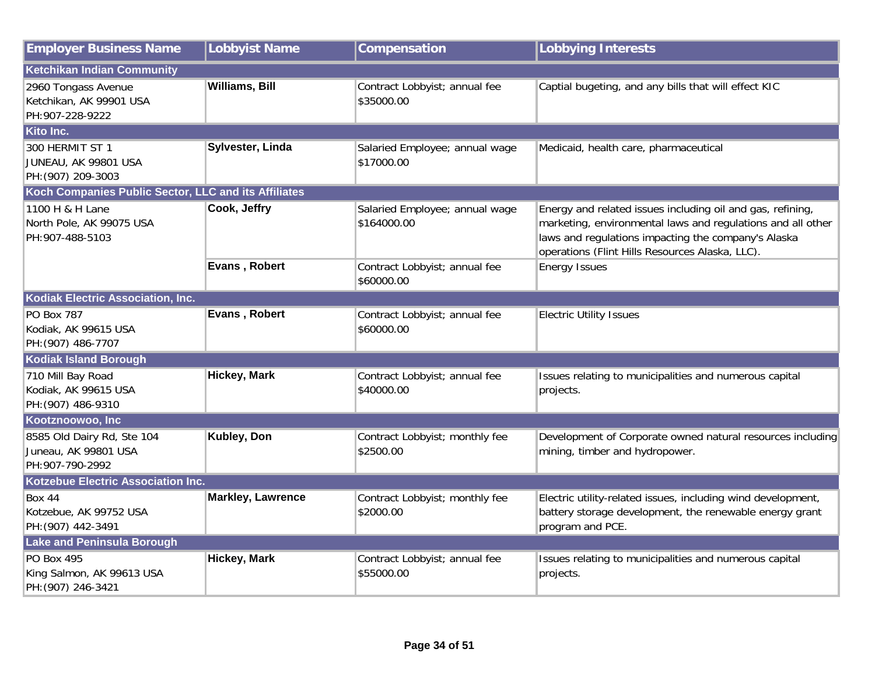| <b>Employer Business Name</b>                                          | <b>Lobbyist Name</b>     | Compensation                                  | <b>Lobbying Interests</b>                                                                                                                                                                                                           |
|------------------------------------------------------------------------|--------------------------|-----------------------------------------------|-------------------------------------------------------------------------------------------------------------------------------------------------------------------------------------------------------------------------------------|
| <b>Ketchikan Indian Community</b>                                      |                          |                                               |                                                                                                                                                                                                                                     |
| 2960 Tongass Avenue<br>Ketchikan, AK 99901 USA<br>PH:907-228-9222      | <b>Williams, Bill</b>    | Contract Lobbyist; annual fee<br>\$35000.00   | Captial bugeting, and any bills that will effect KIC                                                                                                                                                                                |
| Kito Inc.                                                              |                          |                                               |                                                                                                                                                                                                                                     |
| 300 HERMIT ST 1<br>JUNEAU, AK 99801 USA<br>PH: (907) 209-3003          | Sylvester, Linda         | Salaried Employee; annual wage<br>\$17000.00  | Medicaid, health care, pharmaceutical                                                                                                                                                                                               |
| Koch Companies Public Sector, LLC and its Affiliates                   |                          |                                               |                                                                                                                                                                                                                                     |
| 1100 H & H Lane<br>North Pole, AK 99075 USA<br>PH:907-488-5103         | Cook, Jeffry             | Salaried Employee; annual wage<br>\$164000.00 | Energy and related issues including oil and gas, refining,<br>marketing, environmental laws and regulations and all other<br>laws and regulations impacting the company's Alaska<br>operations (Flint Hills Resources Alaska, LLC). |
|                                                                        | Evans, Robert            | Contract Lobbyist; annual fee<br>\$60000.00   | <b>Energy Issues</b>                                                                                                                                                                                                                |
| <b>Kodiak Electric Association, Inc.</b>                               |                          |                                               |                                                                                                                                                                                                                                     |
| <b>PO Box 787</b><br>Kodiak, AK 99615 USA<br>PH: (907) 486-7707        | Evans, Robert            | Contract Lobbyist; annual fee<br>\$60000.00   | <b>Electric Utility Issues</b>                                                                                                                                                                                                      |
| <b>Kodiak Island Borough</b>                                           |                          |                                               |                                                                                                                                                                                                                                     |
| 710 Mill Bay Road<br>Kodiak, AK 99615 USA<br>PH: (907) 486-9310        | <b>Hickey, Mark</b>      | Contract Lobbyist; annual fee<br>\$40000.00   | Issues relating to municipalities and numerous capital<br>projects.                                                                                                                                                                 |
| Kootznoowoo, Inc                                                       |                          |                                               |                                                                                                                                                                                                                                     |
| 8585 Old Dairy Rd, Ste 104<br>Juneau, AK 99801 USA<br>PH: 907-790-2992 | Kubley, Don              | Contract Lobbyist; monthly fee<br>\$2500.00   | Development of Corporate owned natural resources including<br>mining, timber and hydropower.                                                                                                                                        |
| Kotzebue Electric Association Inc.                                     |                          |                                               |                                                                                                                                                                                                                                     |
| <b>Box 44</b><br>Kotzebue, AK 99752 USA<br>PH: (907) 442-3491          | <b>Markley, Lawrence</b> | Contract Lobbyist; monthly fee<br>\$2000.00   | Electric utility-related issues, including wind development,<br>battery storage development, the renewable energy grant<br>program and PCE.                                                                                         |
| <b>Lake and Peninsula Borough</b>                                      |                          |                                               |                                                                                                                                                                                                                                     |
| <b>PO Box 495</b><br>King Salmon, AK 99613 USA<br>PH: (907) 246-3421   | <b>Hickey, Mark</b>      | Contract Lobbyist; annual fee<br>\$55000.00   | Issues relating to municipalities and numerous capital<br>projects.                                                                                                                                                                 |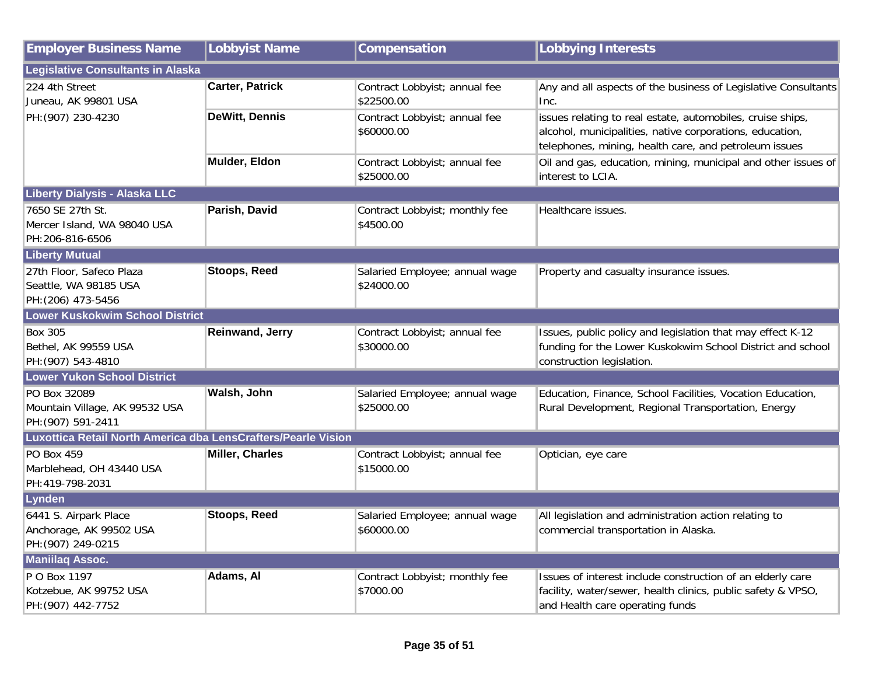| <b>Employer Business Name</b>                                           | <b>Lobbyist Name</b>   | Compensation                                 | <b>Lobbying Interests</b>                                                                                                                                                       |
|-------------------------------------------------------------------------|------------------------|----------------------------------------------|---------------------------------------------------------------------------------------------------------------------------------------------------------------------------------|
| Legislative Consultants in Alaska                                       |                        |                                              |                                                                                                                                                                                 |
| 224 4th Street<br>Juneau, AK 99801 USA                                  | <b>Carter, Patrick</b> | Contract Lobbyist; annual fee<br>\$22500.00  | Any and all aspects of the business of Legislative Consultants<br>Inc.                                                                                                          |
| PH: (907) 230-4230                                                      | <b>DeWitt, Dennis</b>  | Contract Lobbyist; annual fee<br>\$60000.00  | issues relating to real estate, automobiles, cruise ships,<br>alcohol, municipalities, native corporations, education,<br>telephones, mining, health care, and petroleum issues |
|                                                                         | Mulder, Eldon          | Contract Lobbyist; annual fee<br>\$25000.00  | Oil and gas, education, mining, municipal and other issues of<br>interest to LCIA.                                                                                              |
| <b>Liberty Dialysis - Alaska LLC</b>                                    |                        |                                              |                                                                                                                                                                                 |
| 7650 SE 27th St.<br>Mercer Island, WA 98040 USA<br>PH:206-816-6506      | Parish, David          | Contract Lobbyist; monthly fee<br>\$4500.00  | Healthcare issues.                                                                                                                                                              |
| <b>Liberty Mutual</b>                                                   |                        |                                              |                                                                                                                                                                                 |
| 27th Floor, Safeco Plaza<br>Seattle, WA 98185 USA<br>PH: (206) 473-5456 | <b>Stoops, Reed</b>    | Salaried Employee; annual wage<br>\$24000.00 | Property and casualty insurance issues.                                                                                                                                         |
| <b>Lower Kuskokwim School District</b>                                  |                        |                                              |                                                                                                                                                                                 |
| <b>Box 305</b><br>Bethel, AK 99559 USA<br>PH: (907) 543-4810            | Reinwand, Jerry        | Contract Lobbyist; annual fee<br>\$30000.00  | Issues, public policy and legislation that may effect K-12<br>funding for the Lower Kuskokwim School District and school<br>construction legislation.                           |
| <b>Lower Yukon School District</b>                                      |                        |                                              |                                                                                                                                                                                 |
| PO Box 32089<br>Mountain Village, AK 99532 USA<br>PH: (907) 591-2411    | Walsh, John            | Salaried Employee; annual wage<br>\$25000.00 | Education, Finance, School Facilities, Vocation Education,<br>Rural Development, Regional Transportation, Energy                                                                |
| Luxottica Retail North America dba LensCrafters/Pearle Vision           |                        |                                              |                                                                                                                                                                                 |
| <b>PO Box 459</b><br>Marblehead, OH 43440 USA<br>PH:419-798-2031        | <b>Miller, Charles</b> | Contract Lobbyist; annual fee<br>\$15000.00  | Optician, eye care                                                                                                                                                              |
| Lynden                                                                  |                        |                                              |                                                                                                                                                                                 |
| 6441 S. Airpark Place<br>Anchorage, AK 99502 USA<br>PH: (907) 249-0215  | <b>Stoops, Reed</b>    | Salaried Employee; annual wage<br>\$60000.00 | All legislation and administration action relating to<br>commercial transportation in Alaska.                                                                                   |
| <b>Maniilaq Assoc.</b>                                                  |                        |                                              |                                                                                                                                                                                 |
| P O Box 1197<br>Kotzebue, AK 99752 USA<br>PH: (907) 442-7752            | Adams, Al              | Contract Lobbyist; monthly fee<br>\$7000.00  | Issues of interest include construction of an elderly care<br>facility, water/sewer, health clinics, public safety & VPSO,<br>and Health care operating funds                   |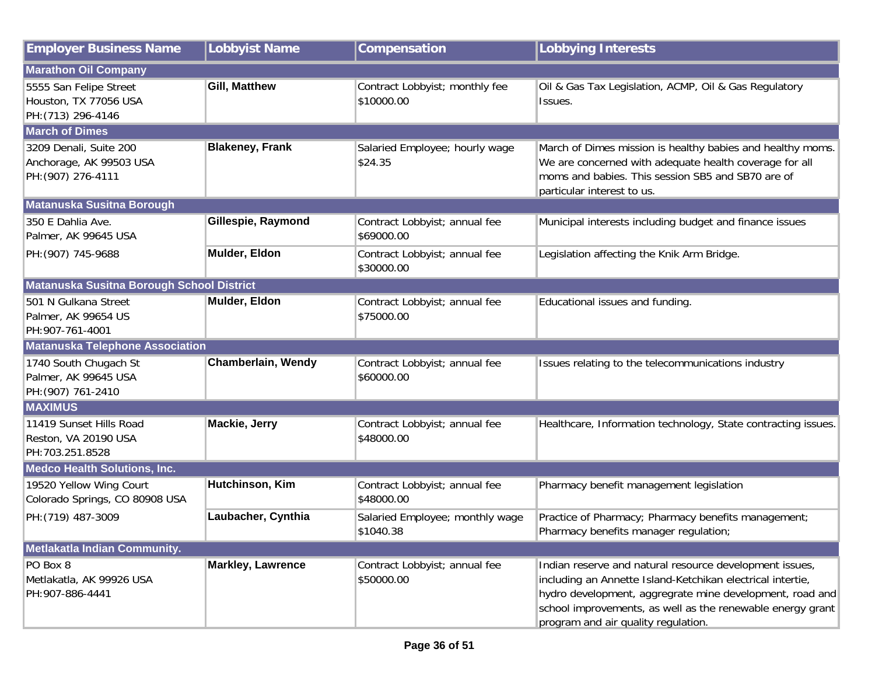| <b>Employer Business Name</b>                                           | <b>Lobbyist Name</b>     | Compensation                                 | <b>Lobbying Interests</b>                                                                                                                                                                                                                                                              |
|-------------------------------------------------------------------------|--------------------------|----------------------------------------------|----------------------------------------------------------------------------------------------------------------------------------------------------------------------------------------------------------------------------------------------------------------------------------------|
| <b>Marathon Oil Company</b>                                             |                          |                                              |                                                                                                                                                                                                                                                                                        |
| 5555 San Felipe Street<br>Houston, TX 77056 USA<br>PH: (713) 296-4146   | Gill, Matthew            | Contract Lobbyist; monthly fee<br>\$10000.00 | Oil & Gas Tax Legislation, ACMP, Oil & Gas Regulatory<br>Issues.                                                                                                                                                                                                                       |
| <b>March of Dimes</b>                                                   |                          |                                              |                                                                                                                                                                                                                                                                                        |
| 3209 Denali, Suite 200<br>Anchorage, AK 99503 USA<br>PH: (907) 276-4111 | <b>Blakeney, Frank</b>   | Salaried Employee; hourly wage<br>\$24.35    | March of Dimes mission is healthy babies and healthy moms.<br>We are concerned with adequate health coverage for all<br>moms and babies. This session SB5 and SB70 are of<br>particular interest to us.                                                                                |
| <b>Matanuska Susitna Borough</b>                                        |                          |                                              |                                                                                                                                                                                                                                                                                        |
| 350 E Dahlia Ave.<br>Palmer, AK 99645 USA                               | Gillespie, Raymond       | Contract Lobbyist; annual fee<br>\$69000.00  | Municipal interests including budget and finance issues                                                                                                                                                                                                                                |
| PH: (907) 745-9688                                                      | Mulder, Eldon            | Contract Lobbyist; annual fee<br>\$30000.00  | Legislation affecting the Knik Arm Bridge.                                                                                                                                                                                                                                             |
| Matanuska Susitna Borough School District                               |                          |                                              |                                                                                                                                                                                                                                                                                        |
| 501 N Gulkana Street<br>Palmer, AK 99654 US<br>PH: 907-761-4001         | Mulder, Eldon            | Contract Lobbyist; annual fee<br>\$75000.00  | Educational issues and funding.                                                                                                                                                                                                                                                        |
| <b>Matanuska Telephone Association</b>                                  |                          |                                              |                                                                                                                                                                                                                                                                                        |
| 1740 South Chugach St<br>Palmer, AK 99645 USA<br>PH: (907) 761-2410     | Chamberlain, Wendy       | Contract Lobbyist; annual fee<br>\$60000.00  | Issues relating to the telecommunications industry                                                                                                                                                                                                                                     |
| <b>MAXIMUS</b>                                                          |                          |                                              |                                                                                                                                                                                                                                                                                        |
| 11419 Sunset Hills Road<br>Reston, VA 20190 USA<br>PH:703.251.8528      | Mackie, Jerry            | Contract Lobbyist; annual fee<br>\$48000.00  | Healthcare, Information technology, State contracting issues.                                                                                                                                                                                                                          |
| <b>Medco Health Solutions, Inc.</b>                                     |                          |                                              |                                                                                                                                                                                                                                                                                        |
| 19520 Yellow Wing Court<br>Colorado Springs, CO 80908 USA               | Hutchinson, Kim          | Contract Lobbyist; annual fee<br>\$48000.00  | Pharmacy benefit management legislation                                                                                                                                                                                                                                                |
| PH: (719) 487-3009                                                      | Laubacher, Cynthia       | Salaried Employee; monthly wage<br>\$1040.38 | Practice of Pharmacy; Pharmacy benefits management;<br>Pharmacy benefits manager regulation;                                                                                                                                                                                           |
| Metlakatla Indian Community.                                            |                          |                                              |                                                                                                                                                                                                                                                                                        |
| PO Box 8<br>Metlakatla, AK 99926 USA<br>PH:907-886-4441                 | <b>Markley, Lawrence</b> | Contract Lobbyist; annual fee<br>\$50000.00  | Indian reserve and natural resource development issues,<br>including an Annette Island-Ketchikan electrical intertie,<br>hydro development, aggregrate mine development, road and<br>school improvements, as well as the renewable energy grant<br>program and air quality regulation. |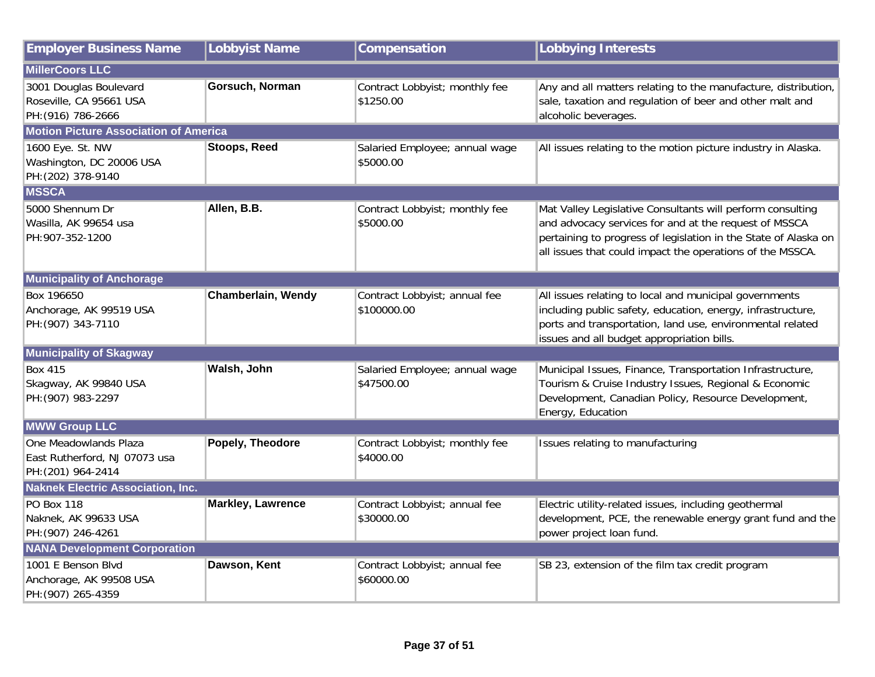| <b>Employer Business Name</b>                                                | <b>Lobbyist Name</b>     | Compensation                                 | <b>Lobbying Interests</b>                                                                                                                                                                                                                           |
|------------------------------------------------------------------------------|--------------------------|----------------------------------------------|-----------------------------------------------------------------------------------------------------------------------------------------------------------------------------------------------------------------------------------------------------|
| <b>MillerCoors LLC</b>                                                       |                          |                                              |                                                                                                                                                                                                                                                     |
| 3001 Douglas Boulevard<br>Roseville, CA 95661 USA<br>PH: (916) 786-2666      | Gorsuch, Norman          | Contract Lobbyist; monthly fee<br>\$1250.00  | Any and all matters relating to the manufacture, distribution,<br>sale, taxation and regulation of beer and other malt and<br>alcoholic beverages.                                                                                                  |
| <b>Motion Picture Association of America</b>                                 |                          |                                              |                                                                                                                                                                                                                                                     |
| 1600 Eye. St. NW<br>Washington, DC 20006 USA<br>PH: (202) 378-9140           | Stoops, Reed             | Salaried Employee; annual wage<br>\$5000.00  | All issues relating to the motion picture industry in Alaska.                                                                                                                                                                                       |
| <b>MSSCA</b>                                                                 |                          |                                              |                                                                                                                                                                                                                                                     |
| 5000 Shennum Dr<br>Wasilla, AK 99654 usa<br>PH:907-352-1200                  | Allen, B.B.              | Contract Lobbyist; monthly fee<br>\$5000.00  | Mat Valley Legislative Consultants will perform consulting<br>and advocacy services for and at the request of MSSCA<br>pertaining to progress of legislation in the State of Alaska on<br>all issues that could impact the operations of the MSSCA. |
| <b>Municipality of Anchorage</b>                                             |                          |                                              |                                                                                                                                                                                                                                                     |
| Box 196650<br>Anchorage, AK 99519 USA<br>PH: (907) 343-7110                  | Chamberlain, Wendy       | Contract Lobbyist; annual fee<br>\$100000.00 | All issues relating to local and municipal governments<br>including public safety, education, energy, infrastructure,<br>ports and transportation, land use, environmental related<br>issues and all budget appropriation bills.                    |
| <b>Municipality of Skagway</b>                                               |                          |                                              |                                                                                                                                                                                                                                                     |
| <b>Box 415</b><br>Skagway, AK 99840 USA<br>PH: (907) 983-2297                | Walsh, John              | Salaried Employee; annual wage<br>\$47500.00 | Municipal Issues, Finance, Transportation Infrastructure,<br>Tourism & Cruise Industry Issues, Regional & Economic<br>Development, Canadian Policy, Resource Development,<br>Energy, Education                                                      |
| <b>MWW Group LLC</b>                                                         |                          |                                              |                                                                                                                                                                                                                                                     |
| One Meadowlands Plaza<br>East Rutherford, NJ 07073 usa<br>PH: (201) 964-2414 | Popely, Theodore         | Contract Lobbyist; monthly fee<br>\$4000.00  | Issues relating to manufacturing                                                                                                                                                                                                                    |
| <b>Naknek Electric Association, Inc.</b>                                     |                          |                                              |                                                                                                                                                                                                                                                     |
| <b>PO Box 118</b><br>Naknek, AK 99633 USA<br>PH: (907) 246-4261              | <b>Markley, Lawrence</b> | Contract Lobbyist; annual fee<br>\$30000.00  | Electric utility-related issues, including geothermal<br>development, PCE, the renewable energy grant fund and the<br>power project loan fund.                                                                                                      |
| <b>NANA Development Corporation</b>                                          |                          |                                              |                                                                                                                                                                                                                                                     |
| 1001 E Benson Blvd<br>Anchorage, AK 99508 USA<br>PH: (907) 265-4359          | Dawson, Kent             | Contract Lobbyist; annual fee<br>\$60000.00  | SB 23, extension of the film tax credit program                                                                                                                                                                                                     |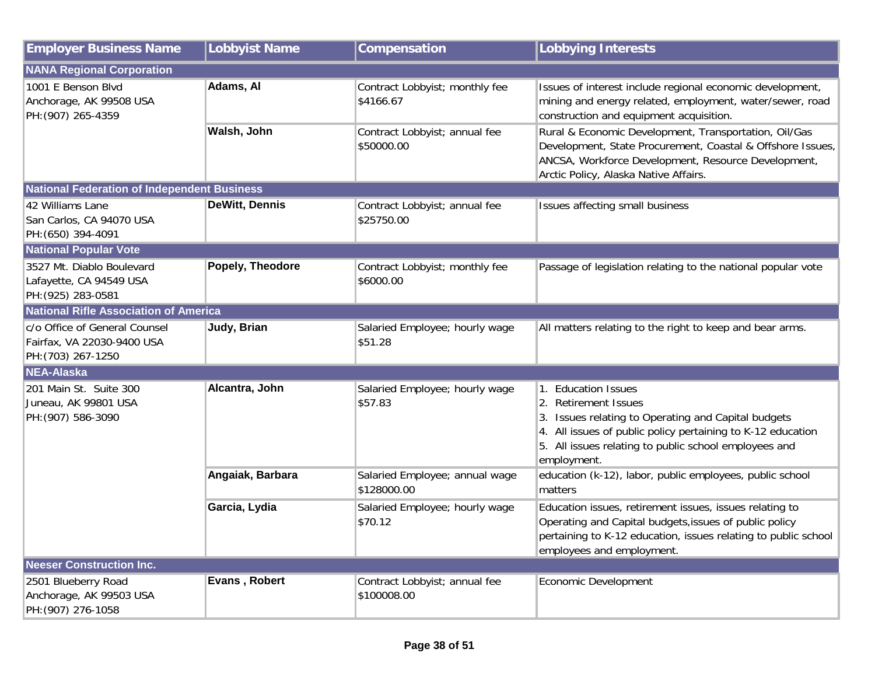| <b>Employer Business Name</b>                                                     | <b>Lobbyist Name</b>  | Compensation                                  | <b>Lobbying Interests</b>                                                                                                                                                                                                                 |
|-----------------------------------------------------------------------------------|-----------------------|-----------------------------------------------|-------------------------------------------------------------------------------------------------------------------------------------------------------------------------------------------------------------------------------------------|
| <b>NANA Regional Corporation</b>                                                  |                       |                                               |                                                                                                                                                                                                                                           |
| 1001 E Benson Blvd<br>Anchorage, AK 99508 USA<br>PH: (907) 265-4359               | Adams, Al             | Contract Lobbyist; monthly fee<br>\$4166.67   | Issues of interest include regional economic development,<br>mining and energy related, employment, water/sewer, road<br>construction and equipment acquisition.                                                                          |
|                                                                                   | Walsh, John           | Contract Lobbyist; annual fee<br>\$50000.00   | Rural & Economic Development, Transportation, Oil/Gas<br>Development, State Procurement, Coastal & Offshore Issues,<br>ANCSA, Workforce Development, Resource Development,<br>Arctic Policy, Alaska Native Affairs.                       |
| <b>National Federation of Independent Business</b>                                |                       |                                               |                                                                                                                                                                                                                                           |
| 42 Williams Lane<br>San Carlos, CA 94070 USA<br>PH: (650) 394-4091                | <b>DeWitt, Dennis</b> | Contract Lobbyist; annual fee<br>\$25750.00   | Issues affecting small business                                                                                                                                                                                                           |
| <b>National Popular Vote</b>                                                      |                       |                                               |                                                                                                                                                                                                                                           |
| 3527 Mt. Diablo Boulevard<br>Lafayette, CA 94549 USA<br>PH: (925) 283-0581        | Popely, Theodore      | Contract Lobbyist; monthly fee<br>\$6000.00   | Passage of legislation relating to the national popular vote                                                                                                                                                                              |
| <b>National Rifle Association of America</b>                                      |                       |                                               |                                                                                                                                                                                                                                           |
| c/o Office of General Counsel<br>Fairfax, VA 22030-9400 USA<br>PH: (703) 267-1250 | Judy, Brian           | Salaried Employee; hourly wage<br>\$51.28     | All matters relating to the right to keep and bear arms.                                                                                                                                                                                  |
| <b>NEA-Alaska</b>                                                                 |                       |                                               |                                                                                                                                                                                                                                           |
| 201 Main St. Suite 300<br>Juneau, AK 99801 USA<br>PH: (907) 586-3090              | Alcantra, John        | Salaried Employee; hourly wage<br>\$57.83     | 1. Education Issues<br>2. Retirement Issues<br>3. Issues relating to Operating and Capital budgets<br>4. All issues of public policy pertaining to K-12 education<br>5. All issues relating to public school employees and<br>employment. |
|                                                                                   | Angaiak, Barbara      | Salaried Employee; annual wage<br>\$128000.00 | education (k-12), labor, public employees, public school<br>matters                                                                                                                                                                       |
|                                                                                   | Garcia, Lydia         | Salaried Employee; hourly wage<br>\$70.12     | Education issues, retirement issues, issues relating to<br>Operating and Capital budgets, issues of public policy<br>pertaining to K-12 education, issues relating to public school<br>employees and employment.                          |
| <b>Neeser Construction Inc.</b>                                                   |                       |                                               |                                                                                                                                                                                                                                           |
| 2501 Blueberry Road<br>Anchorage, AK 99503 USA<br>PH: (907) 276-1058              | Evans, Robert         | Contract Lobbyist; annual fee<br>\$100008.00  | Economic Development                                                                                                                                                                                                                      |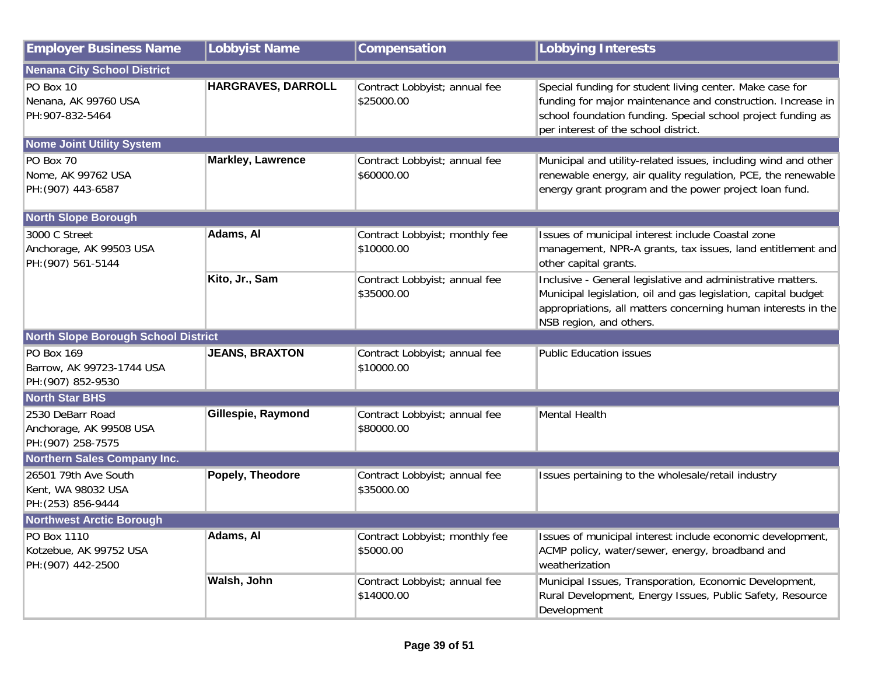| <b>Employer Business Name</b>                                        | <b>Lobbyist Name</b>     | Compensation                                 | <b>Lobbying Interests</b>                                                                                                                                                                                                       |
|----------------------------------------------------------------------|--------------------------|----------------------------------------------|---------------------------------------------------------------------------------------------------------------------------------------------------------------------------------------------------------------------------------|
| <b>Nenana City School District</b>                                   |                          |                                              |                                                                                                                                                                                                                                 |
| PO Box 10<br>Nenana, AK 99760 USA<br>PH:907-832-5464                 | HARGRAVES, DARROLL       | Contract Lobbyist; annual fee<br>\$25000.00  | Special funding for student living center. Make case for<br>funding for major maintenance and construction. Increase in<br>school foundation funding. Special school project funding as<br>per interest of the school district. |
| <b>Nome Joint Utility System</b>                                     |                          |                                              |                                                                                                                                                                                                                                 |
| PO Box 70<br>Nome, AK 99762 USA<br>PH: (907) 443-6587                | <b>Markley, Lawrence</b> | Contract Lobbyist; annual fee<br>\$60000.00  | Municipal and utility-related issues, including wind and other<br>renewable energy, air quality regulation, PCE, the renewable<br>energy grant program and the power project loan fund.                                         |
| <b>North Slope Borough</b>                                           |                          |                                              |                                                                                                                                                                                                                                 |
| 3000 C Street<br>Anchorage, AK 99503 USA<br>PH: (907) 561-5144       | Adams, Al                | Contract Lobbyist; monthly fee<br>\$10000.00 | Issues of municipal interest include Coastal zone<br>management, NPR-A grants, tax issues, land entitlement and<br>other capital grants.                                                                                        |
|                                                                      | Kito, Jr., Sam           | Contract Lobbyist; annual fee<br>\$35000.00  | Inclusive - General legislative and administrative matters.<br>Municipal legislation, oil and gas legislation, capital budget<br>appropriations, all matters concerning human interests in the<br>NSB region, and others.       |
| <b>North Slope Borough School District</b>                           |                          |                                              |                                                                                                                                                                                                                                 |
| <b>PO Box 169</b><br>Barrow, AK 99723-1744 USA<br>PH: (907) 852-9530 | <b>JEANS, BRAXTON</b>    | Contract Lobbyist; annual fee<br>\$10000.00  | <b>Public Education issues</b>                                                                                                                                                                                                  |
| <b>North Star BHS</b>                                                |                          |                                              |                                                                                                                                                                                                                                 |
| 2530 DeBarr Road<br>Anchorage, AK 99508 USA<br>PH: (907) 258-7575    | Gillespie, Raymond       | Contract Lobbyist; annual fee<br>\$80000.00  | Mental Health                                                                                                                                                                                                                   |
| <b>Northern Sales Company Inc.</b>                                   |                          |                                              |                                                                                                                                                                                                                                 |
| 26501 79th Ave South<br>Kent, WA 98032 USA<br>PH: (253) 856-9444     | Popely, Theodore         | Contract Lobbyist; annual fee<br>\$35000.00  | Issues pertaining to the wholesale/retail industry                                                                                                                                                                              |
| <b>Northwest Arctic Borough</b>                                      |                          |                                              |                                                                                                                                                                                                                                 |
| PO Box 1110<br>Kotzebue, AK 99752 USA<br>PH: (907) 442-2500          | Adams, Al                | Contract Lobbyist; monthly fee<br>\$5000.00  | Issues of municipal interest include economic development,<br>ACMP policy, water/sewer, energy, broadband and<br>weatherization                                                                                                 |
|                                                                      | Walsh, John              | Contract Lobbyist; annual fee<br>\$14000.00  | Municipal Issues, Transporation, Economic Development,<br>Rural Development, Energy Issues, Public Safety, Resource<br>Development                                                                                              |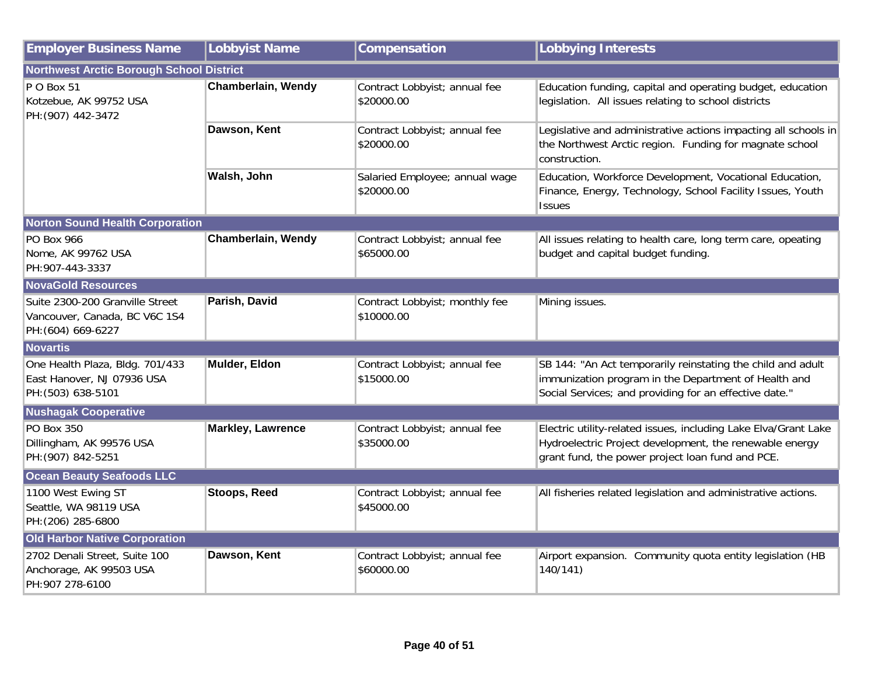| <b>Employer Business Name</b>                                                          | <b>Lobbyist Name</b>     | Compensation                                 | <b>Lobbying Interests</b>                                                                                                                                                      |
|----------------------------------------------------------------------------------------|--------------------------|----------------------------------------------|--------------------------------------------------------------------------------------------------------------------------------------------------------------------------------|
| <b>Northwest Arctic Borough School District</b>                                        |                          |                                              |                                                                                                                                                                                |
| P O Box 51<br>Kotzebue, AK 99752 USA<br>PH: (907) 442-3472                             | Chamberlain, Wendy       | Contract Lobbyist; annual fee<br>\$20000.00  | Education funding, capital and operating budget, education<br>legislation. All issues relating to school districts                                                             |
|                                                                                        | Dawson, Kent             | Contract Lobbyist; annual fee<br>\$20000.00  | Legislative and administrative actions impacting all schools in<br>the Northwest Arctic region. Funding for magnate school<br>construction.                                    |
|                                                                                        | Walsh, John              | Salaried Employee; annual wage<br>\$20000.00 | Education, Workforce Development, Vocational Education,<br>Finance, Energy, Technology, School Facility Issues, Youth<br><b>Issues</b>                                         |
| <b>Norton Sound Health Corporation</b>                                                 |                          |                                              |                                                                                                                                                                                |
| <b>PO Box 966</b><br>Nome, AK 99762 USA<br>PH:907-443-3337                             | Chamberlain, Wendy       | Contract Lobbyist; annual fee<br>\$65000.00  | All issues relating to health care, long term care, opeating<br>budget and capital budget funding.                                                                             |
| <b>NovaGold Resources</b>                                                              |                          |                                              |                                                                                                                                                                                |
| Suite 2300-200 Granville Street<br>Vancouver, Canada, BC V6C 1S4<br>PH: (604) 669-6227 | Parish, David            | Contract Lobbyist; monthly fee<br>\$10000.00 | Mining issues.                                                                                                                                                                 |
| <b>Novartis</b>                                                                        |                          |                                              |                                                                                                                                                                                |
| One Health Plaza, Bldg. 701/433<br>East Hanover, NJ 07936 USA<br>PH: (503) 638-5101    | Mulder, Eldon            | Contract Lobbyist; annual fee<br>\$15000.00  | SB 144: "An Act temporarily reinstating the child and adult<br>immunization program in the Department of Health and<br>Social Services; and providing for an effective date."  |
| <b>Nushagak Cooperative</b>                                                            |                          |                                              |                                                                                                                                                                                |
| <b>PO Box 350</b><br>Dillingham, AK 99576 USA<br>PH: (907) 842-5251                    | <b>Markley, Lawrence</b> | Contract Lobbyist; annual fee<br>\$35000.00  | Electric utility-related issues, including Lake Elva/Grant Lake<br>Hydroelectric Project development, the renewable energy<br>grant fund, the power project loan fund and PCE. |
| <b>Ocean Beauty Seafoods LLC</b>                                                       |                          |                                              |                                                                                                                                                                                |
| 1100 West Ewing ST<br>Seattle, WA 98119 USA<br>PH: (206) 285-6800                      | <b>Stoops, Reed</b>      | Contract Lobbyist; annual fee<br>\$45000.00  | All fisheries related legislation and administrative actions.                                                                                                                  |
| <b>Old Harbor Native Corporation</b>                                                   |                          |                                              |                                                                                                                                                                                |
| 2702 Denali Street, Suite 100<br>Anchorage, AK 99503 USA<br>PH: 907 278-6100           | Dawson, Kent             | Contract Lobbyist; annual fee<br>\$60000.00  | Airport expansion. Community quota entity legislation (HB<br>140/141)                                                                                                          |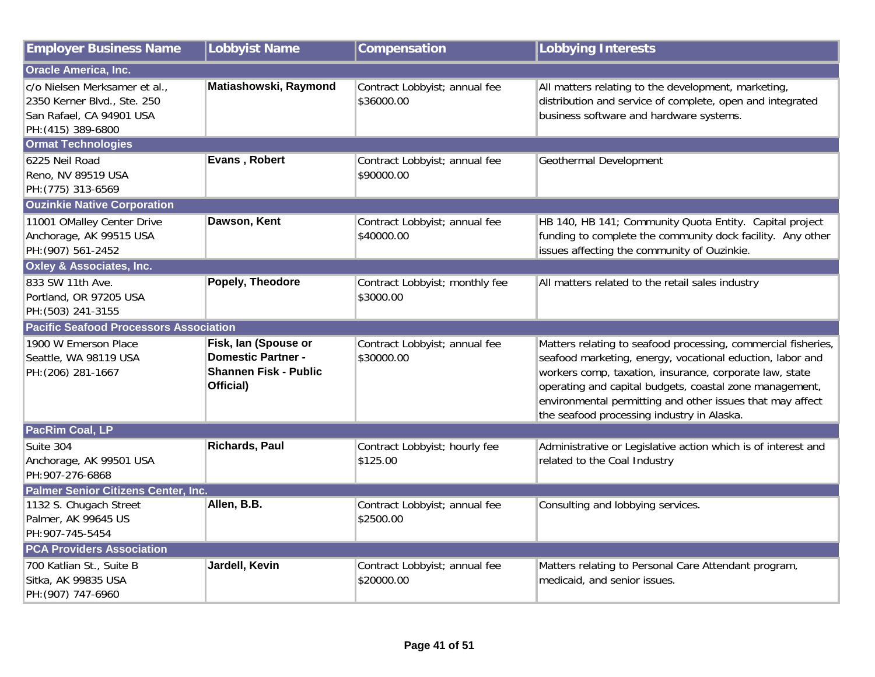| <b>Employer Business Name</b>                                                                                  | Lobbyist Name                                                                           | Compensation                                | <b>Lobbying Interests</b>                                                                                                                                                                                                                                                                                                                                   |
|----------------------------------------------------------------------------------------------------------------|-----------------------------------------------------------------------------------------|---------------------------------------------|-------------------------------------------------------------------------------------------------------------------------------------------------------------------------------------------------------------------------------------------------------------------------------------------------------------------------------------------------------------|
| <b>Oracle America, Inc.</b>                                                                                    |                                                                                         |                                             |                                                                                                                                                                                                                                                                                                                                                             |
| c/o Nielsen Merksamer et al.,<br>2350 Kerner Blvd., Ste. 250<br>San Rafael, CA 94901 USA<br>PH: (415) 389-6800 | Matiashowski, Raymond                                                                   | Contract Lobbyist; annual fee<br>\$36000.00 | All matters relating to the development, marketing,<br>distribution and service of complete, open and integrated<br>business software and hardware systems.                                                                                                                                                                                                 |
| <b>Ormat Technologies</b>                                                                                      |                                                                                         |                                             |                                                                                                                                                                                                                                                                                                                                                             |
| 6225 Neil Road<br>Reno, NV 89519 USA<br>PH: (775) 313-6569                                                     | Evans, Robert                                                                           | Contract Lobbyist; annual fee<br>\$90000.00 | Geothermal Development                                                                                                                                                                                                                                                                                                                                      |
| <b>Ouzinkie Native Corporation</b>                                                                             |                                                                                         |                                             |                                                                                                                                                                                                                                                                                                                                                             |
| 11001 OMalley Center Drive<br>Anchorage, AK 99515 USA<br>PH: (907) 561-2452                                    | Dawson, Kent                                                                            | Contract Lobbyist; annual fee<br>\$40000.00 | HB 140, HB 141; Community Quota Entity. Capital project<br>funding to complete the community dock facility. Any other<br>issues affecting the community of Ouzinkie.                                                                                                                                                                                        |
| <b>Oxley &amp; Associates, Inc.</b>                                                                            |                                                                                         |                                             |                                                                                                                                                                                                                                                                                                                                                             |
| 833 SW 11th Ave.<br>Portland, OR 97205 USA<br>PH: (503) 241-3155                                               | Popely, Theodore                                                                        | Contract Lobbyist; monthly fee<br>\$3000.00 | All matters related to the retail sales industry                                                                                                                                                                                                                                                                                                            |
| <b>Pacific Seafood Processors Association</b>                                                                  |                                                                                         |                                             |                                                                                                                                                                                                                                                                                                                                                             |
| 1900 W Emerson Place<br>Seattle, WA 98119 USA<br>PH: (206) 281-1667                                            | Fisk, Ian (Spouse or<br><b>Domestic Partner -</b><br>Shannen Fisk - Public<br>Official) | Contract Lobbyist; annual fee<br>\$30000.00 | Matters relating to seafood processing, commercial fisheries,<br>seafood marketing, energy, vocational eduction, labor and<br>workers comp, taxation, insurance, corporate law, state<br>operating and capital budgets, coastal zone management,<br>environmental permitting and other issues that may affect<br>the seafood processing industry in Alaska. |
| PacRim Coal, LP                                                                                                |                                                                                         |                                             |                                                                                                                                                                                                                                                                                                                                                             |
| Suite 304<br>Anchorage, AK 99501 USA<br>PH:907-276-6868                                                        | <b>Richards, Paul</b>                                                                   | Contract Lobbyist; hourly fee<br>\$125.00   | Administrative or Legislative action which is of interest and<br>related to the Coal Industry                                                                                                                                                                                                                                                               |
| Palmer Senior Citizens Center, Inc.                                                                            |                                                                                         |                                             |                                                                                                                                                                                                                                                                                                                                                             |
| 1132 S. Chugach Street<br>Palmer, AK 99645 US<br>PH: 907-745-5454                                              | Allen, B.B.                                                                             | Contract Lobbyist; annual fee<br>\$2500.00  | Consulting and lobbying services.                                                                                                                                                                                                                                                                                                                           |
| <b>PCA Providers Association</b>                                                                               |                                                                                         |                                             |                                                                                                                                                                                                                                                                                                                                                             |
| 700 Katlian St., Suite B<br>Sitka, AK 99835 USA<br>PH: (907) 747-6960                                          | Jardell, Kevin                                                                          | Contract Lobbyist; annual fee<br>\$20000.00 | Matters relating to Personal Care Attendant program,<br>medicaid, and senior issues.                                                                                                                                                                                                                                                                        |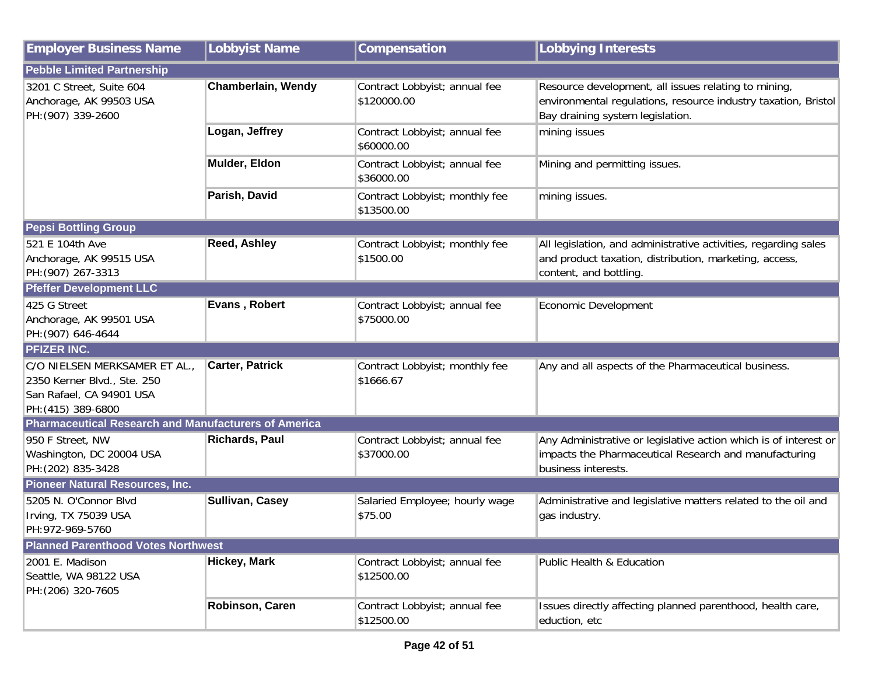| <b>Employer Business Name</b>                                                                                  | <b>Lobbyist Name</b>   | Compensation                                 | <b>Lobbying Interests</b>                                                                                                                                  |
|----------------------------------------------------------------------------------------------------------------|------------------------|----------------------------------------------|------------------------------------------------------------------------------------------------------------------------------------------------------------|
| <b>Pebble Limited Partnership</b>                                                                              |                        |                                              |                                                                                                                                                            |
| 3201 C Street, Suite 604<br>Anchorage, AK 99503 USA<br>PH: (907) 339-2600                                      | Chamberlain, Wendy     | Contract Lobbyist; annual fee<br>\$120000.00 | Resource development, all issues relating to mining,<br>environmental regulations, resource industry taxation, Bristol<br>Bay draining system legislation. |
|                                                                                                                | Logan, Jeffrey         | Contract Lobbyist; annual fee<br>\$60000.00  | mining issues                                                                                                                                              |
|                                                                                                                | Mulder, Eldon          | Contract Lobbyist; annual fee<br>\$36000.00  | Mining and permitting issues.                                                                                                                              |
|                                                                                                                | Parish, David          | Contract Lobbyist; monthly fee<br>\$13500.00 | mining issues.                                                                                                                                             |
| <b>Pepsi Bottling Group</b>                                                                                    |                        |                                              |                                                                                                                                                            |
| 521 E 104th Ave<br>Anchorage, AK 99515 USA<br>PH: (907) 267-3313                                               | <b>Reed, Ashley</b>    | Contract Lobbyist; monthly fee<br>\$1500.00  | All legislation, and administrative activities, regarding sales<br>and product taxation, distribution, marketing, access,<br>content, and bottling.        |
| <b>Pfeffer Development LLC</b>                                                                                 |                        |                                              |                                                                                                                                                            |
| 425 G Street<br>Anchorage, AK 99501 USA<br>PH: (907) 646-4644                                                  | Evans, Robert          | Contract Lobbyist; annual fee<br>\$75000.00  | Economic Development                                                                                                                                       |
| <b>PFIZER INC.</b>                                                                                             |                        |                                              |                                                                                                                                                            |
| C/O NIELSEN MERKSAMER ET AL.,<br>2350 Kerner Blvd., Ste. 250<br>San Rafael, CA 94901 USA<br>PH: (415) 389-6800 | <b>Carter, Patrick</b> | Contract Lobbyist; monthly fee<br>\$1666.67  | Any and all aspects of the Pharmaceutical business.                                                                                                        |
| <b>Pharmaceutical Research and Manufacturers of America</b>                                                    |                        |                                              |                                                                                                                                                            |
| 950 F Street, NW<br>Washington, DC 20004 USA<br>PH: (202) 835-3428                                             | <b>Richards, Paul</b>  | Contract Lobbyist; annual fee<br>\$37000.00  | Any Administrative or legislative action which is of interest or<br>impacts the Pharmaceutical Research and manufacturing<br>business interests.           |
| <b>Pioneer Natural Resources, Inc.</b>                                                                         |                        |                                              |                                                                                                                                                            |
| 5205 N. O'Connor Blvd<br>Irving, TX 75039 USA<br>PH:972-969-5760                                               | <b>Sullivan, Casey</b> | Salaried Employee; hourly wage<br>\$75.00    | Administrative and legislative matters related to the oil and<br>gas industry.                                                                             |
| <b>Planned Parenthood Votes Northwest</b>                                                                      |                        |                                              |                                                                                                                                                            |
| 2001 E. Madison<br>Seattle, WA 98122 USA<br>PH: (206) 320-7605                                                 | <b>Hickey, Mark</b>    | Contract Lobbyist; annual fee<br>\$12500.00  | Public Health & Education                                                                                                                                  |
|                                                                                                                | Robinson, Caren        | Contract Lobbyist; annual fee<br>\$12500.00  | Issues directly affecting planned parenthood, health care,<br>eduction, etc                                                                                |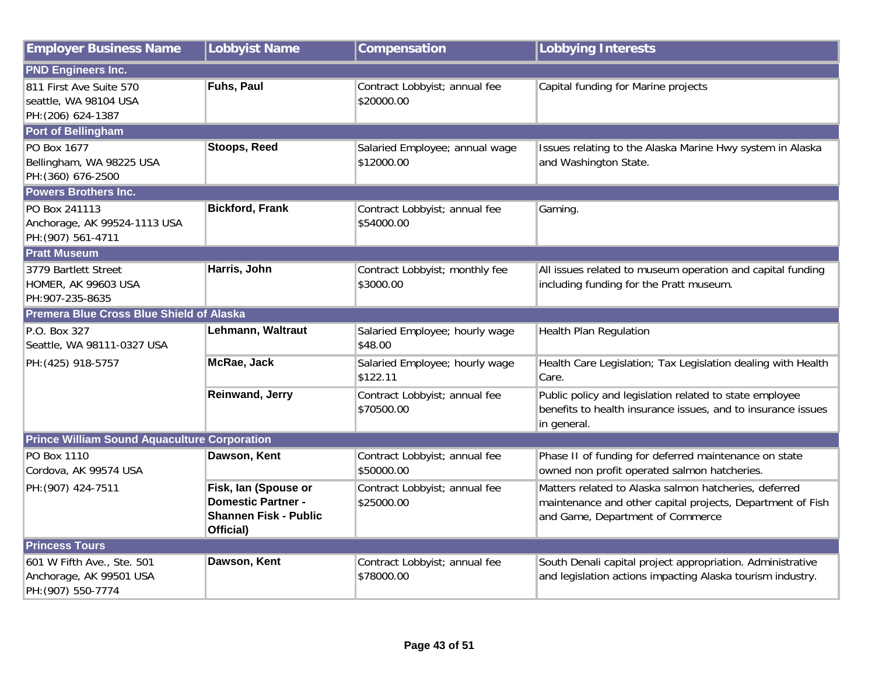| <b>Employer Business Name</b>                                               | <b>Lobbyist Name</b>                                                                           | Compensation                                 | <b>Lobbying Interests</b>                                                                                                                               |
|-----------------------------------------------------------------------------|------------------------------------------------------------------------------------------------|----------------------------------------------|---------------------------------------------------------------------------------------------------------------------------------------------------------|
| <b>PND Engineers Inc.</b>                                                   |                                                                                                |                                              |                                                                                                                                                         |
| 811 First Ave Suite 570<br>seattle, WA 98104 USA<br>PH: (206) 624-1387      | Fuhs, Paul                                                                                     | Contract Lobbyist; annual fee<br>\$20000.00  | Capital funding for Marine projects                                                                                                                     |
| <b>Port of Bellingham</b>                                                   |                                                                                                |                                              |                                                                                                                                                         |
| PO Box 1677<br>Bellingham, WA 98225 USA<br>PH: (360) 676-2500               | <b>Stoops, Reed</b>                                                                            | Salaried Employee; annual wage<br>\$12000.00 | Issues relating to the Alaska Marine Hwy system in Alaska<br>and Washington State.                                                                      |
| <b>Powers Brothers Inc.</b>                                                 |                                                                                                |                                              |                                                                                                                                                         |
| PO Box 241113<br>Anchorage, AK 99524-1113 USA<br>PH: (907) 561-4711         | <b>Bickford, Frank</b>                                                                         | Contract Lobbyist; annual fee<br>\$54000.00  | Gaming.                                                                                                                                                 |
| <b>Pratt Museum</b>                                                         |                                                                                                |                                              |                                                                                                                                                         |
| 3779 Bartlett Street<br>HOMER, AK 99603 USA<br>PH: 907-235-8635             | Harris, John                                                                                   | Contract Lobbyist; monthly fee<br>\$3000.00  | All issues related to museum operation and capital funding<br>including funding for the Pratt museum.                                                   |
| <b>Premera Blue Cross Blue Shield of Alaska</b>                             |                                                                                                |                                              |                                                                                                                                                         |
| P.O. Box 327<br>Seattle, WA 98111-0327 USA                                  | Lehmann, Waltraut                                                                              | Salaried Employee; hourly wage<br>\$48.00    | Health Plan Regulation                                                                                                                                  |
| PH: (425) 918-5757                                                          | McRae, Jack                                                                                    | Salaried Employee; hourly wage<br>\$122.11   | Health Care Legislation; Tax Legislation dealing with Health<br>Care.                                                                                   |
|                                                                             | <b>Reinwand, Jerry</b>                                                                         | Contract Lobbyist; annual fee<br>\$70500.00  | Public policy and legislation related to state employee<br>benefits to health insurance issues, and to insurance issues<br>in general.                  |
| <b>Prince William Sound Aquaculture Corporation</b>                         |                                                                                                |                                              |                                                                                                                                                         |
| PO Box 1110<br>Cordova, AK 99574 USA                                        | Dawson, Kent                                                                                   | Contract Lobbyist; annual fee<br>\$50000.00  | Phase II of funding for deferred maintenance on state<br>owned non profit operated salmon hatcheries.                                                   |
| PH: (907) 424-7511                                                          | Fisk, Ian (Spouse or<br><b>Domestic Partner -</b><br><b>Shannen Fisk - Public</b><br>Official) | Contract Lobbyist; annual fee<br>\$25000.00  | Matters related to Alaska salmon hatcheries, deferred<br>maintenance and other capital projects, Department of Fish<br>and Game, Department of Commerce |
| <b>Princess Tours</b>                                                       |                                                                                                |                                              |                                                                                                                                                         |
| 601 W Fifth Ave., Ste. 501<br>Anchorage, AK 99501 USA<br>PH: (907) 550-7774 | Dawson, Kent                                                                                   | Contract Lobbyist; annual fee<br>\$78000.00  | South Denali capital project appropriation. Administrative<br>and legislation actions impacting Alaska tourism industry.                                |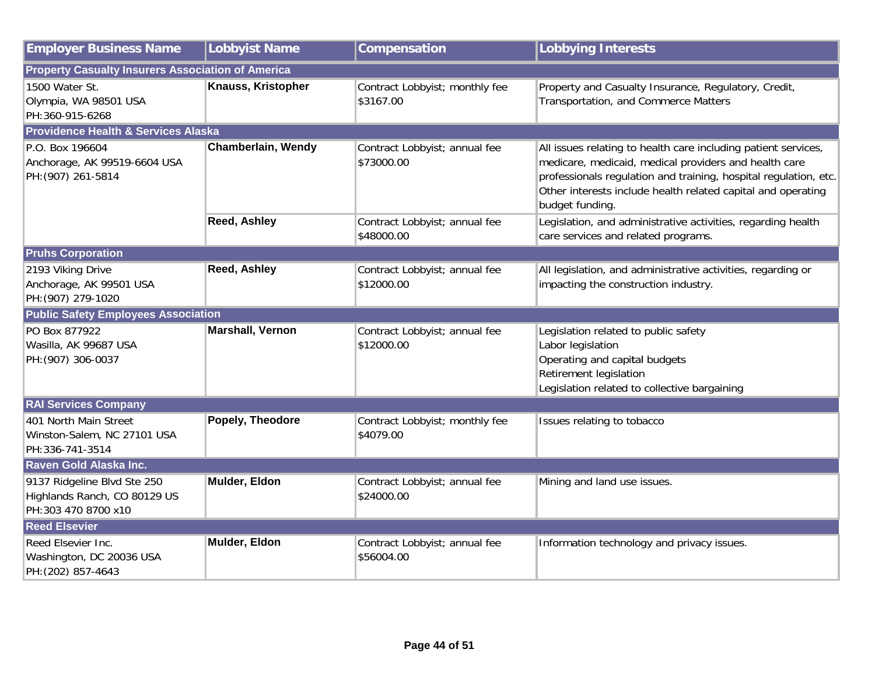| <b>Employer Business Name</b>                                                      | <b>Lobbyist Name</b>      | Compensation                                | <b>Lobbying Interests</b>                                                                                                                                                                                                                                                      |
|------------------------------------------------------------------------------------|---------------------------|---------------------------------------------|--------------------------------------------------------------------------------------------------------------------------------------------------------------------------------------------------------------------------------------------------------------------------------|
| <b>Property Casualty Insurers Association of America</b>                           |                           |                                             |                                                                                                                                                                                                                                                                                |
| 1500 Water St.<br>Olympia, WA 98501 USA<br>PH:360-915-6268                         | Knauss, Kristopher        | Contract Lobbyist; monthly fee<br>\$3167.00 | Property and Casualty Insurance, Regulatory, Credit,<br>Transportation, and Commerce Matters                                                                                                                                                                                   |
| <b>Providence Health &amp; Services Alaska</b>                                     |                           |                                             |                                                                                                                                                                                                                                                                                |
| P.O. Box 196604<br>Anchorage, AK 99519-6604 USA<br>PH: (907) 261-5814              | <b>Chamberlain, Wendy</b> | Contract Lobbyist; annual fee<br>\$73000.00 | All issues relating to health care including patient services,<br>medicare, medicaid, medical providers and health care<br>professionals regulation and training, hospital regulation, etc.<br>Other interests include health related capital and operating<br>budget funding. |
|                                                                                    | <b>Reed, Ashley</b>       | Contract Lobbyist; annual fee<br>\$48000.00 | Legislation, and administrative activities, regarding health<br>care services and related programs.                                                                                                                                                                            |
| <b>Pruhs Corporation</b>                                                           |                           |                                             |                                                                                                                                                                                                                                                                                |
| 2193 Viking Drive<br>Anchorage, AK 99501 USA<br>PH: (907) 279-1020                 | <b>Reed, Ashley</b>       | Contract Lobbyist; annual fee<br>\$12000.00 | All legislation, and administrative activities, regarding or<br>impacting the construction industry.                                                                                                                                                                           |
| <b>Public Safety Employees Association</b>                                         |                           |                                             |                                                                                                                                                                                                                                                                                |
| PO Box 877922<br>Wasilla, AK 99687 USA<br>PH: (907) 306-0037                       | <b>Marshall, Vernon</b>   | Contract Lobbyist; annual fee<br>\$12000.00 | Legislation related to public safety<br>Labor legislation<br>Operating and capital budgets<br>Retirement legislation<br>Legislation related to collective bargaining                                                                                                           |
| <b>RAI Services Company</b>                                                        |                           |                                             |                                                                                                                                                                                                                                                                                |
| 401 North Main Street<br>Winston-Salem, NC 27101 USA<br>PH:336-741-3514            | Popely, Theodore          | Contract Lobbyist; monthly fee<br>\$4079.00 | Issues relating to tobacco                                                                                                                                                                                                                                                     |
| Raven Gold Alaska Inc.                                                             |                           |                                             |                                                                                                                                                                                                                                                                                |
| 9137 Ridgeline Blvd Ste 250<br>Highlands Ranch, CO 80129 US<br>PH:303 470 8700 x10 | Mulder, Eldon             | Contract Lobbyist; annual fee<br>\$24000.00 | Mining and land use issues.                                                                                                                                                                                                                                                    |
| <b>Reed Elsevier</b>                                                               |                           |                                             |                                                                                                                                                                                                                                                                                |
| Reed Elsevier Inc.<br>Washington, DC 20036 USA<br>PH: (202) 857-4643               | Mulder, Eldon             | Contract Lobbyist; annual fee<br>\$56004.00 | Information technology and privacy issues.                                                                                                                                                                                                                                     |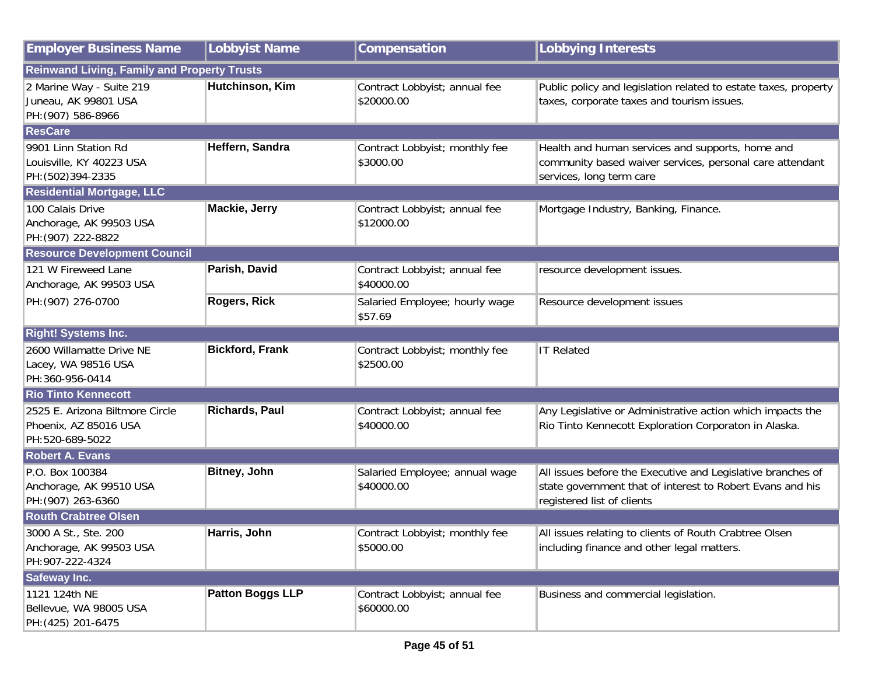| <b>Employer Business Name</b>                                               | <b>Lobbyist Name</b>    | Compensation                                 | <b>Lobbying Interests</b>                                                                                                                              |  |
|-----------------------------------------------------------------------------|-------------------------|----------------------------------------------|--------------------------------------------------------------------------------------------------------------------------------------------------------|--|
| <b>Reinwand Living, Family and Property Trusts</b>                          |                         |                                              |                                                                                                                                                        |  |
| 2 Marine Way - Suite 219<br>Juneau, AK 99801 USA<br>PH: (907) 586-8966      | Hutchinson, Kim         | Contract Lobbyist; annual fee<br>\$20000.00  | Public policy and legislation related to estate taxes, property<br>taxes, corporate taxes and tourism issues.                                          |  |
| <b>ResCare</b>                                                              |                         |                                              |                                                                                                                                                        |  |
| 9901 Linn Station Rd<br>Louisville, KY 40223 USA<br>PH: (502) 394-2335      | Heffern, Sandra         | Contract Lobbyist; monthly fee<br>\$3000.00  | Health and human services and supports, home and<br>community based waiver services, personal care attendant<br>services, long term care               |  |
| <b>Residential Mortgage, LLC</b>                                            |                         |                                              |                                                                                                                                                        |  |
| 100 Calais Drive<br>Anchorage, AK 99503 USA<br>PH: (907) 222-8822           | <b>Mackie, Jerry</b>    | Contract Lobbyist; annual fee<br>\$12000.00  | Mortgage Industry, Banking, Finance.                                                                                                                   |  |
| <b>Resource Development Council</b>                                         |                         |                                              |                                                                                                                                                        |  |
| 121 W Fireweed Lane<br>Anchorage, AK 99503 USA                              | Parish, David           | Contract Lobbyist; annual fee<br>\$40000.00  | resource development issues.                                                                                                                           |  |
| PH: (907) 276-0700                                                          | <b>Rogers, Rick</b>     | Salaried Employee; hourly wage<br>\$57.69    | Resource development issues                                                                                                                            |  |
| <b>Right! Systems Inc.</b>                                                  |                         |                                              |                                                                                                                                                        |  |
| 2600 Willamatte Drive NE<br>Lacey, WA 98516 USA<br>PH:360-956-0414          | <b>Bickford, Frank</b>  | Contract Lobbyist; monthly fee<br>\$2500.00  | <b>IT Related</b>                                                                                                                                      |  |
| <b>Rio Tinto Kennecott</b>                                                  |                         |                                              |                                                                                                                                                        |  |
| 2525 E. Arizona Biltmore Circle<br>Phoenix, AZ 85016 USA<br>PH:520-689-5022 | <b>Richards, Paul</b>   | Contract Lobbyist; annual fee<br>\$40000.00  | Any Legislative or Administrative action which impacts the<br>Rio Tinto Kennecott Exploration Corporaton in Alaska.                                    |  |
| <b>Robert A. Evans</b>                                                      |                         |                                              |                                                                                                                                                        |  |
| P.O. Box 100384<br>Anchorage, AK 99510 USA<br>PH: (907) 263-6360            | <b>Bitney, John</b>     | Salaried Employee; annual wage<br>\$40000.00 | All issues before the Executive and Legislative branches of<br>state government that of interest to Robert Evans and his<br>registered list of clients |  |
| <b>Routh Crabtree Olsen</b>                                                 |                         |                                              |                                                                                                                                                        |  |
| 3000 A St., Ste. 200<br>Anchorage, AK 99503 USA<br>PH:907-222-4324          | Harris, John            | Contract Lobbyist; monthly fee<br>\$5000.00  | All issues relating to clients of Routh Crabtree Olsen<br>including finance and other legal matters.                                                   |  |
| <b>Safeway Inc.</b>                                                         |                         |                                              |                                                                                                                                                        |  |
| 1121 124th NE<br>Bellevue, WA 98005 USA<br>PH: (425) 201-6475               | <b>Patton Boggs LLP</b> | Contract Lobbyist; annual fee<br>\$60000.00  | Business and commercial legislation.                                                                                                                   |  |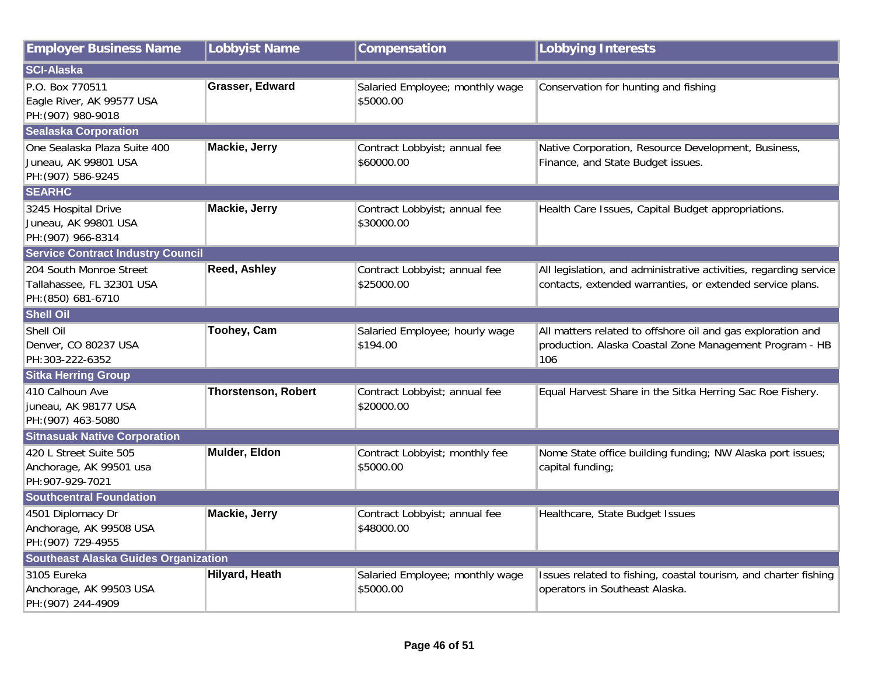| <b>Employer Business Name</b>                                              | <b>Lobbyist Name</b>       | Compensation                                 | <b>Lobbying Interests</b>                                                                                                      |
|----------------------------------------------------------------------------|----------------------------|----------------------------------------------|--------------------------------------------------------------------------------------------------------------------------------|
| <b>SCI-Alaska</b>                                                          |                            |                                              |                                                                                                                                |
| P.O. Box 770511<br>Eagle River, AK 99577 USA<br>PH: (907) 980-9018         | <b>Grasser, Edward</b>     | Salaried Employee; monthly wage<br>\$5000.00 | Conservation for hunting and fishing                                                                                           |
| <b>Sealaska Corporation</b>                                                |                            |                                              |                                                                                                                                |
| One Sealaska Plaza Suite 400<br>Juneau, AK 99801 USA<br>PH: (907) 586-9245 | Mackie, Jerry              | Contract Lobbyist; annual fee<br>\$60000.00  | Native Corporation, Resource Development, Business,<br>Finance, and State Budget issues.                                       |
| <b>SEARHC</b>                                                              |                            |                                              |                                                                                                                                |
| 3245 Hospital Drive<br>Juneau, AK 99801 USA<br>PH: (907) 966-8314          | <b>Mackie, Jerry</b>       | Contract Lobbyist; annual fee<br>\$30000.00  | Health Care Issues, Capital Budget appropriations.                                                                             |
| <b>Service Contract Industry Council</b>                                   |                            |                                              |                                                                                                                                |
| 204 South Monroe Street<br>Tallahassee, FL 32301 USA<br>PH: (850) 681-6710 | <b>Reed, Ashley</b>        | Contract Lobbyist; annual fee<br>\$25000.00  | All legislation, and administrative activities, regarding service<br>contacts, extended warranties, or extended service plans. |
| <b>Shell Oil</b>                                                           |                            |                                              |                                                                                                                                |
| Shell Oil<br>Denver, CO 80237 USA<br>PH:303-222-6352                       | Toohey, Cam                | Salaried Employee; hourly wage<br>\$194.00   | All matters related to offshore oil and gas exploration and<br>production. Alaska Coastal Zone Management Program - HB<br>106  |
| <b>Sitka Herring Group</b>                                                 |                            |                                              |                                                                                                                                |
| 410 Calhoun Ave<br>juneau, AK 98177 USA<br>PH: (907) 463-5080              | <b>Thorstenson, Robert</b> | Contract Lobbyist; annual fee<br>\$20000.00  | Equal Harvest Share in the Sitka Herring Sac Roe Fishery.                                                                      |
| <b>Sitnasuak Native Corporation</b>                                        |                            |                                              |                                                                                                                                |
| 420 L Street Suite 505<br>Anchorage, AK 99501 usa<br>PH:907-929-7021       | Mulder, Eldon              | Contract Lobbyist; monthly fee<br>\$5000.00  | Nome State office building funding; NW Alaska port issues;<br>capital funding;                                                 |
| <b>Southcentral Foundation</b>                                             |                            |                                              |                                                                                                                                |
| 4501 Diplomacy Dr<br>Anchorage, AK 99508 USA<br>PH: (907) 729-4955         | <b>Mackie, Jerry</b>       | Contract Lobbyist; annual fee<br>\$48000.00  | Healthcare, State Budget Issues                                                                                                |
| <b>Southeast Alaska Guides Organization</b>                                |                            |                                              |                                                                                                                                |
| 3105 Eureka<br>Anchorage, AK 99503 USA<br>PH: (907) 244-4909               | <b>Hilyard, Heath</b>      | Salaried Employee; monthly wage<br>\$5000.00 | Issues related to fishing, coastal tourism, and charter fishing<br>operators in Southeast Alaska.                              |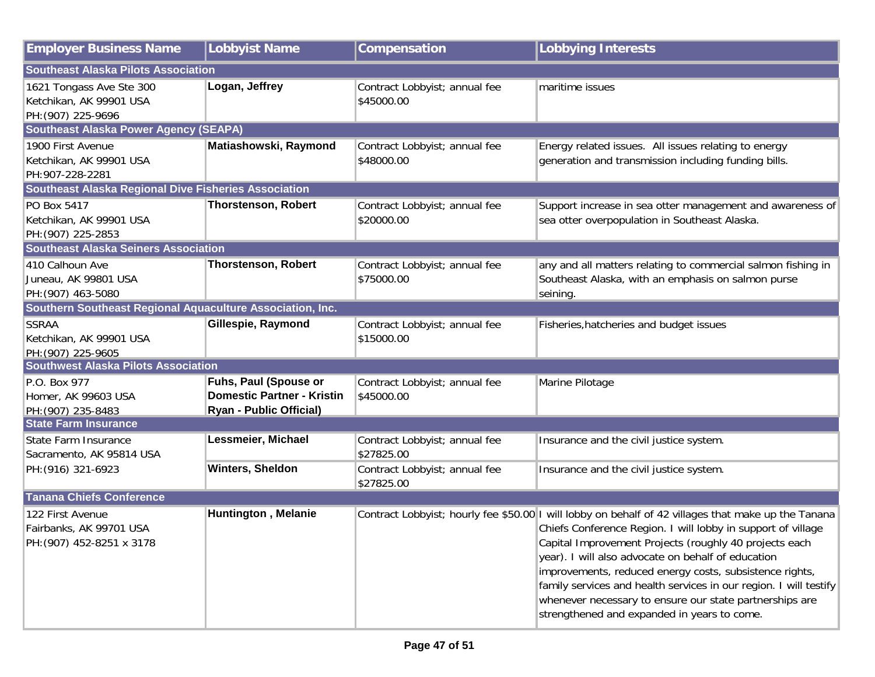| <b>Employer Business Name</b>                               | <b>Lobbyist Name</b>              | Compensation                  | <b>Lobbying Interests</b>                                                                           |
|-------------------------------------------------------------|-----------------------------------|-------------------------------|-----------------------------------------------------------------------------------------------------|
| <b>Southeast Alaska Pilots Association</b>                  |                                   |                               |                                                                                                     |
| 1621 Tongass Ave Ste 300                                    | Logan, Jeffrey                    | Contract Lobbyist; annual fee | maritime issues                                                                                     |
| Ketchikan, AK 99901 USA                                     |                                   | \$45000.00                    |                                                                                                     |
| PH: (907) 225-9696                                          |                                   |                               |                                                                                                     |
| <b>Southeast Alaska Power Agency (SEAPA)</b>                |                                   |                               |                                                                                                     |
| 1900 First Avenue                                           | Matiashowski, Raymond             | Contract Lobbyist; annual fee | Energy related issues. All issues relating to energy                                                |
| Ketchikan, AK 99901 USA                                     |                                   | \$48000.00                    | generation and transmission including funding bills.                                                |
| PH: 907-228-2281                                            |                                   |                               |                                                                                                     |
| <b>Southeast Alaska Regional Dive Fisheries Association</b> |                                   |                               |                                                                                                     |
| PO Box 5417                                                 | <b>Thorstenson, Robert</b>        | Contract Lobbyist; annual fee | Support increase in sea otter management and awareness of                                           |
| Ketchikan, AK 99901 USA                                     |                                   | \$20000.00                    | sea otter overpopulation in Southeast Alaska.                                                       |
| PH: (907) 225-2853                                          |                                   |                               |                                                                                                     |
| <b>Southeast Alaska Seiners Association</b>                 |                                   |                               |                                                                                                     |
| 410 Calhoun Ave                                             | <b>Thorstenson, Robert</b>        | Contract Lobbyist; annual fee | any and all matters relating to commercial salmon fishing in                                        |
| Juneau, AK 99801 USA                                        |                                   | \$75000.00                    | Southeast Alaska, with an emphasis on salmon purse                                                  |
| PH: (907) 463-5080                                          |                                   |                               | seining.                                                                                            |
| Southern Southeast Regional Aquaculture Association, Inc.   |                                   |                               |                                                                                                     |
| <b>SSRAA</b>                                                | Gillespie, Raymond                | Contract Lobbyist; annual fee | Fisheries, hatcheries and budget issues                                                             |
| Ketchikan, AK 99901 USA                                     |                                   | \$15000.00                    |                                                                                                     |
| PH: (907) 225-9605                                          |                                   |                               |                                                                                                     |
| <b>Southwest Alaska Pilots Association</b>                  |                                   |                               |                                                                                                     |
| P.O. Box 977                                                | Fuhs, Paul (Spouse or             | Contract Lobbyist; annual fee | Marine Pilotage                                                                                     |
| Homer, AK 99603 USA                                         | <b>Domestic Partner - Kristin</b> | \$45000.00                    |                                                                                                     |
| PH: (907) 235-8483                                          | <b>Ryan - Public Official)</b>    |                               |                                                                                                     |
| <b>State Farm Insurance</b>                                 |                                   |                               |                                                                                                     |
| State Farm Insurance                                        | Lessmeier, Michael                | Contract Lobbyist; annual fee | Insurance and the civil justice system.                                                             |
| Sacramento, AK 95814 USA                                    |                                   | \$27825.00                    |                                                                                                     |
| PH: (916) 321-6923                                          | Winters, Sheldon                  | Contract Lobbyist; annual fee | Insurance and the civil justice system.                                                             |
|                                                             |                                   | \$27825.00                    |                                                                                                     |
| <b>Tanana Chiefs Conference</b>                             |                                   |                               |                                                                                                     |
| 122 First Avenue                                            | <b>Huntington, Melanie</b>        |                               | Contract Lobbyist; hourly fee \$50.00 I will lobby on behalf of 42 villages that make up the Tanana |
| Fairbanks, AK 99701 USA                                     |                                   |                               | Chiefs Conference Region. I will lobby in support of village                                        |
| PH: (907) 452-8251 x 3178                                   |                                   |                               | Capital Improvement Projects (roughly 40 projects each                                              |
|                                                             |                                   |                               | year). I will also advocate on behalf of education                                                  |
|                                                             |                                   |                               | improvements, reduced energy costs, subsistence rights,                                             |
|                                                             |                                   |                               | family services and health services in our region. I will testify                                   |
|                                                             |                                   |                               | whenever necessary to ensure our state partnerships are                                             |
|                                                             |                                   |                               | strengthened and expanded in years to come.                                                         |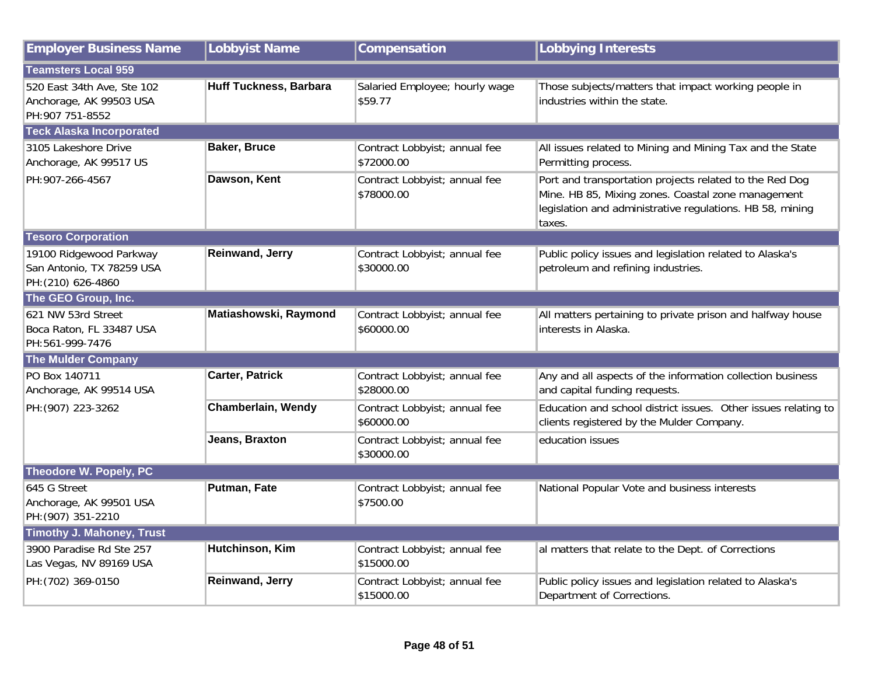| <b>Employer Business Name</b>                                              | <b>Lobbyist Name</b>          | Compensation                                | <b>Lobbying Interests</b>                                                                                                                                                            |
|----------------------------------------------------------------------------|-------------------------------|---------------------------------------------|--------------------------------------------------------------------------------------------------------------------------------------------------------------------------------------|
| <b>Teamsters Local 959</b>                                                 |                               |                                             |                                                                                                                                                                                      |
| 520 East 34th Ave, Ste 102<br>Anchorage, AK 99503 USA<br>PH: 907 751-8552  | <b>Huff Tuckness, Barbara</b> | Salaried Employee; hourly wage<br>\$59.77   | Those subjects/matters that impact working people in<br>industries within the state.                                                                                                 |
| <b>Teck Alaska Incorporated</b>                                            |                               |                                             |                                                                                                                                                                                      |
| 3105 Lakeshore Drive<br>Anchorage, AK 99517 US                             | <b>Baker, Bruce</b>           | Contract Lobbyist; annual fee<br>\$72000.00 | All issues related to Mining and Mining Tax and the State<br>Permitting process.                                                                                                     |
| PH:907-266-4567                                                            | Dawson, Kent                  | Contract Lobbyist; annual fee<br>\$78000.00 | Port and transportation projects related to the Red Dog<br>Mine. HB 85, Mixing zones. Coastal zone management<br>legislation and administrative regulations. HB 58, mining<br>taxes. |
| <b>Tesoro Corporation</b>                                                  |                               |                                             |                                                                                                                                                                                      |
| 19100 Ridgewood Parkway<br>San Antonio, TX 78259 USA<br>PH: (210) 626-4860 | Reinwand, Jerry               | Contract Lobbyist; annual fee<br>\$30000.00 | Public policy issues and legislation related to Alaska's<br>petroleum and refining industries.                                                                                       |
| The GEO Group, Inc.                                                        |                               |                                             |                                                                                                                                                                                      |
| 621 NW 53rd Street<br>Boca Raton, FL 33487 USA<br>PH:561-999-7476          | Matiashowski, Raymond         | Contract Lobbyist; annual fee<br>\$60000.00 | All matters pertaining to private prison and halfway house<br>interests in Alaska.                                                                                                   |
| <b>The Mulder Company</b>                                                  |                               |                                             |                                                                                                                                                                                      |
| PO Box 140711<br>Anchorage, AK 99514 USA                                   | <b>Carter, Patrick</b>        | Contract Lobbyist; annual fee<br>\$28000.00 | Any and all aspects of the information collection business<br>and capital funding requests.                                                                                          |
| PH: (907) 223-3262                                                         | Chamberlain, Wendy            | Contract Lobbyist; annual fee<br>\$60000.00 | Education and school district issues. Other issues relating to<br>clients registered by the Mulder Company.                                                                          |
|                                                                            | <b>Jeans, Braxton</b>         | Contract Lobbyist; annual fee<br>\$30000.00 | education issues                                                                                                                                                                     |
| Theodore W. Popely, PC                                                     |                               |                                             |                                                                                                                                                                                      |
| 645 G Street<br>Anchorage, AK 99501 USA<br>PH: (907) 351-2210              | Putman, Fate                  | Contract Lobbyist; annual fee<br>\$7500.00  | National Popular Vote and business interests                                                                                                                                         |
| <b>Timothy J. Mahoney, Trust</b>                                           |                               |                                             |                                                                                                                                                                                      |
| 3900 Paradise Rd Ste 257<br>Las Vegas, NV 89169 USA                        | Hutchinson, Kim               | Contract Lobbyist; annual fee<br>\$15000.00 | al matters that relate to the Dept. of Corrections                                                                                                                                   |
| PH: (702) 369-0150                                                         | <b>Reinwand, Jerry</b>        | Contract Lobbyist; annual fee<br>\$15000.00 | Public policy issues and legislation related to Alaska's<br>Department of Corrections.                                                                                               |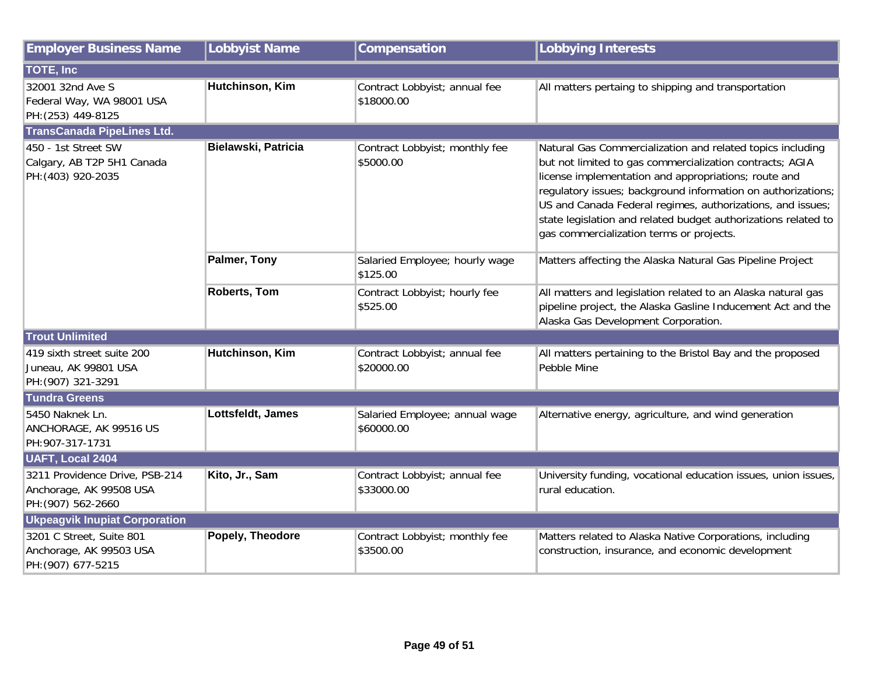| <b>Employer Business Name</b>                                                   | Lobbyist Name       | Compensation                                 | <b>Lobbying Interests</b>                                                                                                                                                                                                                                                                                                                                                                                                  |  |  |  |  |
|---------------------------------------------------------------------------------|---------------------|----------------------------------------------|----------------------------------------------------------------------------------------------------------------------------------------------------------------------------------------------------------------------------------------------------------------------------------------------------------------------------------------------------------------------------------------------------------------------------|--|--|--|--|
| <b>TOTE, Inc.</b>                                                               |                     |                                              |                                                                                                                                                                                                                                                                                                                                                                                                                            |  |  |  |  |
| 32001 32nd Ave S<br>Federal Way, WA 98001 USA<br>PH: (253) 449-8125             | Hutchinson, Kim     | Contract Lobbyist; annual fee<br>\$18000.00  | All matters pertaing to shipping and transportation                                                                                                                                                                                                                                                                                                                                                                        |  |  |  |  |
| <b>TransCanada PipeLines Ltd.</b>                                               |                     |                                              |                                                                                                                                                                                                                                                                                                                                                                                                                            |  |  |  |  |
| 450 - 1st Street SW<br>Calgary, AB T2P 5H1 Canada<br>PH: (403) 920-2035         | Bielawski, Patricia | Contract Lobbyist; monthly fee<br>\$5000.00  | Natural Gas Commercialization and related topics including<br>but not limited to gas commercialization contracts; AGIA<br>license implementation and appropriations; route and<br>regulatory issues; background information on authorizations;<br>US and Canada Federal regimes, authorizations, and issues;<br>state legislation and related budget authorizations related to<br>gas commercialization terms or projects. |  |  |  |  |
|                                                                                 | Palmer, Tony        | Salaried Employee; hourly wage<br>\$125.00   | Matters affecting the Alaska Natural Gas Pipeline Project                                                                                                                                                                                                                                                                                                                                                                  |  |  |  |  |
|                                                                                 | <b>Roberts, Tom</b> | Contract Lobbyist; hourly fee<br>\$525.00    | All matters and legislation related to an Alaska natural gas<br>pipeline project, the Alaska Gasline Inducement Act and the<br>Alaska Gas Development Corporation.                                                                                                                                                                                                                                                         |  |  |  |  |
| <b>Trout Unlimited</b>                                                          |                     |                                              |                                                                                                                                                                                                                                                                                                                                                                                                                            |  |  |  |  |
| 419 sixth street suite 200<br>Juneau, AK 99801 USA<br>PH: (907) 321-3291        | Hutchinson, Kim     | Contract Lobbyist; annual fee<br>\$20000.00  | All matters pertaining to the Bristol Bay and the proposed<br>Pebble Mine                                                                                                                                                                                                                                                                                                                                                  |  |  |  |  |
| <b>Tundra Greens</b>                                                            |                     |                                              |                                                                                                                                                                                                                                                                                                                                                                                                                            |  |  |  |  |
| 5450 Naknek Ln.<br>ANCHORAGE, AK 99516 US<br>PH: 907-317-1731                   | Lottsfeldt, James   | Salaried Employee; annual wage<br>\$60000.00 | Alternative energy, agriculture, and wind generation                                                                                                                                                                                                                                                                                                                                                                       |  |  |  |  |
| <b>UAFT, Local 2404</b>                                                         |                     |                                              |                                                                                                                                                                                                                                                                                                                                                                                                                            |  |  |  |  |
| 3211 Providence Drive, PSB-214<br>Anchorage, AK 99508 USA<br>PH: (907) 562-2660 | Kito, Jr., Sam      | Contract Lobbyist; annual fee<br>\$33000.00  | University funding, vocational education issues, union issues,<br>rural education.                                                                                                                                                                                                                                                                                                                                         |  |  |  |  |
| <b>Ukpeagvik Inupiat Corporation</b>                                            |                     |                                              |                                                                                                                                                                                                                                                                                                                                                                                                                            |  |  |  |  |
| 3201 C Street, Suite 801<br>Anchorage, AK 99503 USA<br>PH: (907) 677-5215       | Popely, Theodore    | Contract Lobbyist; monthly fee<br>\$3500.00  | Matters related to Alaska Native Corporations, including<br>construction, insurance, and economic development                                                                                                                                                                                                                                                                                                              |  |  |  |  |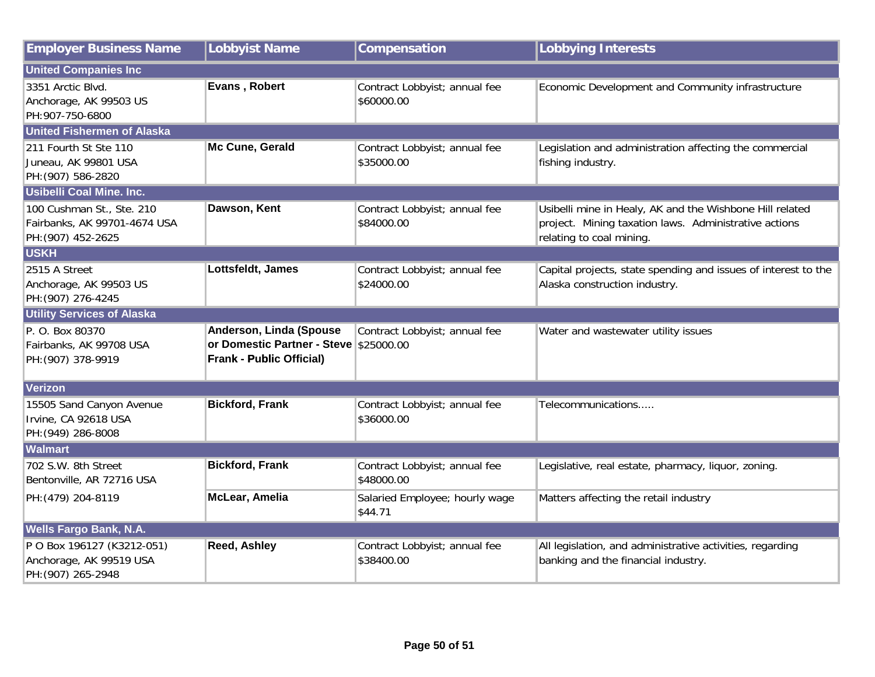| <b>Employer Business Name</b>                                                   | <b>Lobbyist Name</b>                                                                                 | Compensation                                | <b>Lobbying Interests</b>                                                                                                                     |  |  |  |
|---------------------------------------------------------------------------------|------------------------------------------------------------------------------------------------------|---------------------------------------------|-----------------------------------------------------------------------------------------------------------------------------------------------|--|--|--|
| <b>United Companies Inc</b>                                                     |                                                                                                      |                                             |                                                                                                                                               |  |  |  |
| 3351 Arctic Blvd.<br>Anchorage, AK 99503 US<br>PH:907-750-6800                  | Evans, Robert                                                                                        | Contract Lobbyist; annual fee<br>\$60000.00 | Economic Development and Community infrastructure                                                                                             |  |  |  |
| <b>United Fishermen of Alaska</b>                                               |                                                                                                      |                                             |                                                                                                                                               |  |  |  |
| 211 Fourth St Ste 110<br>Juneau, AK 99801 USA<br>PH: (907) 586-2820             | Mc Cune, Gerald                                                                                      | Contract Lobbyist; annual fee<br>\$35000.00 | Legislation and administration affecting the commercial<br>fishing industry.                                                                  |  |  |  |
| Usibelli Coal Mine. Inc.                                                        |                                                                                                      |                                             |                                                                                                                                               |  |  |  |
| 100 Cushman St., Ste. 210<br>Fairbanks, AK 99701-4674 USA<br>PH: (907) 452-2625 | Dawson, Kent                                                                                         | Contract Lobbyist; annual fee<br>\$84000.00 | Usibelli mine in Healy, AK and the Wishbone Hill related<br>project. Mining taxation laws. Administrative actions<br>relating to coal mining. |  |  |  |
| <b>USKH</b>                                                                     |                                                                                                      |                                             |                                                                                                                                               |  |  |  |
| 2515 A Street<br>Anchorage, AK 99503 US<br>PH: (907) 276-4245                   | Lottsfeldt, James                                                                                    | Contract Lobbyist; annual fee<br>\$24000.00 | Capital projects, state spending and issues of interest to the<br>Alaska construction industry.                                               |  |  |  |
| <b>Utility Services of Alaska</b>                                               |                                                                                                      |                                             |                                                                                                                                               |  |  |  |
| P. O. Box 80370<br>Fairbanks, AK 99708 USA<br>PH: (907) 378-9919                | Anderson, Linda (Spouse<br>or Domestic Partner - Steve \$25000.00<br><b>Frank - Public Official)</b> | Contract Lobbyist; annual fee               | Water and wastewater utility issues                                                                                                           |  |  |  |
| Verizon                                                                         |                                                                                                      |                                             |                                                                                                                                               |  |  |  |
| 15505 Sand Canyon Avenue<br>Irvine, CA 92618 USA<br>PH: (949) 286-8008          | <b>Bickford, Frank</b>                                                                               | Contract Lobbyist; annual fee<br>\$36000.00 | Telecommunications                                                                                                                            |  |  |  |
| <b>Walmart</b>                                                                  |                                                                                                      |                                             |                                                                                                                                               |  |  |  |
| 702 S.W. 8th Street<br>Bentonville, AR 72716 USA                                | <b>Bickford, Frank</b>                                                                               | Contract Lobbyist; annual fee<br>\$48000.00 | Legislative, real estate, pharmacy, liquor, zoning.                                                                                           |  |  |  |
| PH: (479) 204-8119                                                              | McLear, Amelia                                                                                       | Salaried Employee; hourly wage<br>\$44.71   | Matters affecting the retail industry                                                                                                         |  |  |  |
| <b>Wells Fargo Bank, N.A.</b>                                                   |                                                                                                      |                                             |                                                                                                                                               |  |  |  |
| P O Box 196127 (K3212-051)<br>Anchorage, AK 99519 USA<br>PH: (907) 265-2948     | <b>Reed, Ashley</b>                                                                                  | Contract Lobbyist; annual fee<br>\$38400.00 | All legislation, and administrative activities, regarding<br>banking and the financial industry.                                              |  |  |  |